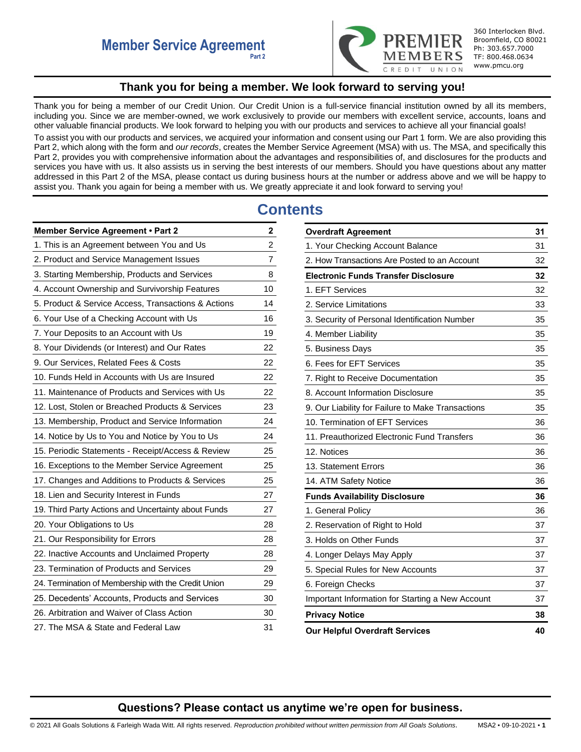

360 Interlocken Blvd. Broomfield, CO 80021 Ph: 303.657.7000 TF: 800.468.0634 www.pmcu.org

# **Thank you for being a member. We look forward to serving you!**

<span id="page-0-0"></span>Thank you for being a member of our Credit Union. Our Credit Union is a full-service financial institution owned by all its members, including you. Since we are member-owned, we work exclusively to provide our members with excellent service, accounts, loans and other valuable financial products. We look forward to helping you with our products and services to achieve all your financial goals! To assist you with our products and services, we acquired your information and consent using our Part 1 form. We are also providing this Part 2, which along with the form and *our records*, creates the Member Service Agreement (MSA) with us. The MSA, and specifically this Part 2, provides you with comprehensive information about the advantages and responsibilities of, and disclosures for the products and services you have with us. It also assists us in serving the best interests of our members. Should you have questions about any matter addressed in this Part 2 of the MSA, please contact us during business hours at the number or address above and we will be happy to assist you. Thank you again for being a member with us. We greatly appreciate it and look forward to serving you!

# **Contents**

| Member Service Agreement . Part 2                   | $\mathbf 2$    |
|-----------------------------------------------------|----------------|
| 1. This is an Agreement between You and Us          | $\overline{c}$ |
| 2. Product and Service Management Issues            | $\overline{7}$ |
| 3. Starting Membership, Products and Services       | 8              |
| 4. Account Ownership and Survivorship Features      | 10             |
| 5. Product & Service Access, Transactions & Actions | 14             |
| 6. Your Use of a Checking Account with Us           | 16             |
| 7. Your Deposits to an Account with Us              | 19             |
| 8. Your Dividends (or Interest) and Our Rates       | 22             |
| 9. Our Services, Related Fees & Costs               | 22             |
| 10. Funds Held in Accounts with Us are Insured      | 22             |
| 11. Maintenance of Products and Services with Us    | 22             |
| 12. Lost, Stolen or Breached Products & Services    | 23             |
| 13. Membership, Product and Service Information     | 24             |
| 14. Notice by Us to You and Notice by You to Us     | 24             |
| 15. Periodic Statements - Receipt/Access & Review   | 25             |
| 16. Exceptions to the Member Service Agreement      | 25             |
| 17. Changes and Additions to Products & Services    | 25             |
| 18. Lien and Security Interest in Funds             | 27             |
| 19. Third Party Actions and Uncertainty about Funds | 27             |
| 20. Your Obligations to Us                          | 28             |
| 21. Our Responsibility for Errors                   | 28             |
| 22. Inactive Accounts and Unclaimed Property        | 28             |
| 23. Termination of Products and Services            | 29             |
| 24. Termination of Membership with the Credit Union | 29             |
| 25. Decedents' Accounts, Products and Services      | 30             |
| 26. Arbitration and Waiver of Class Action          | 30             |
| 27. The MSA & State and Federal Law                 | 31             |

| <b>Overdraft Agreement</b>                        | 31 |
|---------------------------------------------------|----|
| 1. Your Checking Account Balance                  | 31 |
| 2. How Transactions Are Posted to an Account      | 32 |
| <b>Electronic Funds Transfer Disclosure</b>       | 32 |
| 1. EFT Services                                   | 32 |
| 2. Service Limitations                            | 33 |
| 3. Security of Personal Identification Number     | 35 |
| 4. Member Liability                               | 35 |
| 5. Business Days                                  | 35 |
| 6. Fees for EFT Services                          | 35 |
| 7. Right to Receive Documentation                 | 35 |
| 8. Account Information Disclosure                 | 35 |
| 9. Our Liability for Failure to Make Transactions | 35 |
| 10. Termination of EFT Services                   | 36 |
| 11. Preauthorized Electronic Fund Transfers       | 36 |
| 12. Notices                                       | 36 |
| 13. Statement Errors                              | 36 |
| 14. ATM Safety Notice                             | 36 |
| <b>Funds Availability Disclosure</b>              | 36 |
| 1. General Policy                                 | 36 |
| 2. Reservation of Right to Hold                   | 37 |
| 3. Holds on Other Funds                           | 37 |
| 4. Longer Delays May Apply                        | 37 |
| 5. Special Rules for New Accounts                 | 37 |
| 6. Foreign Checks                                 | 37 |
| Important Information for Starting a New Account  | 37 |
| <b>Privacy Notice</b>                             | 38 |
| <b>Our Helpful Overdraft Services</b>             | 40 |

# **Questions? Please contact us anytime we're open for business.**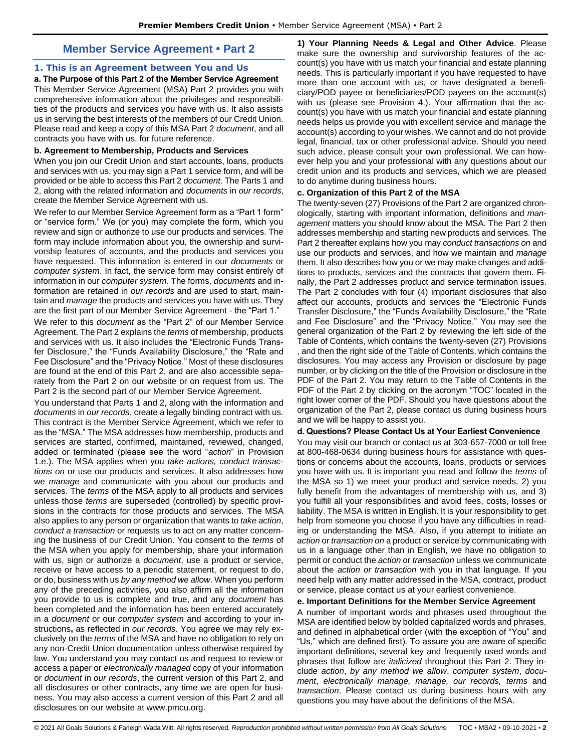# **Member Service Agreement • Part 2**

# <span id="page-1-1"></span><span id="page-1-0"></span>**1. This is an Agreement between You and Us**

**a. The Purpose of this Part 2 of the Member Service Agreement**  This Member Service Agreement (MSA) Part 2 provides you with comprehensive information about the privileges and responsibilities of the products and services you have with us. It also assists us in serving the best interests of the members of our Credit Union. Please read and keep a copy of this MSA Part 2 *document*, and all contracts you have with us, for future reference.

### **b. Agreement to Membership, Products and Services**

When you join our Credit Union and start accounts, loans, products and services with us, you may sign a Part 1 service form, and will be provided or be able to access this Part 2 *document*. The Parts 1 and 2, along with the related information and *documents* in *our records*, create the Member Service Agreement with us.

We refer to our Member Service Agreement form as a "Part 1 form" or "service form." We (or you) may complete the form, which you review and sign or authorize to use our products and services. The form may include information about you, the ownership and survivorship features of accounts, and the products and services you have requested. This information is entered in our *documents* or *computer system*. In fact, the service form may consist entirely of information in our *computer system*. The forms, *documents* and information are retained in *our records* and are used to start, maintain and *manage* the products and services you have with us. They are the first part of our Member Service Agreement - the "Part 1."

We refer to this *document* as the "Part 2" of our Member Service Agreement. The Part 2 explains the *terms* of membership, products and services with us. It also includes the "Electronic Funds Transfer Disclosure," the "Funds Availability Disclosure," the "Rate and Fee Disclosure" and the "Privacy Notice." Most of these disclosures are found at the end of this Part 2, and are also accessible separately from the Part 2 on our website or on request from us. The Part 2 is the second part of our Member Service Agreement.

You understand that Parts 1 and 2, along with the information and *documents* in *our records*, create a legally binding contract with us. This contract is the Member Service Agreement, which we refer to as the "MSA." The MSA addresses how membership, products and services are started, confirmed, maintained, reviewed, changed, added or terminated (please see the word "*action*" in Provision 1.e.). The MSA applies when you *take actions, conduct transactions on* or use our products and services. It also addresses how we *manage* and communicate with you about our products and services. The *terms* of the MSA apply to all products and services unless those *terms* are superseded (controlled) by specific provisions in the contracts for those products and services. The MSA also applies to any person or organization that wants to *take action*, *conduct a transaction* or requests us to act on any matter concerning the business of our Credit Union. You consent to the *terms* of the MSA when you apply for membership, share your information with us, sign or authorize a *document*, use a product or service, receive or have access to a periodic statement, or request to do, or do, business with us *by any method we allow*. When you perform any of the preceding activities, you also affirm all the information you provide to us is complete and true, and any *document* has been completed and the information has been entered accurately in a *document* or our *computer system* and according to your instructions**,** as reflected in *our records*. You agree we may rely exclusively on the *terms* of the MSA and have no obligation to rely on any non-Credit Union documentation unless otherwise required by law. You understand you may contact us and request to review or access a paper or *electronically managed* copy of your information or *document* in *our records*, the current version of this Part 2, and all disclosures or other contracts, any time we are open for business. You may also access a current version of this Part 2 and all disclosures on our website at www.pmcu.org.

**1) Your Planning Needs & Legal and Other Advice**. Please make sure the ownership and survivorship features of the account(s) you have with us match your financial and estate planning needs. This is particularly important if you have requested to have more than one account with us, or have designated a beneficiary/POD payee or beneficiaries/POD payees on the account(s) with us (please see Provision 4.). Your affirmation that the account(s) you have with us match your financial and estate planning needs helps us provide you with excellent service and manage the account(s) according to your wishes. We cannot and do not provide legal, financial, tax or other professional advice. Should you need such advice, please consult your own professional. We can however help you and your professional with any questions about our credit union and its products and services, which we are pleased to do anytime during business hours.

#### **c. Organization of this Part 2 of the MSA**

The twenty-seven (27) Provisions of the Part 2 are organized chronologically, starting with important information, definitions and *management* matters you should know about the MSA. The Part 2 then addresses membership and starting new products and services. The Part 2 thereafter explains how you may *conduct transactions on* and use our products and services, and how we maintain and *manage*  them. It also describes how you or we may make changes and additions to products, services and the contracts that govern them. Finally, the Part 2 addresses product and service termination issues. The Part 2 concludes with four (4) important disclosures that also affect our accounts, products and services the "Electronic Funds Transfer Disclosure," the "Funds Availability Disclosure," the "Rate and Fee Disclosure" and the "Privacy Notice." You may see the general organization of the Part 2 by reviewing the left side of the Table of Contents, which contains the twenty-seven (27) Provisions , and then the right side of the Table of Contents, which contains the disclosures. You may access any Provision or disclosure by page number, or by clicking on the title of the Provision or disclosure in the PDF of the Part 2. You may return to the Table of Contents in the PDF of the Part 2 by clicking on the acronym "TOC" located in the right lower corner of the PDF. Should you have questions about the organization of the Part 2, please contact us during business hours and we will be happy to assist you.

# **d. Questions? Please Contact Us at Your Earliest Convenience**

You may visit our branch or contact us at 303-657-7000 or toll free at 800-468-0634 during business hours for assistance with questions or concerns about the accounts, loans, products or services you have with us. It is important you read and follow the *terms* of the MSA so 1) we meet your product and service needs, 2) you fully benefit from the advantages of membership with us, and 3) you fulfill all your responsibilities and avoid fees, costs, losses or liability. The MSA is written in English. It is your responsibility to get help from someone you choose if you have any difficulties in reading or understanding the MSA. Also, if you attempt to initiate an *action* or *transaction on* a product or service by communicating with us in a language other than in English, we have no obligation to permit or conduct the *action* or *transaction* unless we communicate about the *action or transaction* with you in that language. If you need help with any matter addressed in the MSA, contract, product or service, please contact us at your earliest convenience.

#### **e. Important Definitions for the Member Service Agreement**

A number of important words and phrases used throughout the MSA are identified below by bolded capitalized words and phrases, and defined in alphabetical order (with the exception of "You" and "Us," which are defined first). To assure you are aware of specific important definitions, several key and frequently used words and phrases that follow are *italicized* throughout this Part 2. They include *action*, *by any method we allow*, *computer system*, *document*, *electronically manage, manage, our records, terms* and *transaction*. Please contact us during business hours with any questions you may have about the definitions of the MSA.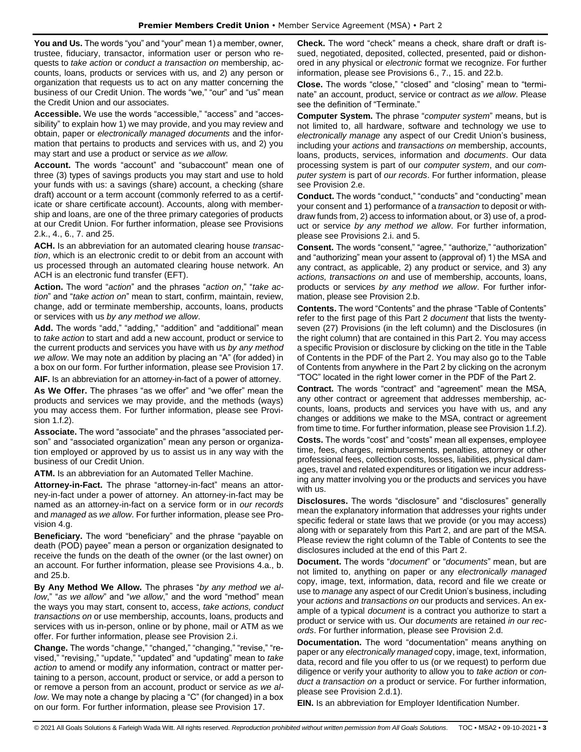**You and Us.** The words "you" and "your" mean 1) a member, owner, trustee, fiduciary, transactor, information user or person who requests to *take action* or *conduct a transaction on* membership, accounts, loans, products or services with us, and 2) any person or organization that requests us to act on any matter concerning the business of our Credit Union. The words "we," "our" and "us" mean the Credit Union and our associates.

**Accessible.** We use the words "accessible," "access" and "accessibility" to explain how 1) we may provide, and you may review and obtain, paper or *electronically managed documents* and the information that pertains to products and services with us, and 2) you may start and use a product or service *as we allow.* 

**Account.** The words "account" and "subaccount" mean one of three (3) types of savings products you may start and use to hold your funds with us: a savings (share) account, a checking (share draft) account or a term account (commonly referred to as a certificate or share certificate account). Accounts, along with membership and loans, are one of the three primary categories of products at our Credit Union. For further information, please see Provisions 2.k., 4., 6., 7. and 25.

**ACH.** Is an abbreviation for an automated clearing house *transaction*, which is an electronic credit to or debit from an account with us processed through an automated clearing house network. An ACH is an electronic fund transfer (EFT).

**Action.** The word "*action*" and the phrases "*action on*," "*take action*" and "*take action on*" mean to start, confirm, maintain, review, change, add or terminate membership, accounts, loans, products or services with us *by any method we allow*.

**Add.** The words "add," "adding," "addition" and "additional" mean to *take action* to start and add a new account, product or service to the current products and services you have with us *by any method we allow*. We may note an addition by placing an "A" (for added) in a box on our form. For further information, please see Provision 17.

**AIF.** Is an abbreviation for an attorney-in-fact of a power of attorney.

**As We Offer.** The phrases "as we offer" and "we offer" mean the products and services we may provide, and the methods (ways) you may access them. For further information, please see Provision 1.f.2).

**Associate.** The word "associate" and the phrases "associated person" and "associated organization" mean any person or organization employed or approved by us to assist us in any way with the business of our Credit Union.

**ATM.** Is an abbreviation for an Automated Teller Machine.

**Attorney-in-Fact.** The phrase "attorney-in-fact" means an attorney-in-fact under a power of attorney. An attorney-in-fact may be named as an attorney-in-fact on a service form or in *our records* and *managed* as *we allow*. For further information, please see Provision 4.g.

**Beneficiary.** The word "beneficiary" and the phrase "payable on death (POD) payee" mean a person or organization designated to receive the funds on the death of the owner (or the last owner) on an account. For further information, please see Provisions 4.a., b. and 25.b.

**By Any Method We Allow.** The phrases "*by any method we allow*," "*as we allow*" and "*we allow*," and the word "method" mean the ways you may start, consent to, access, *take actions, conduct transactions on* or use membership, accounts, loans, products and services with us in-person, online or by phone, mail or ATM as we offer. For further information, please see Provision 2.i.

**Change.** The words "change," "changed," "changing," "revise," "revised," "revising," "update," "updated" and "updating" mean to *take action* to amend or modify any information, contract or matter pertaining to a person, account, product or service, or add a person to or remove a person from an account, product or service *as we allow*. We may note a change by placing a "C" (for changed) in a box on our form. For further information, please see Provision 17.

**Check.** The word "check" means a check, share draft or draft issued, negotiated, deposited, collected, presented, paid or dishonored in any physical or *electronic* format we recognize. For further information, please see Provisions 6., 7., 15. and 22.b.

**Close.** The words "close," "closed" and "closing" mean to "terminate" an account, product, service or contract *as we allow*. Please see the definition of "Terminate."

**Computer System.** The phrase "*computer system*" means, but is not limited to, all hardware, software and technology we use to *electronically manage* any aspect of our Credit Union's business, including your *actions* and *transactions on* membership, accounts, loans, products, services, information and *documents*. Our data processing system is part of our *computer system*, and our *computer system* is part of *our records*. For further information, please see Provision 2.e.

**Conduct.** The words "conduct," "conducts" and "conducting" mean your consent and 1) performance of a *transaction* to deposit or withdraw funds from, 2) access to information about, or 3) use of, a product or service *by any method we allow*. For further information, please see Provisions 2.i. and 5.

**Consent.** The words "consent," "agree," "authorize," "authorization" and "authorizing" mean your assent to (approval of) 1) the MSA and any contract, as applicable, 2) any product or service, and 3) any *actions, transactions on* and use of membership, accounts, loans, products or services *by any method we allow*. For further information, please see Provision 2.b.

**Contents.** The word "Contents" and the phrase "Table of Contents" refer to the first page of this Part 2 *document* that lists the twentyseven (27) Provisions (in the left column) and the Disclosures (in the right column) that are contained in this Part 2. You may access a specific Provision or disclosure by clicking on the title in the Table of Contents in the PDF of the Part 2. You may also go to the Table of Contents from anywhere in the Part 2 by clicking on the acronym "TOC" located in the right lower corner in the PDF of the Part 2.

**Contract.** The words "contract" and "agreement" mean the MSA, any other contract or agreement that addresses membership, accounts, loans, products and services you have with us, and any changes or additions we make to the MSA, contract or agreement from time to time. For further information, please see Provision 1.f.2). **Costs.** The words "cost" and "costs" mean all expenses, employee time, fees, charges, reimbursements, penalties, attorney or other professional fees, collection costs, losses, liabilities, physical damages, travel and related expenditures or litigation we incur addressing any matter involving you or the products and services you have with us.

**Disclosures.** The words "disclosure" and "disclosures" generally mean the explanatory information that addresses your rights under specific federal or state laws that we provide (or you may access) along with or separately from this Part 2, and are part of the MSA. Please review the right column of the Table of Contents to see the disclosures included at the end of this Part 2.

**Document.** The words "*document*" or "*documents*" mean, but are not limited to, anything on paper or any *electronically managed* copy, image, text, information, data, record and file we create or use to *manage* any aspect of our Credit Union's business, including your *actions* and *transactions on* our products and services. An example of a typical *document* is a contract you authorize to start a product or service with us. Our *documents* are retained *in our records*. For further information, please see Provision 2.d.

**Documentation.** The word "documentation" means anything on paper or any *electronically managed* copy, image, text, information, data, record and file you offer to us (or we request) to perform due diligence or verify your authority to allow you to *take action* or *conduct a transaction on* a product or service. For further information, please see Provision 2.d.1).

**EIN.** Is an abbreviation for Employer Identification Number.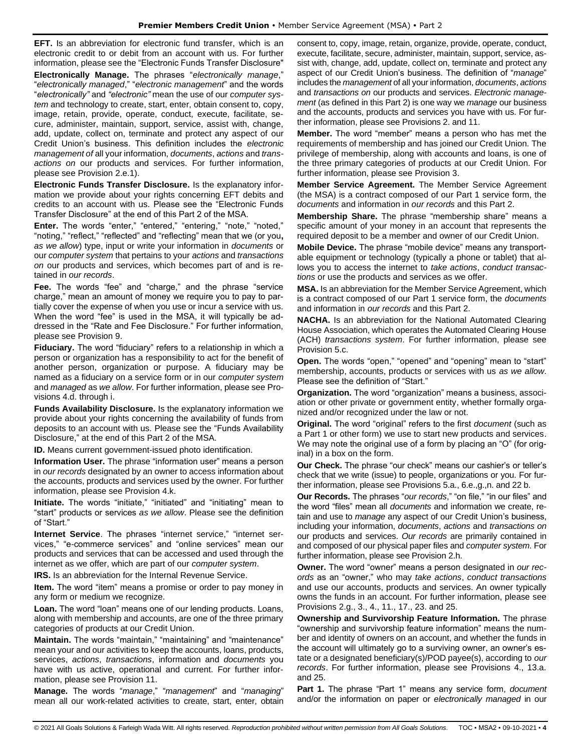**EFT.** Is an abbreviation for electronic fund transfer, which is an electronic credit to or debit from an account with us. For further information, please see the "Electronic Funds Transfer Disclosure"

**Electronically Manage.** The phrases "*electronically manage*," "*electronically managed*," "*electronic management*" and the words "*electronically"* and *"electronic"* mean the use of our *computer system* and technology to create, start, enter, obtain consent to, copy, image, retain, provide, operate, conduct, execute, facilitate, secure, administer, maintain, support, service, assist with, change, add, update, collect on, terminate and protect any aspect of our Credit Union's business. This definition includes the *electronic management of* all your information, *documents*, *actions* and *transactions on* our products and services. For further information, please see Provision 2.e.1).

**Electronic Funds Transfer Disclosure.** Is the explanatory information we provide about your rights concerning EFT debits and credits to an account with us. Please see the "Electronic Funds Transfer Disclosure" at the end of this Part 2 of the MSA.

**Enter.** The words "enter," "entered," "entering," "note," "noted," "noting," "reflect," "reflected" and "reflecting" mean that we (or you**,** *as we allow*) type, input or write your information in *documents* or our *computer system* that pertains to your *actions* and *transactions on* our products and services, which becomes part of and is retained in *our records*.

**Fee.** The words "fee" and "charge," and the phrase "service charge," mean an amount of money we require you to pay to partially cover the expense of when you use or incur a service with us. When the word "fee" is used in the MSA, it will typically be addressed in the "Rate and Fee Disclosure." For further information, please see Provision 9.

**Fiduciary.** The word "fiduciary" refers to a relationship in which a person or organization has a responsibility to act for the benefit of another person, organization or purpose. A fiduciary may be named as a fiduciary on a service form or in our *computer system* and *managed* as *we allow*. For further information, please see Provisions 4.d. through i.

**Funds Availability Disclosure.** Is the explanatory information we provide about your rights concerning the availability of funds from deposits to an account with us. Please see the "Funds Availability Disclosure," at the end of this Part 2 of the MSA.

**ID.** Means current government-issued photo identification.

**Information User.** The phrase "information user" means a person in *our records* designated by an owner to access information about the accounts, products and services used by the owner. For further information, please see Provision 4.k.

**Initiate.** The words "initiate," "initiated" and "initiating" mean to "start" products or services *as we allow*. Please see the definition of "Start."

**Internet Service**. The phrases "internet service," "internet services," "e-commerce services" and "online services" mean our products and services that can be accessed and used through the internet as we offer, which are part of our *computer system*.

**IRS.** Is an abbreviation for the Internal Revenue Service.

**Item.** The word "item" means a promise or order to pay money in any form or medium we recognize.

**Loan.** The word "loan" means one of our lending products. Loans, along with membership and accounts, are one of the three primary categories of products at our Credit Union.

**Maintain.** The words "maintain," "maintaining" and "maintenance" mean your and our activities to keep the accounts, loans, products, services, *actions*, *transactions*, information and *documents* you have with us active, operational and current. For further information, please see Provision 11.

**Manage.** The words "*manage*," "*management*" and "*managing*" mean all our work-related activities to create, start, enter, obtain consent to, copy, image, retain, organize, provide, operate, conduct, execute, facilitate, secure, administer, maintain, support, service, assist with, change, add, update, collect on, terminate and protect any aspect of our Credit Union's business. The definition of "*manage*" includes the *management* of all your information, *documents*, *actions* and *transactions on* our products and services. *Electronic management* (as defined in this Part 2) is one way we *manage* our business and the accounts, products and services you have with us. For further information, please see Provisions 2. and 11.

**Member.** The word "member" means a person who has met the requirements of membership and has joined our Credit Union. The privilege of membership, along with accounts and loans, is one of the three primary categories of products at our Credit Union. For further information, please see Provision 3.

**Member Service Agreement.** The Member Service Agreement (the MSA) is a contract composed of our Part 1 service form, the *documents* and information in *our records* and this Part 2.

**Membership Share.** The phrase "membership share" means a specific amount of your money in an account that represents the required deposit to be a member and owner of our Credit Union.

**Mobile Device.** The phrase "mobile device" means any transportable equipment or technology (typically a phone or tablet) that allows you to access the internet to *take actions*, *conduct transactions* or use the products and services as we offer.

**MSA.** Is an abbreviation for the Member Service Agreement, which is a contract composed of our Part 1 service form, the *documents* and information in *our records* and this Part 2.

**NACHA.** Is an abbreviation for the National Automated Clearing House Association, which operates the Automated Clearing House (ACH) *transactions system*. For further information, please see Provision 5.c.

**Open.** The words "open," "opened" and "opening" mean to "start" membership, accounts, products or services with us *as we allow*. Please see the definition of "Start."

**Organization.** The word "organization" means a business, association or other private or government entity, whether formally organized and/or recognized under the law or not.

**Original.** The word "original" refers to the first *document* (such as a Part 1 or other form) we use to start new products and services. We may note the original use of a form by placing an "O" (for original) in a box on the form.

**Our Check.** The phrase "our check" means our cashier's or teller's check that we write (issue) to people, organizations or you. For further information, please see Provisions 5.a., 6.e.,g.,n. and 22 b.

**Our Records.** The phrases "*our records*," "on file," "in our files" and the word "files" mean all *documents* and information we create, retain and use to *manage* any aspect of our Credit Union's business, including your information, *documents*, *actions* and *transactions on* our products and services. *Our records* are primarily contained in and composed of our physical paper files and *computer system*. For further information, please see Provision 2.h.

**Owner.** The word "owner" means a person designated in *our records* as an "owner," who may *take actions*, *conduct transactions*  and use our accounts, products and services. An owner typically owns the funds in an account. For further information, please see Provisions 2.g., 3., 4., 11., 17., 23. and 25.

**Ownership and Survivorship Feature Information.** The phrase "ownership and survivorship feature information" means the number and identity of owners on an account, and whether the funds in the account will ultimately go to a surviving owner, an owner's estate or a designated beneficiary(s)/POD payee(s), according to *our records*. For further information, please see Provisions 4., 13.a. and 25.

**Part 1.** The phrase "Part 1" means any service form, *document* and/or the information on paper or *electronically managed* in our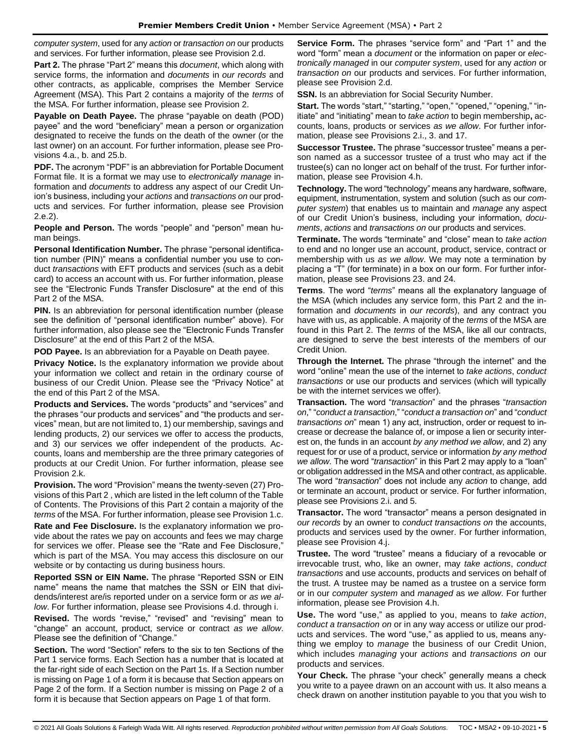*computer system*, used for any *action* or *transaction on* our products and services. For further information, please see Provision 2.d.

**Part 2.** The phrase "Part 2" means this *document*, which along with service forms, the information and *documents* in *our records* and other contracts, as applicable, comprises the Member Service Agreement (MSA). This Part 2 contains a majority of the *terms* of the MSA. For further information, please see Provision 2.

**Payable on Death Payee.** The phrase "payable on death (POD) payee" and the word "beneficiary" mean a person or organization designated to receive the funds on the death of the owner (or the last owner) on an account. For further information, please see Provisions 4.a., b. and 25.b.

**PDF.** The acronym "PDF" is an abbreviation for Portable Document Format file. It is a format we may use to *electronically manage* information and *documents* to address any aspect of our Credit Union's business, including your *actions* and *transactions on* our products and services. For further information, please see Provision 2.e.2).

**People and Person.** The words "people" and "person" mean human beings.

**Personal Identification Number.** The phrase "personal identification number (PIN)" means a confidential number you use to conduct *transactions* with EFT products and services (such as a debit card) to access an account with us. For further information, please see the "Electronic Funds Transfer Disclosure" at the end of this Part 2 of the MSA.

**PIN.** Is an abbreviation for personal identification number (please see the definition of "personal identification number" above). For further information, also please see the "Electronic Funds Transfer Disclosure" at the end of this Part 2 of the MSA.

**POD Payee.** Is an abbreviation for a Payable on Death payee.

**Privacy Notice.** Is the explanatory information we provide about your information we collect and retain in the ordinary course of business of our Credit Union. Please see the "Privacy Notice" at the end of this Part 2 of the MSA.

**Products and Services.** The words "products" and "services" and the phrases "our products and services" and "the products and services" mean, but are not limited to, 1) our membership, savings and lending products, 2) our services we offer to access the products, and 3) our services we offer independent of the products. Accounts, loans and membership are the three primary categories of products at our Credit Union. For further information, please see Provision 2.k.

**Provision.** The word "Provision" means the twenty-seven (27) Provisions of this Part 2 , which are listed in the left column of the Table of Contents. The Provisions of this Part 2 contain a majority of the *terms* of the MSA. For further information, please see Provision 1.c.

**Rate and Fee Disclosure.** Is the explanatory information we provide about the rates we pay on accounts and fees we may charge for services we offer. Please see the "Rate and Fee Disclosure," which is part of the MSA. You may access this disclosure on our website or by contacting us during business hours.

**Reported SSN or EIN Name.** The phrase "Reported SSN or EIN name" means the name that matches the SSN or EIN that dividends/interest are/is reported under on a service form or *as we allow*. For further information, please see Provisions 4.d. through i.

**Revised.** The words "revise," "revised" and "revising" mean to "change" an account, product, service or contract *as we allow*. Please see the definition of "Change."

**Section.** The word "Section" refers to the six to ten Sections of the Part 1 service forms. Each Section has a number that is located at the far-right side of each Section on the Part 1s. If a Section number is missing on Page 1 of a form it is because that Section appears on Page 2 of the form. If a Section number is missing on Page 2 of a form it is because that Section appears on Page 1 of that form.

**Service Form.** The phrases "service form" and "Part 1" and the word "form" mean a *document* or the information on paper or *electronically managed* in our *computer system*, used for any *action* or *transaction on* our products and services. For further information, please see Provision 2.d.

**SSN.** Is an abbreviation for Social Security Number.

**Start.** The words "start," "starting," "open," "opened," "opening," "initiate" and "initiating" mean to *take action* to begin membership**,** accounts, loans, products or services *as we allow*. For further information, please see Provisions 2.i., 3. and 17.

**Successor Trustee.** The phrase "successor trustee" means a person named as a successor trustee of a trust who may act if the trustee(s) can no longer act on behalf of the trust. For further information, please see Provision 4.h.

**Technology.** The word "technology" means any hardware, software, equipment, instrumentation, system and solution (such as our *computer system*) that enables us to maintain and *manage* any aspect of our Credit Union's business, including your information, *documents*, *actions* and *transactions on* our products and services.

**Terminate.** The words "terminate" and "close" mean to *take action* to end and no longer use an account, product, service, contract or membership with us *as we allow*. We may note a termination by placing a "T" (for terminate) in a box on our form. For further information, please see Provisions 23. and 24.

**Terms**. The word "*terms*" means all the explanatory language of the MSA (which includes any service form, this Part 2 and the information and *documents* in *our records*), and any contract you have with us, as applicable. A majority of the *terms* of the MSA are found in this Part 2. The *terms* of the MSA, like all our contracts, are designed to serve the best interests of the members of our Credit Union.

**Through the Internet.** The phrase "through the internet" and the word "online" mean the use of the internet to *take actions*, *conduct transactions* or use our products and services (which will typically be with the internet services we offer).

**Transaction.** The word "*transaction*" and the phrases "*transaction on*," "*conduct a transaction*," "*conduct a transaction on*" and "*conduct transactions on*" mean 1) any act, instruction, order or request to increase or decrease the balance of, or impose a lien or security interest on, the funds in an account *by any method we allow*, and 2) any request for or use of a product, service or information *by any method we allow*. The word "*transaction*" in this Part 2 may apply to a "loan" or obligation addressed in the MSA and other contract, as applicable. The word "*transaction*" does not include any *action* to change, add or terminate an account, product or service. For further information, please see Provisions 2.i. and 5.

**Transactor.** The word "transactor" means a person designated in *our records* by an owner to *conduct transactions on* the accounts, products and services used by the owner. For further information, please see Provision 4.j.

**Trustee.** The word "trustee" means a fiduciary of a revocable or irrevocable trust, who, like an owner, may *take actions*, *conduct transactions* and use accounts, products and services on behalf of the trust. A trustee may be named as a trustee on a service form or in our *computer system* and *managed* as *we allow*. For further information, please see Provision 4.h.

**Use.** The word "use," as applied to you, means to *take action*, *conduct a transaction on* or in any way access or utilize our products and services. The word "use," as applied to us, means anything we employ to *manage* the business of our Credit Union, which includes *managing* your *actions* and *transactions on* our products and services.

**Your Check.** The phrase "your check" generally means a check you write to a payee drawn on an account with us. It also means a check drawn on another institution payable to you that you wish to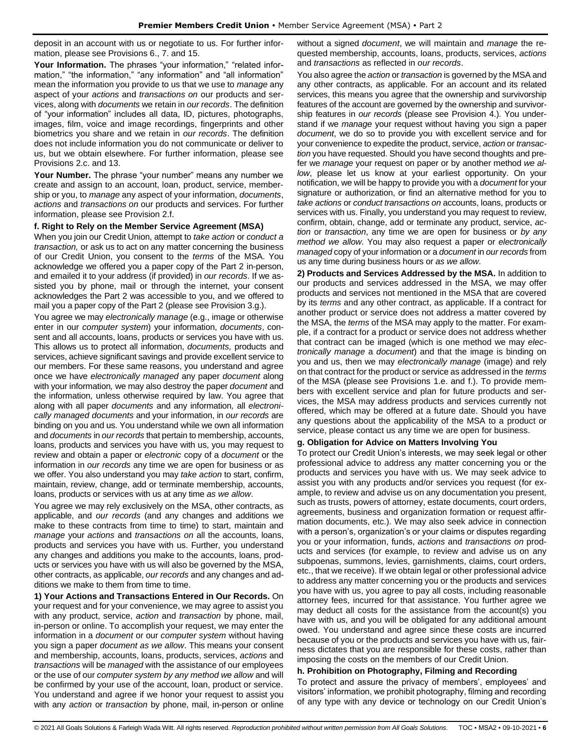deposit in an account with us or negotiate to us. For further information, please see Provisions 6., 7. and 15.

**Your Information.** The phrases "your information," "related information," "the information," "any information" and "all information" mean the information you provide to us that we use to *manage* any aspect of your *actions* and *transactions on* our products and services, along with *documents* we retain in *our records*. The definition of "your information" includes all data, ID, pictures, photographs, images, film, voice and image recordings, fingerprints and other biometrics you share and we retain in *our records*. The definition does not include information you do not communicate or deliver to us, but we obtain elsewhere. For further information, please see Provisions 2.c. and 13.

**Your Number.** The phrase "your number" means any number we create and assign to an account, loan, product, service, membership or you, to *manage* any aspect of your information, *documents*, *actions* and *transactions on* our products and services. For further information, please see Provision 2.f.

### **f. Right to Rely on the Member Service Agreement (MSA)**

When you join our Credit Union, attempt to *take action* or *conduct a transaction,* or ask us to act on any matter concerning the business of our Credit Union, you consent to the *terms* of the MSA. You acknowledge we offered you a paper copy of the Part 2 in-person, and emailed it to your address (if provided) in *our records*. If we assisted you by phone, mail or through the internet, your consent acknowledges the Part 2 was accessible to you, and we offered to mail you a paper copy of the Part 2 (please see Provision 3.g.).

You agree we may *electronically manage* (e.g., image or otherwise enter in our *computer system*) your information, *documents*, consent and all accounts, loans, products or services you have with us. This allows us to protect all information, *documents,* products and services, achieve significant savings and provide excellent service to our members. For these same reasons, you understand and agree once we have *electronically managed* any paper *document* along with your information*,* we may also destroy the paper *document* and the information, unless otherwise required by law. You agree that along with all paper *documents* and any information*,* all *electronically managed documents* and your information, in *our records* are binding on you and us. You understand while we own all information and *documents* in *our records* that pertain to membership, accounts, loans, products and services you have with us, you may request to review and obtain a paper or *electronic* copy of a *document* or the information in *our records* any time we are open for business or as we offer. You also understand you may *take action* to start, confirm, maintain, review, change, add or terminate membership, accounts, loans, products or services with us at any time *as we allow*.

You agree we may rely exclusively on the MSA, other contracts, as applicable, and *our records* (and any changes and additions we make to these contracts from time to time) to start, maintain and *manage* your *actions* and *transactions on* all the accounts, loans, products and services you have with us. Further, you understand any changes and additions you make to the accounts, loans, products or services you have with us will also be governed by the MSA, other contracts, as applicable, *our records* and any changes and additions we make to them from time to time.

**1) Your Actions and Transactions Entered in Our Records.** On your request and for your convenience, we may agree to assist you with any product, service, *action* and *transaction* by phone, mail, in-person or online. To accomplish your request, we may enter the information in a *document* or our *computer system* without having you sign a paper *document as we allow*. This means your consent and membership, accounts, loans, products, services, *actions* and *transactions* will be *managed* with the assistance of our employees or the use of our *computer system by any method we allow* and will be confirmed by your use of the account, loan, product or service. You understand and agree if we honor your request to assist you with any *action* or *transaction* by phone, mail, in-person or online without a signed *document*, we will maintain and *manage* the requested membership, accounts, loans, products, services, *actions* and *transactions* as reflected in *our records*.

You also agree the *action* or *transaction* is governed by the MSA and any other contracts, as applicable. For an account and its related services, this means you agree that the ownership and survivorship features of the account are governed by the ownership and survivorship features in *our records* (please see Provision 4.). You understand if we *manage* your request without having you sign a paper *document*, we do so to provide you with excellent service and for your convenience to expedite the product, service, *action* or *transaction* you have requested. Should you have second thoughts and prefer we *manage* your request on paper or by another method *we allow*, please let us know at your earliest opportunity. On your notification, we will be happy to provide you with a *document* for your signature or authorization, or find an alternative method for you to *take actions* or *conduct transactions on* accounts, loans, products or services with us. Finally, you understand you may request to review, confirm, obtain, change, add or terminate any product, service, *action* or *transaction*, any time we are open for business or *by any method we allow*. You may also request a paper or *electronically managed* copy of your information or a *document* in *our records* from us any time during business hours or *as we allow*.

**2) Products and Services Addressed by the MSA.** In addition to our products and services addressed in the MSA, we may offer products and services not mentioned in the MSA that are covered by its *terms* and any other contract, as applicable. If a contract for another product or service does not address a matter covered by the MSA, the *terms* of the MSA may apply to the matter. For example, if a contract for a product or service does not address whether that contract can be imaged (which is one method we may *electronically manage* a *document*) and that the image is binding on you and us, then we may *electronically manage* (image) and rely on that contract for the product or service as addressed in the *terms* of the MSA (please see Provisions 1.e. and f.). To provide members with excellent service and plan for future products and services, the MSA may address products and services currently not offered, which may be offered at a future date. Should you have any questions about the applicability of the MSA to a product or service, please contact us any time we are open for business.

# **g. Obligation for Advice on Matters Involving You**

To protect our Credit Union's interests, we may seek legal or other professional advice to address any matter concerning you or the products and services you have with us. We may seek advice to assist you with any products and/or services you request (for example, to review and advise us on any documentation you present, such as trusts, powers of attorney, estate documents, court orders, agreements, business and organization formation or request affirmation documents, etc.). We may also seek advice in connection with a person's, organization's or your claims or disputes regarding you or your information, funds, *actions* and *transactions on* products and services (for example, to review and advise us on any subpoenas, summons, levies, garnishments, claims, court orders, etc., that we receive). If we obtain legal or other professional advice to address any matter concerning you or the products and services you have with us, you agree to pay all costs, including reasonable attorney fees, incurred for that assistance. You further agree we may deduct all costs for the assistance from the account(s) you have with us, and you will be obligated for any additional amount owed. You understand and agree since these costs are incurred because of you or the products and services you have with us, fairness dictates that you are responsible for these costs, rather than imposing the costs on the members of our Credit Union.

# **h. Prohibition on Photography, Filming and Recording**

To protect and assure the privacy of members', employees' and visitors' information, we prohibit photography, filming and recording of any type with any device or technology on our Credit Union's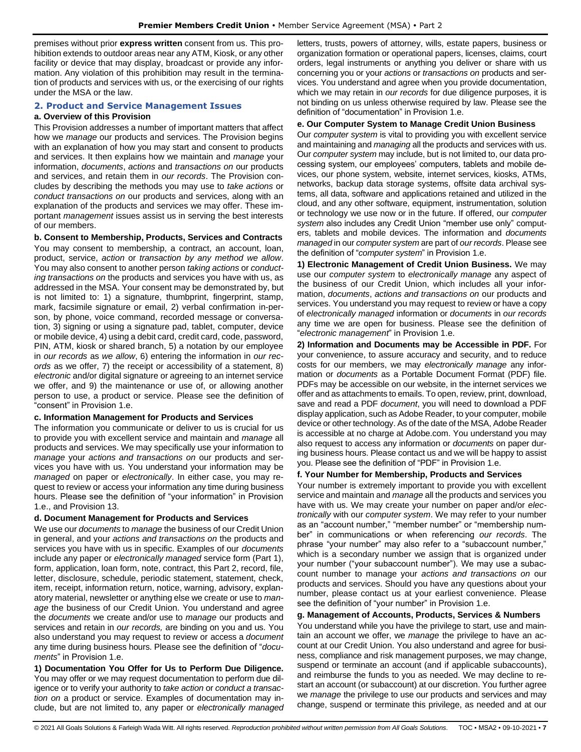premises without prior **express written** consent from us. This prohibition extends to outdoor areas near any ATM, Kiosk, or any other facility or device that may display, broadcast or provide any information. Any violation of this prohibition may result in the termination of products and services with us, or the exercising of our rights under the MSA or the law.

# <span id="page-6-0"></span>**2. Product and Service Management Issues**

#### **a. Overview of this Provision**

This Provision addresses a number of important matters that affect how we *manage* our products and services. The Provision begins with an explanation of how you may start and consent to products and services. It then explains how we maintain and *manage* your information, *documents*, *actions* and *transactions on* our products and services, and retain them in *our records*. The Provision concludes by describing the methods you may use to *take actions* or *conduct transactions on* our products and services, along with an explanation of the products and services we may offer. These important *management* issues assist us in serving the best interests of our members.

**b. Consent to Membership, Products, Services and Contracts** You may consent to membership, a contract, an account, loan, product, service, *action* or *transaction by any method we allow*. You may also consent to another person *taking actions* or *conducting transactions on* the products and services you have with us, as addressed in the MSA. Your consent may be demonstrated by, but is not limited to: 1) a signature, thumbprint, fingerprint, stamp, mark, facsimile signature or email, 2) verbal confirmation in-person, by phone, voice command, recorded message or conversation, 3) signing or using a signature pad, tablet, computer, device or mobile device, 4) using a debit card, credit card, code, password, PIN, ATM, kiosk or shared branch, 5) a notation by our employee in *our records* as *we allow*, 6) entering the information in *our records* as we offer, 7) the receipt or accessibility of a statement, 8) *electronic* and/or digital signature or agreeing to an internet service we offer, and 9) the maintenance or use of, or allowing another person to use, a product or service. Please see the definition of "consent" in Provision 1.e.

#### **c. Information Management for Products and Services**

The information you communicate or deliver to us is crucial for us to provide you with excellent service and maintain and *manage* all products and services. We may specifically use your information to *manage* your *actions and transactions on* our products and services you have with us. You understand your information may be *managed* on paper or *electronically*. In either case, you may request to review or access your information any time during business hours. Please see the definition of "your information" in Provision 1.e., and Provision 13.

#### **d. Document Management for Products and Services**

We use our *documents* to *manage* the business of our Credit Union in general, and your *actions and transactions on* the products and services you have with us in specific. Examples of our *documents* include any paper or *electronically managed* service form (Part 1), form, application, loan form, note, contract, this Part 2, record, file, letter, disclosure, schedule, periodic statement, statement, check, item, receipt, information return, notice, warning, advisory, explanatory material, newsletter or anything else we create or use to *manage* the business of our Credit Union. You understand and agree the *documents* we create and/or use to *manage* our products and services and retain in *our records,* are binding on you and us. You also understand you may request to review or access a *document*  any time during business hours. Please see the definition of "*documents*" in Provision 1.e.

**1) Documentation You Offer for Us to Perform Due Diligence.** You may offer or we may request documentation to perform due diligence or to verify your authority to *take action* or *conduct a transaction on* a product or service. Examples of documentation may include, but are not limited to, any paper or *electronically managed* letters, trusts, powers of attorney, wills, estate papers, business or organization formation or operational papers, licenses, claims, court orders, legal instruments or anything you deliver or share with us concerning you or your *actions* or *transactions on* products and services. You understand and agree when you provide documentation, which we may retain in *our records* for due diligence purposes, it is not binding on us unless otherwise required by law. Please see the definition of "documentation" in Provision 1.e.

#### **e. Our Computer System to Manage Credit Union Business**

Our *computer system* is vital to providing you with excellent service and maintaining and *managing* all the products and services with us. Our *computer system* may include, but is not limited to, our data processing system, our employees' computers, tablets and mobile devices, our phone system, website, internet services, kiosks, ATMs, networks, backup data storage systems, offsite data archival systems, all data, software and applications retained and utilized in the cloud, and any other software, equipment, instrumentation, solution or technology we use now or in the future. If offered, our *computer system* also includes any Credit Union "member use only" computers, tablets and mobile devices. The information and *documents managed* in our *computer system* are part of *our records*. Please see the definition of "*computer system*" in Provision 1.e.

**1) Electronic Management of Credit Union Business.** We may use our *computer system* to *electronically manage* any aspect of the business of our Credit Union, which includes all your information, *documents*, *actions and transactions on* our products and services. You understand you may request to review or have a copy of *electronically managed* information or *documents* in *our records* any time we are open for business. Please see the definition of "*electronic management*" in Provision 1.e.

**2) Information and Documents may be Accessible in PDF.** For your convenience, to assure accuracy and security, and to reduce costs for our members, we may *electronically manage* any information or *documents* as a Portable Document Format (PDF) file. PDFs may be accessible on our website, in the internet services we offer and as attachments to emails. To open, review, print, download, save and read a PDF *document*, you will need to download a PDF display application, such as Adobe Reader, to your computer, mobile device or other technology. As of the date of the MSA, Adobe Reader is accessible at no charge at Adobe.com. You understand you may also request to access any information or *documents* on paper during business hours. Please contact us and we will be happy to assist you. Please see the definition of "PDF" in Provision 1.e.

#### **f. Your Number for Membership, Products and Services**

Your number is extremely important to provide you with excellent service and maintain and *manage* all the products and services you have with us. We may create your number on paper and/or *electronically* with our *computer system*. We may refer to your number as an "account number," "member number" or "membership number" in communications or when referencing *our records*. The phrase "your number" may also refer to a "subaccount number," which is a secondary number we assign that is organized under your number ("your subaccount number"). We may use a subaccount number to manage your *actions and transactions on* our products and services. Should you have any questions about your number, please contact us at your earliest convenience. Please see the definition of "your number" in Provision 1.e.

# **g. Management of Accounts, Products, Services & Numbers**

You understand while you have the privilege to start, use and maintain an account we offer, we *manage* the privilege to have an account at our Credit Union. You also understand and agree for business, compliance and risk management purposes, we may change, suspend or terminate an account (and if applicable subaccounts), and reimburse the funds to you as needed. We may decline to restart an account (or subaccount) at our discretion. You further agree we *manage* the privilege to use our products and services and may change, suspend or terminate this privilege, as needed and at our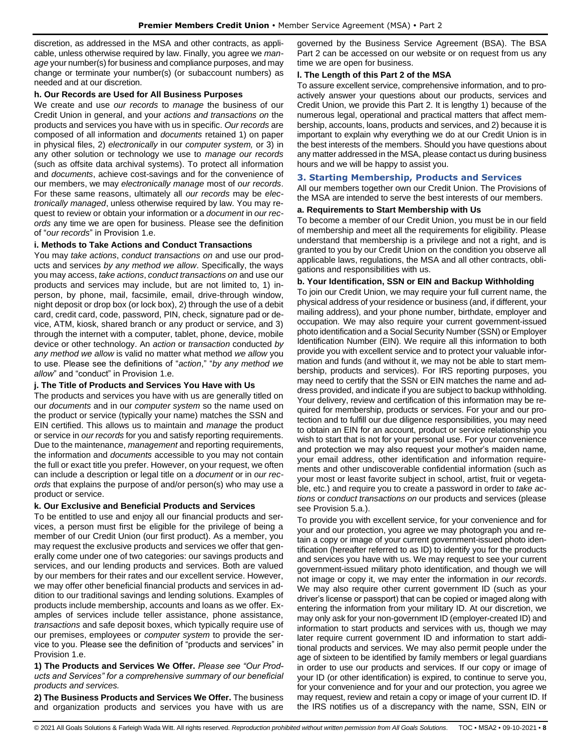discretion, as addressed in the MSA and other contracts, as applicable, unless otherwise required by law. Finally, you agree we *manage* your number(s) for business and compliance purposes, and may change or terminate your number(s) (or subaccount numbers) as needed and at our discretion.

#### **h. Our Records are Used for All Business Purposes**

We create and use *our records* to *manage* the business of our Credit Union in general, and your *actions and transactions on* the products and services you have with us in specific. *Our records* are composed of all information and *documents* retained 1) on paper in physical files, 2) *electronically* in our *computer system,* or 3) in any other solution or technology we use to *manage our records* (such as offsite data archival systems). To protect all information and *documents*, achieve cost-savings and for the convenience of our members, we may *electronically manage* most of *our records*. For these same reasons, ultimately all *our records* may be *electronically managed*, unless otherwise required by law. You may request to review or obtain your information or a *document* in *our records* any time we are open for business. Please see the definition of "*our records*" in Provision 1.e.

### **i. Methods to Take Actions and Conduct Transactions**

You may *take actions*, *conduct transactions on* and use our products and services *by any method we allow*. Specifically, the ways you may access, *take actions*, *conduct transactions on* and use our products and services may include, but are not limited to, 1) inperson, by phone, mail, facsimile, email, drive-through window, night deposit or drop box (or lock box), 2) through the use of a debit card, credit card, code, password, PIN, check, signature pad or device, ATM, kiosk, shared branch or any product or service, and 3) through the internet with a computer, tablet, phone, device, mobile device or other technology. An *action* or *transaction* conducted *by any method we allow* is valid no matter what method *we allow* you to use. Please see the definitions of "*action*," "*by any method we allow*" and "conduct" in Provision 1.e.

# **j. The Title of Products and Services You Have with Us**

The products and services you have with us are generally titled on our *documents* and in our *computer system* so the name used on the product or service (typically your name) matches the SSN and EIN certified. This allows us to maintain and *manage* the product or service in *our records* for you and satisfy reporting requirements. Due to the maintenance, *management* and reporting requirements, the information and *documents* accessible to you may not contain the full or exact title you prefer. However, on your request, we often can include a description or legal title on a *document* or in *our records* that explains the purpose of and/or person(s) who may use a product or service.

# **k. Our Exclusive and Beneficial Products and Services**

To be entitled to use and enjoy all our financial products and services, a person must first be eligible for the privilege of being a member of our Credit Union (our first product). As a member, you may request the exclusive products and services we offer that generally come under one of two categories: our savings products and services, and our lending products and services. Both are valued by our members for their rates and our excellent service. However, we may offer other beneficial financial products and services in addition to our traditional savings and lending solutions. Examples of products include membership, accounts and loans as we offer. Examples of services include teller assistance, phone assistance, *transactions* and safe deposit boxes, which typically require use of our premises, employees or *computer system* to provide the service to you. Please see the definition of "products and services" in Provision 1.e.

**1) The Products and Services We Offer.** *Please see "Our Products and Services" for a comprehensive summary of our beneficial products and services.*

**2) The Business Products and Services We Offer.** The business and organization products and services you have with us are

governed by the Business Service Agreement (BSA). The BSA Part 2 can be accessed on our website or on request from us any time we are open for business.

## **l. The Length of this Part 2 of the MSA**

To assure excellent service, comprehensive information, and to proactively answer your questions about our products, services and Credit Union, we provide this Part 2. It is lengthy 1) because of the numerous legal, operational and practical matters that affect membership, accounts, loans, products and services, and 2) because it is important to explain why everything we do at our Credit Union is in the best interests of the members. Should you have questions about any matter addressed in the MSA, please contact us during business hours and we will be happy to assist you.

## <span id="page-7-0"></span>**3. Starting Membership, Products and Services**

All our members together own our Credit Union. The Provisions of the MSA are intended to serve the best interests of our members.

### **a. Requirements to Start Membership with Us**

To become a member of our Credit Union, you must be in our field of membership and meet all the requirements for eligibility. Please understand that membership is a privilege and not a right, and is granted to you by our Credit Union on the condition you observe all applicable laws, regulations, the MSA and all other contracts, obligations and responsibilities with us.

### **b. Your Identification, SSN or EIN and Backup Withholding**

To join our Credit Union, we may require your full current name, the physical address of your residence or business (and, if different, your mailing address), and your phone number, birthdate, employer and occupation. We may also require your current government-issued photo identification and a Social Security Number (SSN) or Employer Identification Number (EIN). We require all this information to both provide you with excellent service and to protect your valuable information and funds (and without it, we may not be able to start membership, products and services). For IRS reporting purposes, you may need to certify that the SSN or EIN matches the name and address provided, and indicate if you are subject to backup withholding. Your delivery, review and certification of this information may be required for membership, products or services. For your and our protection and to fulfill our due diligence responsibilities, you may need to obtain an EIN for an account, product or service relationship you wish to start that is not for your personal use. For your convenience and protection we may also request your mother's maiden name, your email address, other identification and information requirements and other undiscoverable confidential information (such as your most or least favorite subject in school, artist, fruit or vegetable, etc.) and require you to create a password in order to *take actions* or *conduct transactions on* our products and services (please see Provision 5.a.).

To provide you with excellent service, for your convenience and for your and our protection, you agree we may photograph you and retain a copy or image of your current government-issued photo identification (hereafter referred to as ID) to identify you for the products and services you have with us. We may request to see your current government-issued military photo identification, and though we will not image or copy it, we may enter the information in *our records*. We may also require other current government ID (such as your driver's license or passport) that can be copied or imaged along with entering the information from your military ID. At our discretion, we may only ask for your non-government ID (employer-created ID) and information to start products and services with us, though we may later require current government ID and information to start additional products and services. We may also permit people under the age of sixteen to be identified by family members or legal guardians in order to use our products and services. If our copy or image of your ID (or other identification) is expired, to continue to serve you, for your convenience and for your and our protection, you agree we may request, review and retain a copy or image of your current ID. If the IRS notifies us of a discrepancy with the name, SSN, EIN or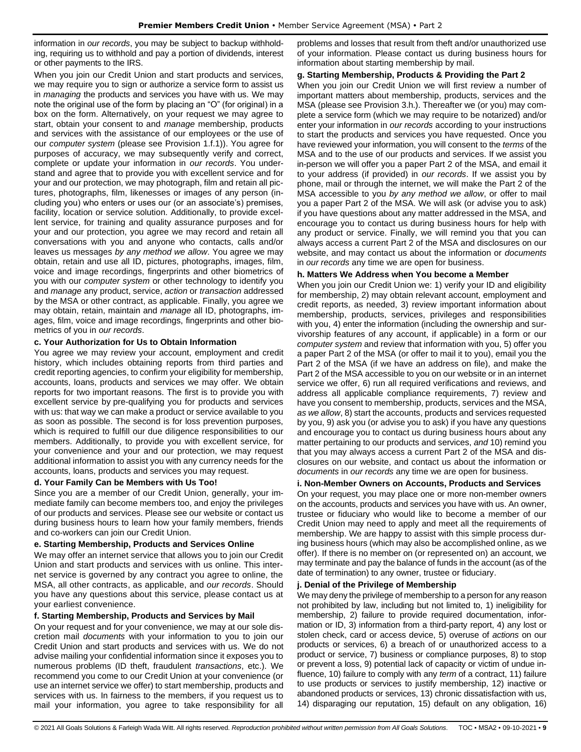information in *our records*, you may be subject to backup withholding, requiring us to withhold and pay a portion of dividends, interest or other payments to the IRS.

When you join our Credit Union and start products and services, we may require you to sign or authorize a service form to assist us in *managing* the products and services you have with us. We may note the original use of the form by placing an "O" (for original) in a box on the form. Alternatively, on your request we may agree to start, obtain your consent to and *manage* membership, products and services with the assistance of our employees or the use of our *computer system* (please see Provision 1.f.1)). You agree for purposes of accuracy, we may subsequently verify and correct, complete or update your information in *our records*. You understand and agree that to provide you with excellent service and for your and our protection, we may photograph, film and retain all pictures, photographs, film, likenesses or images of any person (including you) who enters or uses our (or an associate's) premises, facility, location or service solution. Additionally, to provide excellent service, for training and quality assurance purposes and for your and our protection, you agree we may record and retain all conversations with you and anyone who contacts, calls and/or leaves us messages *by any method we allow*. You agree we may obtain, retain and use all ID, pictures, photographs, images, film, voice and image recordings, fingerprints and other biometrics of you with our *computer system* or other technology to identify you and *manage* any product, service, *action* or *transaction* addressed by the MSA or other contract, as applicable. Finally, you agree we may obtain, retain, maintain and *manage* all ID, photographs, images, film, voice and image recordings, fingerprints and other biometrics of you in *our records*.

### **c. Your Authorization for Us to Obtain Information**

You agree we may review your account, employment and credit history, which includes obtaining reports from third parties and credit reporting agencies, to confirm your eligibility for membership, accounts, loans, products and services we may offer. We obtain reports for two important reasons. The first is to provide you with excellent service by pre-qualifying you for products and services with us: that way we can make a product or service available to you as soon as possible. The second is for loss prevention purposes, which is required to fulfill our due diligence responsibilities to our members. Additionally, to provide you with excellent service, for your convenience and your and our protection, we may request additional information to assist you with any currency needs for the accounts, loans, products and services you may request.

# **d. Your Family Can be Members with Us Too!**

Since you are a member of our Credit Union, generally, your immediate family can become members too, and enjoy the privileges of our products and services. Please see our website or contact us during business hours to learn how your family members, friends and co-workers can join our Credit Union.

#### **e. Starting Membership, Products and Services Online**

We may offer an internet service that allows you to join our Credit Union and start products and services with us online. This internet service is governed by any contract you agree to online, the MSA, all other contracts, as applicable, and *our records*. Should you have any questions about this service, please contact us at your earliest convenience.

# **f. Starting Membership, Products and Services by Mail**

On your request and for your convenience, we may at our sole discretion mail *documents* with your information to you to join our Credit Union and start products and services with us. We do not advise mailing your confidential information since it exposes you to numerous problems (ID theft, fraudulent *transactions*, etc.). We recommend you come to our Credit Union at your convenience (or use an internet service we offer) to start membership, products and services with us. In fairness to the members, if you request us to mail your information, you agree to take responsibility for all

problems and losses that result from theft and/or unauthorized use of your information. Please contact us during business hours for information about starting membership by mail.

#### **g. Starting Membership, Products & Providing the Part 2**

When you join our Credit Union we will first review a number of important matters about membership, products, services and the MSA (please see Provision 3.h.). Thereafter we (or you) may complete a service form (which we may require to be notarized) and/or enter your information in *our records* according to your instructions to start the products and services you have requested. Once you have reviewed your information, you will consent to the *terms* of the MSA and to the use of our products and services. If we assist you in-person we will offer you a paper Part 2 of the MSA, and email it to your address (if provided) in *our records*. If we assist you by phone, mail or through the internet, we will make the Part 2 of the MSA accessible to you *by any method we allow*, or offer to mail you a paper Part 2 of the MSA. We will ask (or advise you to ask) if you have questions about any matter addressed in the MSA, and encourage you to contact us during business hours for help with any product or service. Finally, we will remind you that you can always access a current Part 2 of the MSA and disclosures on our website, and may contact us about the information or *documents*  in *our records* any time we are open for business.

### **h. Matters We Address when You become a Member**

When you join our Credit Union we: 1) verify your ID and eligibility for membership, 2) may obtain relevant account, employment and credit reports, as needed, 3) review important information about membership, products, services, privileges and responsibilities with you, 4) enter the information (including the ownership and survivorship features of any account, if applicable) in a form or our *computer system* and review that information with you, 5) offer you a paper Part 2 of the MSA (or offer to mail it to you), email you the Part 2 of the MSA (if we have an address on file), and make the Part 2 of the MSA accessible to you on our website or in an internet service we offer, 6) run all required verifications and reviews, and address all applicable compliance requirements, 7) review and have you consent to membership, products, services and the MSA, *as we allow*, 8) start the accounts, products and services requested by you, 9) ask you (or advise you to ask) if you have any questions and encourage you to contact us during business hours about any matter pertaining to our products and services, *and* 10) remind you that you may always access a current Part 2 of the MSA and disclosures on our website, and contact us about the information or *documents* in *our records* any time we are open for business.

# **i. Non-Member Owners on Accounts, Products and Services**

On your request, you may place one or more non-member owners on the accounts, products and services you have with us. An owner, trustee or fiduciary who would like to become a member of our Credit Union may need to apply and meet all the requirements of membership. We are happy to assist with this simple process during business hours (which may also be accomplished online, as we offer). If there is no member on (or represented on) an account, we may terminate and pay the balance of funds in the account (as of the date of termination) to any owner, trustee or fiduciary.

#### **j. Denial of the Privilege of Membership**

We may deny the privilege of membership to a person for any reason not prohibited by law, including but not limited to, 1) ineligibility for membership, 2) failure to provide required documentation, information or ID, 3) information from a third-party report, 4) any lost or stolen check, card or access device, 5) overuse of *actions* on our products or services, 6) a breach of or unauthorized access to a product or service, 7) business or compliance purposes, 8) to stop or prevent a loss, 9) potential lack of capacity or victim of undue influence, 10) failure to comply with any *term* of a contract, 11) failure to use products or services to justify membership, 12) inactive or abandoned products or services, 13) chronic dissatisfaction with us, 14) disparaging our reputation, 15) default on any obligation, 16)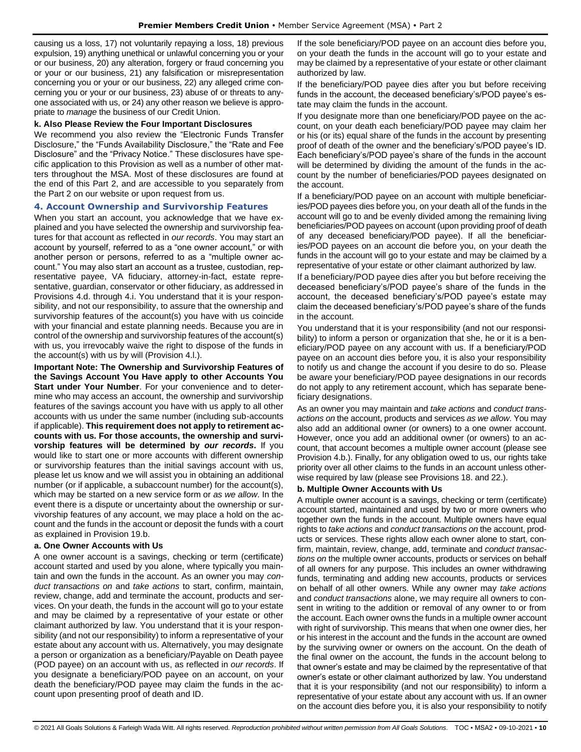causing us a loss, 17) not voluntarily repaying a loss, 18) previous expulsion, 19) anything unethical or unlawful concerning you or your or our business, 20) any alteration, forgery or fraud concerning you or your or our business, 21) any falsification or misrepresentation concerning you or your or our business, 22) any alleged crime concerning you or your or our business, 23) abuse of or threats to anyone associated with us, or 24) any other reason we believe is appropriate to *manage* the business of our Credit Union.

#### **k. Also Please Review the Four Important Disclosures**

We recommend you also review the "Electronic Funds Transfer Disclosure," the "Funds Availability Disclosure," the "Rate and Fee Disclosure" and the "Privacy Notice." These disclosures have specific application to this Provision as well as a number of other matters throughout the MSA. Most of these disclosures are found at the end of this Part 2, and are accessible to you separately from the Part 2 on our website or upon request from us.

### <span id="page-9-0"></span>**4. Account Ownership and Survivorship Features**

When you start an account, you acknowledge that we have explained and you have selected the ownership and survivorship features for that account as reflected in *our records*. You may start an account by yourself, referred to as a "one owner account," or with another person or persons, referred to as a "multiple owner account." You may also start an account as a trustee, custodian, representative payee, VA fiduciary, attorney-in-fact, estate representative, guardian, conservator or other fiduciary, as addressed in Provisions 4.d. through 4.i. You understand that it is your responsibility, and not our responsibility, to assure that the ownership and survivorship features of the account(s) you have with us coincide with your financial and estate planning needs. Because you are in control of the ownership and survivorship features of the account(s) with us, you irrevocably waive the right to dispose of the funds in the account(s) with us by will (Provision 4.l.).

**Important Note: The Ownership and Survivorship Features of the Savings Account You Have apply to other Accounts You Start under Your Number**. For your convenience and to determine who may access an account, the ownership and survivorship features of the savings account you have with us apply to all other accounts with us under the same number (including sub-accounts if applicable). **This requirement does not apply to retirement accounts with us. For those accounts, the ownership and survivorship features will be determined by** *our records***.** If you would like to start one or more accounts with different ownership or survivorship features than the initial savings account with us, please let us know and we will assist you in obtaining an additional number (or if applicable, a subaccount number) for the account(s), which may be started on a new service form or *as we allow*. In the event there is a dispute or uncertainty about the ownership or survivorship features of any account, we may place a hold on the account and the funds in the account or deposit the funds with a court as explained in Provision 19.b.

# **a. One Owner Accounts with Us**

A one owner account is a savings, checking or term (certificate) account started and used by you alone, where typically you maintain and own the funds in the account. As an owner you may *conduct transactions on* and *take actions* to start, confirm, maintain, review, change, add and terminate the account, products and services. On your death, the funds in the account will go to your estate and may be claimed by a representative of your estate or other claimant authorized by law. You understand that it is your responsibility (and not our responsibility) to inform a representative of your estate about any account with us. Alternatively, you may designate a person or organization as a beneficiary/Payable on Death payee (POD payee) on an account with us, as reflected in *our records*. If you designate a beneficiary/POD payee on an account, on your death the beneficiary/POD payee may claim the funds in the account upon presenting proof of death and ID.

If the sole beneficiary/POD payee on an account dies before you, on your death the funds in the account will go to your estate and may be claimed by a representative of your estate or other claimant authorized by law.

If the beneficiary/POD payee dies after you but before receiving funds in the account, the deceased beneficiary's/POD payee's estate may claim the funds in the account.

If you designate more than one beneficiary/POD payee on the account, on your death each beneficiary/POD payee may claim her or his (or its) equal share of the funds in the account by presenting proof of death of the owner and the beneficiary's/POD payee's ID. Each beneficiary's/POD payee's share of the funds in the account will be determined by dividing the amount of the funds in the account by the number of beneficiaries/POD payees designated on the account.

If a beneficiary/POD payee on an account with multiple beneficiaries/POD payees dies before you, on your death all of the funds in the account will go to and be evenly divided among the remaining living beneficiaries/POD payees on account (upon providing proof of death of any deceased beneficiary/POD payee). If all the beneficiaries/POD payees on an account die before you, on your death the funds in the account will go to your estate and may be claimed by a representative of your estate or other claimant authorized by law.

If a beneficiary/POD payee dies after you but before receiving the deceased beneficiary's/POD payee's share of the funds in the account, the deceased beneficiary's/POD payee's estate may claim the deceased beneficiary's/POD payee's share of the funds in the account.

You understand that it is your responsibility (and not our responsibility) to inform a person or organization that she, he or it is a beneficiary/POD payee on any account with us. If a beneficiary/POD payee on an account dies before you, it is also your responsibility to notify us and change the account if you desire to do so. Please be aware your beneficiary/POD payee designations in our records do not apply to any retirement account, which has separate beneficiary designations.

As an owner you may maintain and *take actions* and *conduct transactions on* the account, products and services *as we allow*. You may also add an additional owner (or owners) to a one owner account. However, once you add an additional owner (or owners) to an account, that account becomes a multiple owner account (please see Provision 4.b.). Finally, for any obligation owed to us, our rights take priority over all other claims to the funds in an account unless otherwise required by law (please see Provisions 18. and 22.).

# **b. Multiple Owner Accounts with Us**

A multiple owner account is a savings, checking or term (certificate) account started, maintained and used by two or more owners who together own the funds in the account. Multiple owners have equal rights to *take actions* and *conduct transactions on* the account, products or services. These rights allow each owner alone to start, confirm, maintain, review, change, add, terminate and *conduct transactions on* the multiple owner accounts, products or services on behalf of all owners for any purpose. This includes an owner withdrawing funds, terminating and adding new accounts, products or services on behalf of all other owners. While any owner may *take actions* and *conduct transactions* alone, we may require all owners to consent in writing to the addition or removal of any owner to or from the account. Each owner owns the funds in a multiple owner account with right of survivorship. This means that when one owner dies, her or his interest in the account and the funds in the account are owned by the surviving owner or owners on the account. On the death of the final owner on the account, the funds in the account belong to that owner's estate and may be claimed by the representative of that owner's estate or other claimant authorized by law. You understand that it is your responsibility (and not our responsibility) to inform a representative of your estate about any account with us. If an owner on the account dies before you, it is also your responsibility to notify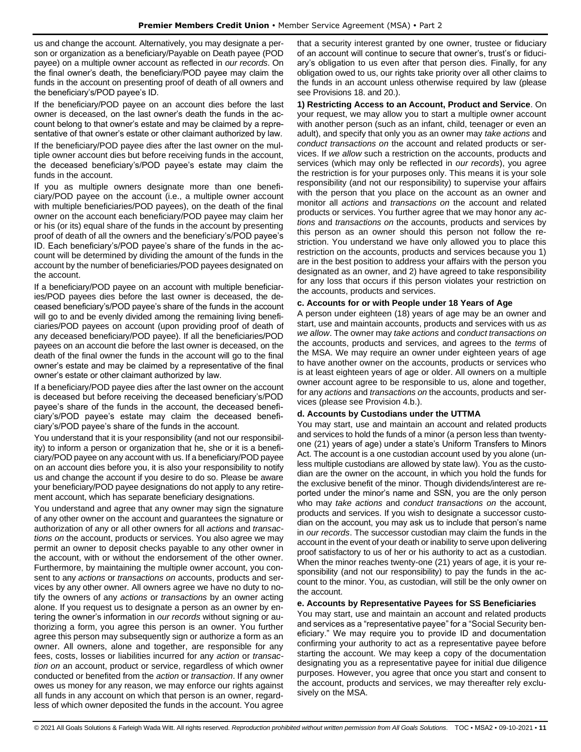us and change the account. Alternatively, you may designate a person or organization as a beneficiary/Payable on Death payee (POD payee) on a multiple owner account as reflected in *our records*. On the final owner's death, the beneficiary/POD payee may claim the funds in the account on presenting proof of death of all owners and the beneficiary's/POD payee's ID.

If the beneficiary/POD payee on an account dies before the last owner is deceased, on the last owner's death the funds in the account belong to that owner's estate and may be claimed by a representative of that owner's estate or other claimant authorized by law.

If the beneficiary/POD payee dies after the last owner on the multiple owner account dies but before receiving funds in the account, the deceased beneficiary's/POD payee's estate may claim the funds in the account.

If you as multiple owners designate more than one beneficiary/POD payee on the account (i.e., a multiple owner account with multiple beneficiaries/POD payees), on the death of the final owner on the account each beneficiary/POD payee may claim her or his (or its) equal share of the funds in the account by presenting proof of death of all the owners and the beneficiary's/POD payee's ID. Each beneficiary's/POD payee's share of the funds in the account will be determined by dividing the amount of the funds in the account by the number of beneficiaries/POD payees designated on the account.

If a beneficiary/POD payee on an account with multiple beneficiaries/POD payees dies before the last owner is deceased, the deceased beneficiary's/POD payee's share of the funds in the account will go to and be evenly divided among the remaining living beneficiaries/POD payees on account (upon providing proof of death of any deceased beneficiary/POD payee). If all the beneficiaries/POD payees on an account die before the last owner is deceased, on the death of the final owner the funds in the account will go to the final owner's estate and may be claimed by a representative of the final owner's estate or other claimant authorized by law.

If a beneficiary/POD payee dies after the last owner on the account is deceased but before receiving the deceased beneficiary's/POD payee's share of the funds in the account, the deceased beneficiary's/POD payee's estate may claim the deceased beneficiary's/POD payee's share of the funds in the account.

You understand that it is your responsibility (and not our responsibility) to inform a person or organization that he, she or it is a beneficiary/POD payee on any account with us. If a beneficiary/POD payee on an account dies before you, it is also your responsibility to notify us and change the account if you desire to do so. Please be aware your beneficiary/POD payee designations do not apply to any retirement account, which has separate beneficiary designations.

You understand and agree that any owner may sign the signature of any other owner on the account and guarantees the signature or authorization of any or all other owners for all *actions* and *transactions on* the account, products or services. You also agree we may permit an owner to deposit checks payable to any other owner in the account, with or without the endorsement of the other owner. Furthermore, by maintaining the multiple owner account, you consent to any *actions* or *transactions on* accounts, products and services by any other owner. All owners agree we have no duty to notify the owners of any *actions* or *transactions* by an owner acting alone. If you request us to designate a person as an owner by entering the owner's information in *our records* without signing or authorizing a form, you agree this person is an owner. You further agree this person may subsequently sign or authorize a form as an owner. All owners, alone and together, are responsible for any fees, costs, losses or liabilities incurred for any *action* or *transaction on* an account, product or service, regardless of which owner conducted or benefited from the *action* or *transaction*. If any owner owes us money for any reason, we may enforce our rights against all funds in any account on which that person is an owner, regardless of which owner deposited the funds in the account. You agree

that a security interest granted by one owner, trustee or fiduciary of an account will continue to secure that owner's, trust's or fiduciary's obligation to us even after that person dies. Finally, for any obligation owed to us, our rights take priority over all other claims to the funds in an account unless otherwise required by law (please see Provisions 18. and 20.).

**1) Restricting Access to an Account, Product and Service**. On your request, we may allow you to start a multiple owner account with another person (such as an infant, child, teenager or even an adult), and specify that only you as an owner may *take actions* and *conduct transactions on* the account and related products or services. If *we allow* such a restriction on the accounts, products and services (which may only be reflected in *our records*), you agree the restriction is for your purposes only. This means it is your sole responsibility (and not our responsibility) to supervise your affairs with the person that you place on the account as an owner and monitor all *actions* and *transactions on* the account and related products or services. You further agree that we may honor any *actions* and *transactions on* the accounts, products and services by this person as an owner should this person not follow the restriction. You understand we have only allowed you to place this restriction on the accounts, products and services because you 1) are in the best position to address your affairs with the person you designated as an owner, and 2) have agreed to take responsibility for any loss that occurs if this person violates your restriction on the accounts, products and services.

# **c. Accounts for or with People under 18 Years of Age**

A person under eighteen (18) years of age may be an owner and start, use and maintain accounts, products and services with us *as we allow*. The owner may *take actions* and *conduct transactions on*  the accounts, products and services, and agrees to the *terms* of the MSA. We may require an owner under eighteen years of age to have another owner on the accounts, products or services who is at least eighteen years of age or older. All owners on a multiple owner account agree to be responsible to us, alone and together, for any *actions* and *transactions on* the accounts, products and services (please see Provision 4.b.).

# **d. Accounts by Custodians under the UTTMA**

You may start, use and maintain an account and related products and services to hold the funds of a minor (a person less than twentyone (21) years of age) under a state's Uniform Transfers to Minors Act. The account is a one custodian account used by you alone (unless multiple custodians are allowed by state law). You as the custodian are the owner on the account, in which you hold the funds for the exclusive benefit of the minor. Though dividends/interest are reported under the minor's name and SSN, you are the only person who may *take actions* and *conduct transactions on* the account, products and services. If you wish to designate a successor custodian on the account, you may ask us to include that person's name in *our records*. The successor custodian may claim the funds in the account in the event of your death or inability to serve upon delivering proof satisfactory to us of her or his authority to act as a custodian. When the minor reaches twenty-one (21) years of age, it is your responsibility (and not our responsibility) to pay the funds in the account to the minor. You, as custodian, will still be the only owner on the account.

# **e. Accounts by Representative Payees for SS Beneficiaries**

You may start, use and maintain an account and related products and services as a "representative payee" for a "Social Security beneficiary." We may require you to provide ID and documentation confirming your authority to act as a representative payee before starting the account. We may keep a copy of the documentation designating you as a representative payee for initial due diligence purposes. However, you agree that once you start and consent to the account, products and services, we may thereafter rely exclusively on the MSA.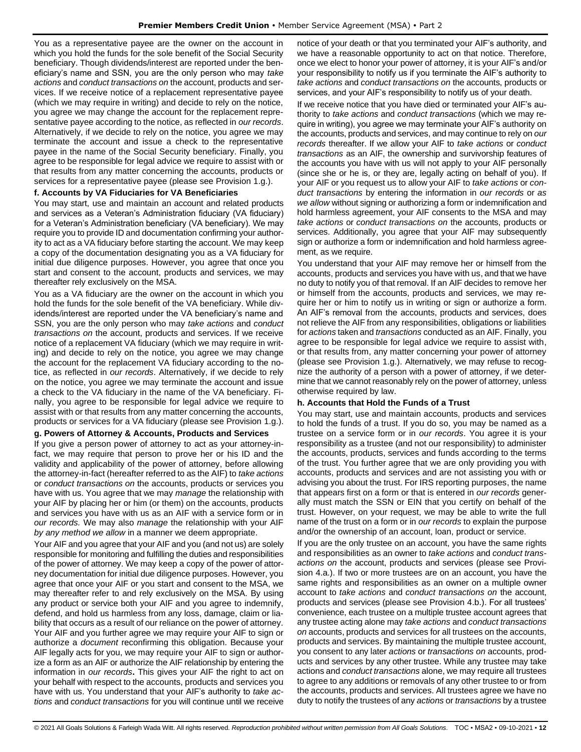You as a representative payee are the owner on the account in which you hold the funds for the sole benefit of the Social Security beneficiary. Though dividends/interest are reported under the beneficiary's name and SSN, you are the only person who may *take actions* and *conduct transactions on* the account, products and services. If we receive notice of a replacement representative payee (which we may require in writing) and decide to rely on the notice, you agree we may change the account for the replacement representative payee according to the notice, as reflected in *our records*. Alternatively, if we decide to rely on the notice, you agree we may terminate the account and issue a check to the representative payee in the name of the Social Security beneficiary. Finally, you agree to be responsible for legal advice we require to assist with or that results from any matter concerning the accounts, products or services for a representative payee (please see Provision 1.g.).

## **f. Accounts by VA Fiduciaries for VA Beneficiaries**

You may start, use and maintain an account and related products and services as a Veteran's Administration fiduciary (VA fiduciary) for a Veteran's Administration beneficiary (VA beneficiary). We may require you to provide ID and documentation confirming your authority to act as a VA fiduciary before starting the account. We may keep a copy of the documentation designating you as a VA fiduciary for initial due diligence purposes. However, you agree that once you start and consent to the account, products and services, we may thereafter rely exclusively on the MSA.

You as a VA fiduciary are the owner on the account in which you hold the funds for the sole benefit of the VA beneficiary. While dividends/interest are reported under the VA beneficiary's name and SSN, you are the only person who may *take actions* and *conduct transactions on* the account, products and services. If we receive notice of a replacement VA fiduciary (which we may require in writing) and decide to rely on the notice, you agree we may change the account for the replacement VA fiduciary according to the notice, as reflected in *our records*. Alternatively, if we decide to rely on the notice, you agree we may terminate the account and issue a check to the VA fiduciary in the name of the VA beneficiary. Finally, you agree to be responsible for legal advice we require to assist with or that results from any matter concerning the accounts, products or services for a VA fiduciary (please see Provision 1.g.).

## **g. Powers of Attorney & Accounts, Products and Services**

If you give a person power of attorney to act as your attorney-infact, we may require that person to prove her or his ID and the validity and applicability of the power of attorney, before allowing the attorney-in-fact (hereafter referred to as the AIF) to *take actions* or *conduct transactions on* the accounts, products or services you have with us. You agree that we may *manage* the relationship with your AIF by placing her or him (or them) on the accounts, products and services you have with us as an AIF with a service form or in *our records.* We may also *manage* the relationship with your AIF *by any method we allow* in a manner we deem appropriate.

Your AIF and you agree that your AIF and you (and not us) are solely responsible for monitoring and fulfilling the duties and responsibilities of the power of attorney. We may keep a copy of the power of attorney documentation for initial due diligence purposes. However, you agree that once your AIF or you start and consent to the MSA, we may thereafter refer to and rely exclusively on the MSA. By using any product or service both your AIF and you agree to indemnify, defend, and hold us harmless from any loss, damage, claim or liability that occurs as a result of our reliance on the power of attorney. Your AIF and you further agree we may require your AIF to sign or authorize a *document* reconfirming this obligation. Because your AIF legally acts for you, we may require your AIF to sign or authorize a form as an AIF or authorize the AIF relationship by entering the information in *our records***.** This gives your AIF the right to act on your behalf with respect to the accounts, products and services you have with us. You understand that your AIF's authority to *take actions* and *conduct transactions* for you will continue until we receive notice of your death or that you terminated your AIF's authority, and we have a reasonable opportunity to act on that notice. Therefore, once we elect to honor your power of attorney, it is your AIF's and/or your responsibility to notify us if you terminate the AIF's authority to *take actions* and *conduct transactions on* the accounts, products or services, and your AIF's responsibility to notify us of your death.

If we receive notice that you have died or terminated your AIF's authority to *take actions* and *conduct transactions* (which we may require in writing), you agree we may terminate your AIF's authority on the accounts, products and services, and may continue to rely on *our records* thereafter. If we allow your AIF to *take actions* or *conduct transactions* as an AIF, the ownership and survivorship features of the accounts you have with us will not apply to your AIF personally (since she or he is, or they are, legally acting on behalf of you). If your AIF or you request us to allow your AIF to *take actions* or *conduct transactions* by entering the information in *our records* or *as we allow* without signing or authorizing a form or indemnification and hold harmless agreement, your AIF consents to the MSA and may *take actions* or *conduct transactions on* the accounts, products or services. Additionally, you agree that your AIF may subsequently sign or authorize a form or indemnification and hold harmless agreement, as we require.

You understand that your AIF may remove her or himself from the accounts, products and services you have with us, and that we have no duty to notify you of that removal. If an AIF decides to remove her or himself from the accounts, products and services, we may require her or him to notify us in writing or sign or authorize a form. An AIF's removal from the accounts, products and services, does not relieve the AIF from any responsibilities, obligations or liabilities for *actions* taken and *transactions* conducted as an AIF. Finally, you agree to be responsible for legal advice we require to assist with, or that results from, any matter concerning your power of attorney (please see Provision 1.g.). Alternatively, we may refuse to recognize the authority of a person with a power of attorney, if we determine that we cannot reasonably rely on the power of attorney, unless otherwise required by law.

#### **h. Accounts that Hold the Funds of a Trust**

You may start, use and maintain accounts, products and services to hold the funds of a trust. If you do so, you may be named as a trustee on a service form or in *our records*. You agree it is your responsibility as a trustee (and not our responsibility) to administer the accounts, products, services and funds according to the terms of the trust. You further agree that we are only providing you with accounts, products and services and are not assisting you with or advising you about the trust. For IRS reporting purposes, the name that appears first on a form or that is entered in *our records* generally must match the SSN or EIN that you certify on behalf of the trust. However, on your request, we may be able to write the full name of the trust on a form or in *our records* to explain the purpose and/or the ownership of an account, loan, product or service.

If you are the only trustee on an account, you have the same rights and responsibilities as an owner to *take actions* and *conduct transactions on* the account, products and services (please see Provision 4.a.). If two or more trustees are on an account, you have the same rights and responsibilities as an owner on a multiple owner account to *take actions* and *conduct transactions on* the account, products and services (please see Provision 4.b.). For all trustees' convenience, each trustee on a multiple trustee account agrees that any trustee acting alone may *take actions* and *conduct transactions on* accounts, products and services for all trustees on the accounts, products and services. By maintaining the multiple trustee account, you consent to any later *actions* or *transactions on* accounts, products and services by any other trustee. While any trustee may take actions and *conduct transactions* alone, we may require all trustees to agree to any additions or removals of any other trustee to or from the accounts, products and services. All trustees agree we have no duty to notify the trustees of any *actions* or *transactions* by a trustee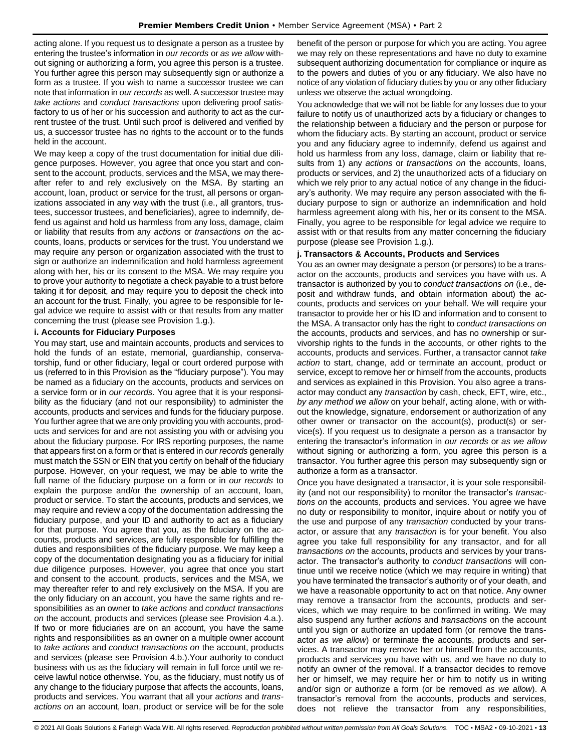acting alone. If you request us to designate a person as a trustee by entering the trustee's information in *our records* or *as we allow* without signing or authorizing a form, you agree this person is a trustee. You further agree this person may subsequently sign or authorize a form as a trustee. If you wish to name a successor trustee we can note that information in *our records* as well. A successor trustee may *take actions* and *conduct transactions* upon delivering proof satisfactory to us of her or his succession and authority to act as the current trustee of the trust. Until such proof is delivered and verified by us, a successor trustee has no rights to the account or to the funds held in the account.

We may keep a copy of the trust documentation for initial due diligence purposes. However, you agree that once you start and consent to the account, products, services and the MSA, we may thereafter refer to and rely exclusively on the MSA. By starting an account, loan, product or service for the trust, all persons or organizations associated in any way with the trust (i.e., all grantors, trustees, successor trustees, and beneficiaries), agree to indemnify, defend us against and hold us harmless from any loss, damage, claim or liability that results from any *actions* or *transactions on* the accounts, loans, products or services for the trust. You understand we may require any person or organization associated with the trust to sign or authorize an indemnification and hold harmless agreement along with her, his or its consent to the MSA. We may require you to prove your authority to negotiate a check payable to a trust before taking it for deposit, and may require you to deposit the check into an account for the trust. Finally, you agree to be responsible for legal advice we require to assist with or that results from any matter concerning the trust (please see Provision 1.g.).

### **i. Accounts for Fiduciary Purposes**

You may start, use and maintain accounts, products and services to hold the funds of an estate, memorial, guardianship, conservatorship, fund or other fiduciary, legal or court ordered purpose with us (referred to in this Provision as the "fiduciary purpose"). You may be named as a fiduciary on the accounts, products and services on a service form or in *our records*. You agree that it is your responsibility as the fiduciary (and not our responsibility) to administer the accounts, products and services and funds for the fiduciary purpose. You further agree that we are only providing you with accounts, products and services for and are not assisting you with or advising you about the fiduciary purpose. For IRS reporting purposes, the name that appears first on a form or that is entered in *our records* generally must match the SSN or EIN that you certify on behalf of the fiduciary purpose. However, on your request, we may be able to write the full name of the fiduciary purpose on a form or in *our records* to explain the purpose and/or the ownership of an account, loan, product or service. To start the accounts, products and services, we may require and review a copy of the documentation addressing the fiduciary purpose, and your ID and authority to act as a fiduciary for that purpose. You agree that you, as the fiduciary on the accounts, products and services, are fully responsible for fulfilling the duties and responsibilities of the fiduciary purpose. We may keep a copy of the documentation designating you as a fiduciary for initial due diligence purposes. However, you agree that once you start and consent to the account, products, services and the MSA, we may thereafter refer to and rely exclusively on the MSA. If you are the only fiduciary on an account, you have the same rights and responsibilities as an owner to *take actions* and *conduct transactions on* the account, products and services (please see Provision 4.a.). If two or more fiduciaries are on an account, you have the same rights and responsibilities as an owner on a multiple owner account to *take actions* and *conduct transactions on* the account, products and services (please see Provision 4.b.).Your authority to conduct business with us as the fiduciary will remain in full force until we receive lawful notice otherwise. You, as the fiduciary, must notify us of any change to the fiduciary purpose that affects the accounts, loans, products and services. You warrant that all your *actions* and *transactions on* an account, loan, product or service will be for the sole

benefit of the person or purpose for which you are acting. You agree we may rely on these representations and have no duty to examine subsequent authorizing documentation for compliance or inquire as to the powers and duties of you or any fiduciary. We also have no notice of any violation of fiduciary duties by you or any other fiduciary unless we observe the actual wrongdoing.

You acknowledge that we will not be liable for any losses due to your failure to notify us of unauthorized acts by a fiduciary or changes to the relationship between a fiduciary and the person or purpose for whom the fiduciary acts. By starting an account, product or service you and any fiduciary agree to indemnify, defend us against and hold us harmless from any loss, damage, claim or liability that results from 1) any *actions* or *transactions on* the accounts, loans, products or services, and 2) the unauthorized acts of a fiduciary on which we rely prior to any actual notice of any change in the fiduciary's authority. We may require any person associated with the fiduciary purpose to sign or authorize an indemnification and hold harmless agreement along with his, her or its consent to the MSA. Finally, you agree to be responsible for legal advice we require to assist with or that results from any matter concerning the fiduciary purpose (please see Provision 1.g.).

#### **j. Transactors & Accounts, Products and Services**

You as an owner may designate a person (or persons) to be a transactor on the accounts, products and services you have with us. A transactor is authorized by you to *conduct transactions on* (i.e., deposit and withdraw funds, and obtain information about) the accounts, products and services on your behalf. We will require your transactor to provide her or his ID and information and to consent to the MSA. A transactor only has the right to *conduct transactions on* the accounts, products and services, and has no ownership or survivorship rights to the funds in the accounts, or other rights to the accounts, products and services. Further, a transactor cannot *take action* to start, change, add or terminate an account, product or service, except to remove her or himself from the accounts, products and services as explained in this Provision. You also agree a transactor may conduct any *transaction* by cash, check, EFT, wire, etc., *by any method we allow* on your behalf, acting alone, with or without the knowledge, signature, endorsement or authorization of any other owner or transactor on the account(s), product(s) or service(s). If you request us to designate a person as a transactor by entering the transactor's information in *our records* or *as we allow*  without signing or authorizing a form, you agree this person is a transactor. You further agree this person may subsequently sign or authorize a form as a transactor.

Once you have designated a transactor, it is your sole responsibility (and not our responsibility) to monitor the transactor's *transactions on* the accounts, products and services. You agree we have no duty or responsibility to monitor, inquire about or notify you of the use and purpose of any *transaction* conducted by your transactor, or assure that any *transaction* is for your benefit. You also agree you take full responsibility for any transactor, and for all *transactions on* the accounts, products and services by your transactor. The transactor's authority to *conduct transactions* will continue until we receive notice (which we may require in writing) that you have terminated the transactor's authority or of your death, and we have a reasonable opportunity to act on that notice. Any owner may remove a transactor from the accounts, products and services, which we may require to be confirmed in writing. We may also suspend any further *actions* and *transactions* on the account until you sign or authorize an updated form (or remove the transactor *as we allow*) or terminate the accounts, products and services. A transactor may remove her or himself from the accounts, products and services you have with us, and we have no duty to notify an owner of the removal. If a transactor decides to remove her or himself, we may require her or him to notify us in writing and/or sign or authorize a form (or be removed *as we allow*). A transactor's removal from the accounts, products and services, does not relieve the transactor from any responsibilities,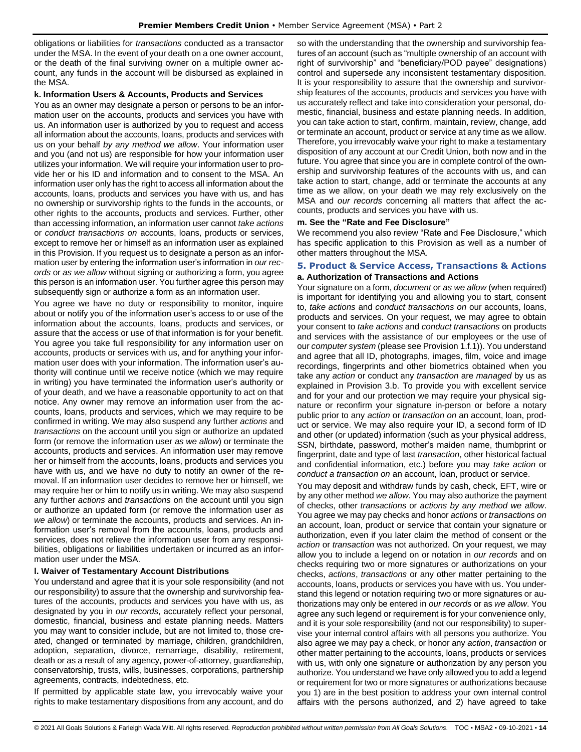obligations or liabilities for *transactions* conducted as a transactor under the MSA. In the event of your death on a one owner account, or the death of the final surviving owner on a multiple owner account, any funds in the account will be disbursed as explained in the MSA.

#### **k. Information Users & Accounts, Products and Services**

You as an owner may designate a person or persons to be an information user on the accounts, products and services you have with us. An information user is authorized by you to request and access all information about the accounts, loans, products and services with us on your behalf *by any method we allow*. Your information user and you (and not us) are responsible for how your information user utilizes your information. We will require your information user to provide her or his ID and information and to consent to the MSA. An information user only has the right to access all information about the accounts, loans, products and services you have with us, and has no ownership or survivorship rights to the funds in the accounts, or other rights to the accounts, products and services. Further, other than accessing information, an information user cannot *take actions* or *conduct transactions on* accounts, loans, products or services, except to remove her or himself as an information user as explained in this Provision. If you request us to designate a person as an information user by entering the information user's information in *our records* or *as we allow* without signing or authorizing a form, you agree this person is an information user. You further agree this person may subsequently sign or authorize a form as an information user.

You agree we have no duty or responsibility to monitor, inquire about or notify you of the information user's access to or use of the information about the accounts, loans, products and services, or assure that the access or use of that information is for your benefit. You agree you take full responsibility for any information user on accounts, products or services with us, and for anything your information user does with your information. The information user's authority will continue until we receive notice (which we may require in writing) you have terminated the information user's authority or of your death, and we have a reasonable opportunity to act on that notice. Any owner may remove an information user from the accounts, loans, products and services, which we may require to be confirmed in writing. We may also suspend any further *actions* and *transactions* on the account until you sign or authorize an updated form (or remove the information user *as we allow*) or terminate the accounts, products and services. An information user may remove her or himself from the accounts, loans, products and services you have with us, and we have no duty to notify an owner of the removal. If an information user decides to remove her or himself, we may require her or him to notify us in writing. We may also suspend any further *actions* and *transactions* on the account until you sign or authorize an updated form (or remove the information user *as we allow*) or terminate the accounts, products and services. An information user's removal from the accounts, loans, products and services, does not relieve the information user from any responsibilities, obligations or liabilities undertaken or incurred as an information user under the MSA.

#### **l. Waiver of Testamentary Account Distributions**

You understand and agree that it is your sole responsibility (and not our responsibility) to assure that the ownership and survivorship features of the accounts, products and services you have with us, as designated by you in *our records*, accurately reflect your personal, domestic, financial, business and estate planning needs. Matters you may want to consider include, but are not limited to, those created, changed or terminated by marriage, children, grandchildren, adoption, separation, divorce, remarriage, disability, retirement, death or as a result of any agency, power-of-attorney, guardianship, conservatorship, trusts, wills, businesses, corporations, partnership agreements, contracts, indebtedness, etc.

If permitted by applicable state law, you irrevocably waive your rights to make testamentary dispositions from any account, and do

so with the understanding that the ownership and survivorship features of an account (such as "multiple ownership of an account with right of survivorship" and "beneficiary/POD payee" designations) control and supersede any inconsistent testamentary disposition. It is your responsibility to assure that the ownership and survivorship features of the accounts, products and services you have with us accurately reflect and take into consideration your personal, domestic, financial, business and estate planning needs. In addition, you can take action to start, confirm, maintain, review, change, add or terminate an account, product or service at any time as we allow. Therefore, you irrevocably waive your right to make a testamentary disposition of any account at our Credit Union, both now and in the future. You agree that since you are in complete control of the ownership and survivorship features of the accounts with us, and can take action to start, change, add or terminate the accounts at any time as we allow, on your death we may rely exclusively on the MSA and *our records* concerning all matters that affect the accounts, products and services you have with us.

#### **m. See the "Rate and Fee Disclosure"**

We recommend you also review "Rate and Fee Disclosure," which has specific application to this Provision as well as a number of other matters throughout the MSA.

## <span id="page-13-0"></span>**5. Product & Service Access, Transactions & Actions a. Authorization of Transactions and Actions**

Your signature on a form, *document* or *as we allow* (when required) is important for identifying you and allowing you to start, consent to, *take actions* and *conduct transactions on* our accounts, loans, products and services. On your request, we may agree to obtain your consent to *take actions* and *conduct transactions* on products and services with the assistance of our employees or the use of our *computer system* (please see Provision 1.f.1)). You understand and agree that all ID, photographs, images, film, voice and image recordings, fingerprints and other biometrics obtained when you take any *action* or conduct any *transaction* are *managed* by us as explained in Provision 3.b. To provide you with excellent service and for your and our protection we may require your physical signature or reconfirm your signature in-person or before a notary public prior to any *action* or *transaction on* an account, loan, product or service. We may also require your ID, a second form of ID and other (or updated) information (such as your physical address, SSN, birthdate, password, mother's maiden name, thumbprint or fingerprint, date and type of last *transaction*, other historical factual and confidential information, etc.) before you may *take action* or *conduct a transaction on* an account, loan, product or service.

You may deposit and withdraw funds by cash, check, EFT, wire or by any other method *we allow*. You may also authorize the payment of checks, other *transactions* or *actions by any method we allow*. You agree we may pay checks and honor *actions* or *transactions on*  an account, loan, product or service that contain your signature or authorization, even if you later claim the method of consent or the *action* or *transaction* was not authorized. On your request, we may allow you to include a legend on or notation in *our records* and on checks requiring two or more signatures or authorizations on your checks, *actions*, *transactions* or any other matter pertaining to the accounts, loans, products or services you have with us. You understand this legend or notation requiring two or more signatures or authorizations may only be entered in *our records* or as *we allow*. You agree any such legend or requirement is for your convenience only, and it is your sole responsibility (and not our responsibility) to supervise your internal control affairs with all persons you authorize. You also agree we may pay a check, or honor any *action*, *transaction* or other matter pertaining to the accounts, loans, products or services with us, with only one signature or authorization by any person you authorize. You understand we have only allowed you to add a legend or requirement for two or more signatures or authorizations because you 1) are in the best position to address your own internal control affairs with the persons authorized, and 2) have agreed to take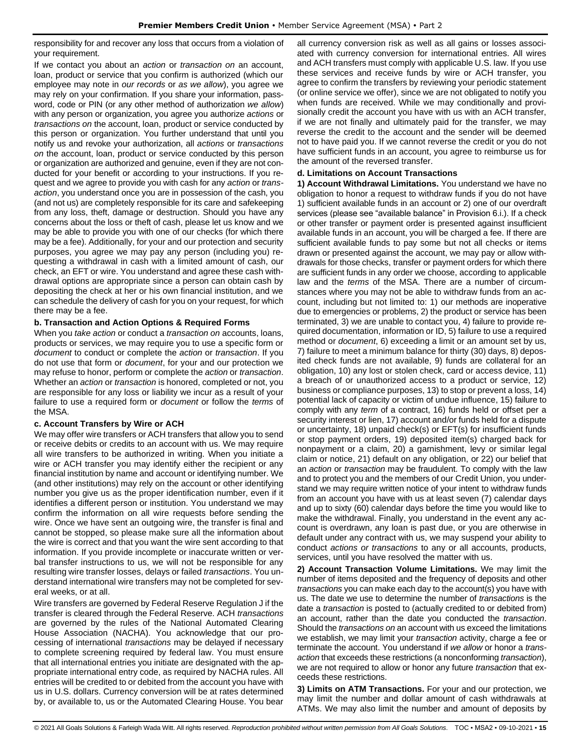responsibility for and recover any loss that occurs from a violation of your requirement.

If we contact you about an *action* or *transaction on* an account, loan, product or service that you confirm is authorized (which our employee may note in *our records* or *as we allow*), you agree we may rely on your confirmation. If you share your information, password, code or PIN (or any other method of authorization *we allow*) with any person or organization, you agree you authorize *actions* or *transactions on* the account, loan, product or service conducted by this person or organization. You further understand that until you notify us and revoke your authorization, all *actions* or *transactions on* the account, loan, product or service conducted by this person or organization are authorized and genuine, even if they are not conducted for your benefit or according to your instructions. If you request and we agree to provide you with cash for any *action* or *transaction*, you understand once you are in possession of the cash, you (and not us) are completely responsible for its care and safekeeping from any loss, theft, damage or destruction. Should you have any concerns about the loss or theft of cash, please let us know and we may be able to provide you with one of our checks (for which there may be a fee). Additionally, for your and our protection and security purposes, you agree we may pay any person (including you) requesting a withdrawal in cash with a limited amount of cash, our check, an EFT or wire. You understand and agree these cash withdrawal options are appropriate since a person can obtain cash by depositing the check at her or his own financial institution, and we can schedule the delivery of cash for you on your request, for which there may be a fee.

#### **b. Transaction and Action Options & Required Forms**

When you *take action* or conduct a *transaction on* accounts, loans, products or services, we may require you to use a specific form or *document* to conduct or complete the *action* or *transaction*. If you do not use that form or *document*, for your and our protection we may refuse to honor, perform or complete the *action* or *transaction*. Whether an *action* or *transaction* is honored, completed or not, you are responsible for any loss or liability we incur as a result of your failure to use a required form or *document* or follow the *terms* of the MSA.

#### **c. Account Transfers by Wire or ACH**

We may offer wire transfers or ACH transfers that allow you to send or receive debits or credits to an account with us. We may require all wire transfers to be authorized in writing. When you initiate a wire or ACH transfer you may identify either the recipient or any financial institution by name and account or identifying number. We (and other institutions) may rely on the account or other identifying number you give us as the proper identification number, even if it identifies a different person or institution. You understand we may confirm the information on all wire requests before sending the wire. Once we have sent an outgoing wire, the transfer is final and cannot be stopped, so please make sure all the information about the wire is correct and that you want the wire sent according to that information. If you provide incomplete or inaccurate written or verbal transfer instructions to us, we will not be responsible for any resulting wire transfer losses, delays or failed *transactions*. You understand international wire transfers may not be completed for several weeks, or at all.

Wire transfers are governed by Federal Reserve Regulation J if the transfer is cleared through the Federal Reserve. ACH *transactions* are governed by the rules of the National Automated Clearing House Association (NACHA). You acknowledge that our processing of international *transactions* may be delayed if necessary to complete screening required by federal law. You must ensure that all international entries you initiate are designated with the appropriate international entry code, as required by NACHA rules. All entries will be credited to or debited from the account you have with us in U.S. dollars. Currency conversion will be at rates determined by, or available to, us or the Automated Clearing House. You bear

all currency conversion risk as well as all gains or losses associated with currency conversion for international entries. All wires and ACH transfers must comply with applicable U.S. law. If you use these services and receive funds by wire or ACH transfer, you agree to confirm the transfers by reviewing your periodic statement (or online service we offer), since we are not obligated to notify you when funds are received. While we may conditionally and provisionally credit the account you have with us with an ACH transfer, if we are not finally and ultimately paid for the transfer, we may reverse the credit to the account and the sender will be deemed not to have paid you. If we cannot reverse the credit or you do not have sufficient funds in an account, you agree to reimburse us for the amount of the reversed transfer.

### **d. Limitations on Account Transactions**

**1) Account Withdrawal Limitations.** You understand we have no obligation to honor a request to withdraw funds if you do not have 1) sufficient available funds in an account or 2) one of our overdraft services (please see "available balance" in Provision 6.i.). If a check or other transfer or payment order is presented against insufficient available funds in an account, you will be charged a fee. If there are sufficient available funds to pay some but not all checks or items drawn or presented against the account, we may pay or allow withdrawals for those checks, transfer or payment orders for which there are sufficient funds in any order we choose, according to applicable law and the *terms* of the MSA. There are a number of circumstances where you may not be able to withdraw funds from an account, including but not limited to: 1) our methods are inoperative due to emergencies or problems, 2) the product or service has been terminated, 3) we are unable to contact you, 4) failure to provide required documentation, information or ID, 5) failure to use a required method or *document*, 6) exceeding a limit or an amount set by us, 7) failure to meet a minimum balance for thirty (30) days, 8) deposited check funds are not available, 9) funds are collateral for an obligation, 10) any lost or stolen check, card or access device, 11) a breach of or unauthorized access to a product or service, 12) business or compliance purposes, 13) to stop or prevent a loss, 14) potential lack of capacity or victim of undue influence, 15) failure to comply with any *term* of a contract, 16) funds held or offset per a security interest or lien, 17) account and/or funds held for a dispute or uncertainty, 18) unpaid check(s) or EFT(s) for insufficient funds or stop payment orders, 19) deposited item(s) charged back for nonpayment or a claim, 20) a garnishment, levy or similar legal claim or notice, 21) default on any obligation, or 22) our belief that an *action* or *transaction* may be fraudulent. To comply with the law and to protect you and the members of our Credit Union, you understand we may require written notice of your intent to withdraw funds from an account you have with us at least seven (7) calendar days and up to sixty (60) calendar days before the time you would like to make the withdrawal. Finally, you understand in the event any account is overdrawn, any loan is past due, or you are otherwise in default under any contract with us, we may suspend your ability to conduct *actions or transactions* to any or all accounts, products, services, until you have resolved the matter with us.

**2) Account Transaction Volume Limitations.** We may limit the number of items deposited and the frequency of deposits and other *transactions* you can make each day to the account(s) you have with us. The date we use to determine the number of *transactions* is the date a *transaction* is posted to (actually credited to or debited from) an account, rather than the date you conducted the *transaction*. Should the *transactions on* an account with us exceed the limitations we establish, we may limit your *transaction* activity, charge a fee or terminate the account. You understand if *we allow* or honor a *transaction* that exceeds these restrictions (a nonconforming *transaction*), we are not required to allow or honor any future *transaction* that exceeds these restrictions.

**3) Limits on ATM Transactions.** For your and our protection, we may limit the number and dollar amount of cash withdrawals at ATMs. We may also limit the number and amount of deposits by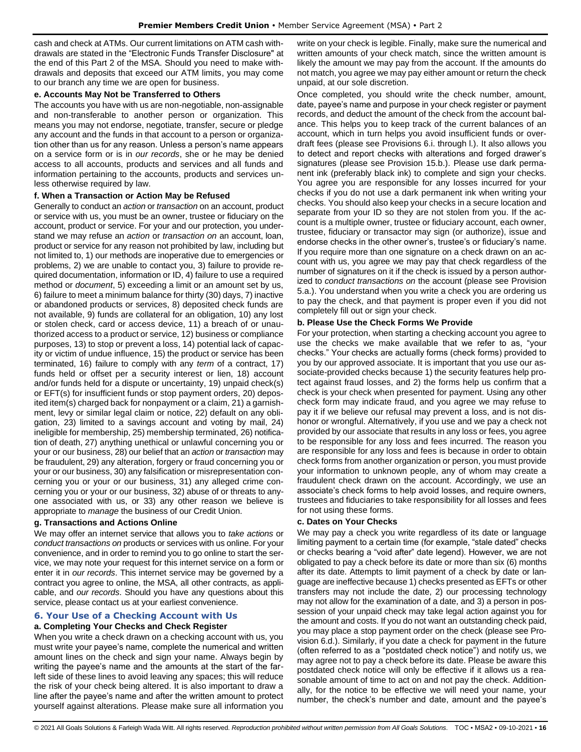cash and check at ATMs. Our current limitations on ATM cash withdrawals are stated in the "Electronic Funds Transfer Disclosure" at the end of this Part 2 of the MSA. Should you need to make withdrawals and deposits that exceed our ATM limits, you may come to our branch any time we are open for business.

### **e. Accounts May Not be Transferred to Others**

The accounts you have with us are non-negotiable, non-assignable and non-transferable to another person or organization. This means you may not endorse, negotiate, transfer, secure or pledge any account and the funds in that account to a person or organization other than us for any reason. Unless a person's name appears on a service form or is in *our records*, she or he may be denied access to all accounts, products and services and all funds and information pertaining to the accounts, products and services unless otherwise required by law.

# **f. When a Transaction or Action May be Refused**

Generally to conduct an *action* or *transaction* on an account, product or service with us, you must be an owner, trustee or fiduciary on the account, product or service. For your and our protection, you understand we may refuse an *action* or *transaction on* an account, loan, product or service for any reason not prohibited by law, including but not limited to, 1) our methods are inoperative due to emergencies or problems, 2) we are unable to contact you, 3) failure to provide required documentation, information or ID, 4) failure to use a required method or *document*, 5) exceeding a limit or an amount set by us, 6) failure to meet a minimum balance for thirty (30) days, 7) inactive or abandoned products or services, 8) deposited check funds are not available, 9) funds are collateral for an obligation, 10) any lost or stolen check, card or access device, 11) a breach of or unauthorized access to a product or service, 12) business or compliance purposes, 13) to stop or prevent a loss, 14) potential lack of capacity or victim of undue influence, 15) the product or service has been terminated, 16) failure to comply with any *term* of a contract, 17) funds held or offset per a security interest or lien, 18) account and/or funds held for a dispute or uncertainty, 19) unpaid check(s) or EFT(s) for insufficient funds or stop payment orders, 20) deposited item(s) charged back for nonpayment or a claim, 21) a garnishment, levy or similar legal claim or notice, 22) default on any obligation, 23) limited to a savings account and voting by mail, 24) ineligible for membership, 25) membership terminated, 26) notification of death, 27) anything unethical or unlawful concerning you or your or our business, 28) our belief that an *action* or *transaction* may be fraudulent, 29) any alteration, forgery or fraud concerning you or your or our business, 30) any falsification or misrepresentation concerning you or your or our business, 31) any alleged crime concerning you or your or our business, 32) abuse of or threats to anyone associated with us, or 33) any other reason we believe is appropriate to *manage* the business of our Credit Union.

# **g. Transactions and Actions Online**

We may offer an internet service that allows you to *take actions* or *conduct transactions on* products or services with us online. For your convenience, and in order to remind you to go online to start the service, we may note your request for this internet service on a form or enter it in *our records*. This internet service may be governed by a contract you agree to online, the MSA, all other contracts, as applicable, and *our records*. Should you have any questions about this service, please contact us at your earliest convenience.

# <span id="page-15-0"></span>**6. Your Use of a Checking Account with Us**

# **a. Completing Your Checks and Check Register**

When you write a check drawn on a checking account with us, you must write your payee's name, complete the numerical and written amount lines on the check and sign your name. Always begin by writing the payee's name and the amounts at the start of the farleft side of these lines to avoid leaving any spaces; this will reduce the risk of your check being altered. It is also important to draw a line after the payee's name and after the written amount to protect yourself against alterations. Please make sure all information you write on your check is legible. Finally, make sure the numerical and written amounts of your check match, since the written amount is likely the amount we may pay from the account. If the amounts do not match, you agree we may pay either amount or return the check unpaid, at our sole discretion.

Once completed, you should write the check number, amount, date, payee's name and purpose in your check register or payment records, and deduct the amount of the check from the account balance. This helps you to keep track of the current balances of an account, which in turn helps you avoid insufficient funds or overdraft fees (please see Provisions 6.i. through l.). It also allows you to detect and report checks with alterations and forged drawer's signatures (please see Provision 15.b.). Please use dark permanent ink (preferably black ink) to complete and sign your checks. You agree you are responsible for any losses incurred for your checks if you do not use a dark permanent ink when writing your checks. You should also keep your checks in a secure location and separate from your ID so they are not stolen from you. If the account is a multiple owner, trustee or fiduciary account, each owner, trustee, fiduciary or transactor may sign (or authorize), issue and endorse checks in the other owner's, trustee's or fiduciary's name. If you require more than one signature on a check drawn on an account with us, you agree we may pay that check regardless of the number of signatures on it if the check is issued by a person authorized to *conduct transactions on* the account (please see Provision 5.a.). You understand when you write a check you are ordering us to pay the check, and that payment is proper even if you did not completely fill out or sign your check.

### **b. Please Use the Check Forms We Provide**

For your protection, when starting a checking account you agree to use the checks we make available that we refer to as, "your checks." Your checks are actually forms (check forms) provided to you by our approved associate. It is important that you use our associate-provided checks because 1) the security features help protect against fraud losses, and 2) the forms help us confirm that a check is your check when presented for payment. Using any other check form may indicate fraud, and you agree we may refuse to pay it if we believe our refusal may prevent a loss, and is not dishonor or wrongful. Alternatively, if you use and we pay a check not provided by our associate that results in any loss or fees, you agree to be responsible for any loss and fees incurred. The reason you are responsible for any loss and fees is because in order to obtain check forms from another organization or person, you must provide your information to unknown people, any of whom may create a fraudulent check drawn on the account. Accordingly, we use an associate's check forms to help avoid losses, and require owners, trustees and fiduciaries to take responsibility for all losses and fees for not using these forms.

#### **c. Dates on Your Checks**

We may pay a check you write regardless of its date or language limiting payment to a certain time (for example, "stale dated" checks or checks bearing a "void after" date legend). However, we are not obligated to pay a check before its date or more than six (6) months after its date. Attempts to limit payment of a check by date or language are ineffective because 1) checks presented as EFTs or other transfers may not include the date, 2) our processing technology may not allow for the examination of a date, and 3) a person in possession of your unpaid check may take legal action against you for the amount and costs. If you do not want an outstanding check paid, you may place a stop payment order on the check (please see Provision 6.d.). Similarly, if you date a check for payment in the future (often referred to as a "postdated check notice") and notify us, we may agree not to pay a check before its date. Please be aware this postdated check notice will only be effective if it allows us a reasonable amount of time to act on and not pay the check. Additionally, for the notice to be effective we will need your name, your number, the check's number and date, amount and the payee's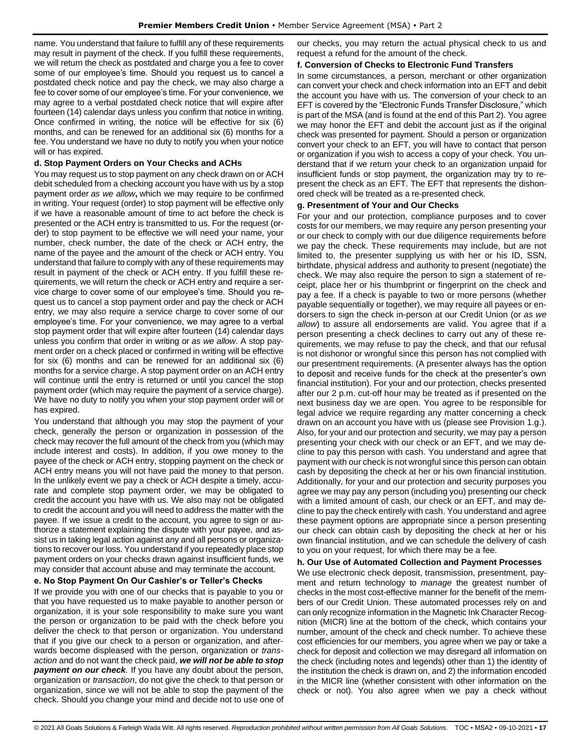name. You understand that failure to fulfill any of these requirements may result in payment of the check. If you fulfill these requirements, we will return the check as postdated and charge you a fee to cover some of our employee's time. Should you request us to cancel a postdated check notice and pay the check, we may also charge a fee to cover some of our employee's time. For your convenience, we may agree to a verbal postdated check notice that will expire after fourteen (14) calendar days unless you confirm that notice in writing. Once confirmed in writing, the notice will be effective for six (6) months, and can be renewed for an additional six (6) months for a fee. You understand we have no duty to notify you when your notice will or has expired.

# **d. Stop Payment Orders on Your Checks and ACHs**

You may request us to stop payment on any check drawn on or ACH debit scheduled from a checking account you have with us by a stop payment order *as we allow***,** which we may require to be confirmed in writing. Your request (order) to stop payment will be effective only if we have a reasonable amount of time to act before the check is presented or the ACH entry is transmitted to us. For the request (order) to stop payment to be effective we will need your name, your number, check number, the date of the check or ACH entry, the name of the payee and the amount of the check or ACH entry. You understand that failure to comply with any of these requirements may result in payment of the check or ACH entry. If you fulfill these requirements, we will return the check or ACH entry and require a service charge to cover some of our employee's time. Should you request us to cancel a stop payment order and pay the check or ACH entry, we may also require a service charge to cover some of our employee's time. For your convenience, we may agree to a verbal stop payment order that will expire after fourteen (14) calendar days unless you confirm that order in writing or *as we allow*. A stop payment order on a check placed or confirmed in writing will be effective for six (6) months and can be renewed for an additional six (6) months for a service charge. A stop payment order on an ACH entry will continue until the entry is returned or until you cancel the stop payment order (which may require the payment of a service charge). We have no duty to notify you when your stop payment order will or has expired.

You understand that although you may stop the payment of your check, generally the person or organization in possession of the check may recover the full amount of the check from you (which may include interest and costs). In addition, if you owe money to the payee of the check or ACH entry, stopping payment on the check or ACH entry means you will not have paid the money to that person. In the unlikely event we pay a check or ACH despite a timely, accurate and complete stop payment order, we may be obligated to credit the account you have with us. We also may not be obligated to credit the account and you will need to address the matter with the payee. If we issue a credit to the account, you agree to sign or authorize a statement explaining the dispute with your payee, and assist us in taking legal action against any and all persons or organizations to recover our loss. You understand if you repeatedly place stop payment orders on your checks drawn against insufficient funds, we may consider that account abuse and may terminate the account.

# **e. No Stop Payment On Our Cashier's or Teller's Checks**

If we provide you with one of our checks that is payable to you or that you have requested us to make payable to another person or organization, it is your sole responsibility to make sure you want the person or organization to be paid with the check before you deliver the check to that person or organization. You understand that if you give our check to a person or organization, and afterwards become displeased with the person, organization or *transaction* and do not want the check paid, *we will not be able to stop payment on our check.* If you have any doubt about the person, organization or *transaction*, do not give the check to that person or organization, since we will not be able to stop the payment of the check. Should you change your mind and decide not to use one of our checks, you may return the actual physical check to us and request a refund for the amount of the check.

### **f. Conversion of Checks to Electronic Fund Transfers**

In some circumstances, a person, merchant or other organization can convert your check and check information into an EFT and debit the account you have with us. The conversion of your check to an EFT is covered by the "Electronic Funds Transfer Disclosure," which is part of the MSA (and is found at the end of this Part 2). You agree we may honor the EFT and debit the account just as if the original check was presented for payment. Should a person or organization convert your check to an EFT, you will have to contact that person or organization if you wish to access a copy of your check. You understand that if we return your check to an organization unpaid for insufficient funds or stop payment, the organization may try to represent the check as an EFT. The EFT that represents the dishonored check will be treated as a re-presented check.

### **g. Presentment of Your and Our Checks**

For your and our protection, compliance purposes and to cover costs for our members, we may require any person presenting your or our check to comply with our due diligence requirements before we pay the check. These requirements may include, but are not limited to, the presenter supplying us with her or his ID, SSN, birthdate, physical address and authority to present (negotiate) the check. We may also require the person to sign a statement of receipt, place her or his thumbprint or fingerprint on the check and pay a fee. If a check is payable to two or more persons (whether payable sequentially or together), we may require all payees or endorsers to sign the check in-person at our Credit Union (or *as we allow*) to assure all endorsements are valid. You agree that if a person presenting a check declines to carry out any of these requirements, we may refuse to pay the check, and that our refusal is not dishonor or wrongful since this person has not complied with our presentment requirements. (A presenter always has the option to deposit and receive funds for the check at the presenter's own financial institution). For your and our protection, checks presented after our 2 p.m. cut-off hour may be treated as if presented on the next business day we are open. You agree to be responsible for legal advice we require regarding any matter concerning a check drawn on an account you have with us (please see Provision 1.g.). Also, for your and our protection and security, we may pay a person presenting your check with our check or an EFT, and we may decline to pay this person with cash. You understand and agree that payment with our check is not wrongful since this person can obtain cash by depositing the check at her or his own financial institution. Additionally, for your and our protection and security purposes you agree we may pay any person (including you) presenting our check with a limited amount of cash, our check or an EFT, and may decline to pay the check entirely with cash. You understand and agree these payment options are appropriate since a person presenting our check can obtain cash by depositing the check at her or his own financial institution, and we can schedule the delivery of cash to you on your request, for which there may be a fee.

#### **h. Our Use of Automated Collection and Payment Processes**

We use electronic check deposit, transmission, presentment, payment and return technology to *manage* the greatest number of checks in the most cost-effective manner for the benefit of the members of our Credit Union. These automated processes rely on and can only recognize information in the Magnetic Ink Character Recognition (MICR) line at the bottom of the check, which contains your number, amount of the check and check number. To achieve these cost efficiencies for our members, you agree when we pay or take a check for deposit and collection we may disregard all information on the check (including notes and legends) other than 1) the identity of the institution the check is drawn on, and 2) the information encoded in the MICR line (whether consistent with other information on the check or not). You also agree when we pay a check without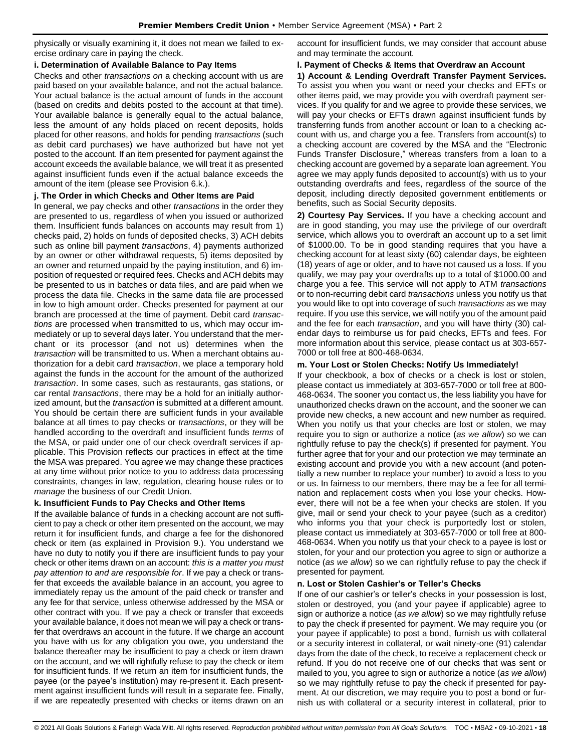physically or visually examining it, it does not mean we failed to exercise ordinary care in paying the check.

## **i. Determination of Available Balance to Pay Items**

Checks and other *transactions on* a checking account with us are paid based on your available balance, and not the actual balance. Your actual balance is the actual amount of funds in the account (based on credits and debits posted to the account at that time). Your available balance is generally equal to the actual balance, less the amount of any holds placed on recent deposits, holds placed for other reasons, and holds for pending *transactions* (such as debit card purchases) we have authorized but have not yet posted to the account. If an item presented for payment against the account exceeds the available balance, we will treat it as presented against insufficient funds even if the actual balance exceeds the amount of the item (please see Provision 6.k.).

# **j. The Order in which Checks and Other Items are Paid**

In general, we pay checks and other *transactions* in the order they are presented to us, regardless of when you issued or authorized them. Insufficient funds balances on accounts may result from 1) checks paid, 2) holds on funds of deposited checks, 3) ACH debits such as online bill payment *transactions*, 4) payments authorized by an owner or other withdrawal requests, 5) items deposited by an owner and returned unpaid by the paying institution, and 6) imposition of requested or required fees. Checks and ACH debits may be presented to us in batches or data files, and are paid when we process the data file. Checks in the same data file are processed in low to high amount order. Checks presented for payment at our branch are processed at the time of payment. Debit card *transactions* are processed when transmitted to us, which may occur immediately or up to several days later. You understand that the merchant or its processor (and not us) determines when the *transaction* will be transmitted to us. When a merchant obtains authorization for a debit card *transaction*, we place a temporary hold against the funds in the account for the amount of the authorized *transaction*. In some cases, such as restaurants, gas stations, or car rental *transactions*, there may be a hold for an initially authorized amount, but the *transaction* is submitted at a different amount. You should be certain there are sufficient funds in your available balance at all times to pay checks or *transactions*, or they will be handled according to the overdraft and insufficient funds *terms* of the MSA, or paid under one of our check overdraft services if applicable. This Provision reflects our practices in effect at the time the MSA was prepared. You agree we may change these practices at any time without prior notice to you to address data processing constraints, changes in law, regulation, clearing house rules or to *manage* the business of our Credit Union.

# **k. Insufficient Funds to Pay Checks and Other Items**

If the available balance of funds in a checking account are not sufficient to pay a check or other item presented on the account, we may return it for insufficient funds, and charge a fee for the dishonored check or item (as explained in Provision 9.). You understand we have no duty to notify you if there are insufficient funds to pay your check or other items drawn on an account: *this is a matter you must pay attention to and are responsible for*. If we pay a check or transfer that exceeds the available balance in an account, you agree to immediately repay us the amount of the paid check or transfer and any fee for that service, unless otherwise addressed by the MSA or other contract with you. If we pay a check or transfer that exceeds your available balance, it does not mean we will pay a check or transfer that overdraws an account in the future. If we charge an account you have with us for any obligation you owe, you understand the balance thereafter may be insufficient to pay a check or item drawn on the account, and we will rightfully refuse to pay the check or item for insufficient funds. If we return an item for insufficient funds, the payee (or the payee's institution) may re-present it. Each presentment against insufficient funds will result in a separate fee. Finally, if we are repeatedly presented with checks or items drawn on an account for insufficient funds, we may consider that account abuse and may terminate the account.

## **l. Payment of Checks & Items that Overdraw an Account**

**1) Account & Lending Overdraft Transfer Payment Services.** To assist you when you want or need your checks and EFTs or other items paid, we may provide you with overdraft payment services. If you qualify for and we agree to provide these services, we will pay your checks or EFTs drawn against insufficient funds by transferring funds from another account or loan to a checking account with us, and charge you a fee. Transfers from account(s) to a checking account are covered by the MSA and the "Electronic Funds Transfer Disclosure," whereas transfers from a loan to a checking account are governed by a separate loan agreement. You agree we may apply funds deposited to account(s) with us to your outstanding overdrafts and fees, regardless of the source of the deposit, including directly deposited government entitlements or benefits, such as Social Security deposits.

**2) Courtesy Pay Services.** If you have a checking account and are in good standing, you may use the privilege of our overdraft service, which allows you to overdraft an account up to a set limit of \$1000.00. To be in good standing requires that you have a checking account for at least sixty (60) calendar days, be eighteen (18) years of age or older, and to have not caused us a loss. If you qualify, we may pay your overdrafts up to a total of \$1000.00 and charge you a fee. This service will not apply to ATM *transactions* or to non-recurring debit card *transactions* unless you notify us that you would like to opt into coverage of such *transactions* as we may require. If you use this service, we will notify you of the amount paid and the fee for each *transaction*, and you will have thirty (30) calendar days to reimburse us for paid checks, EFTs and fees. For more information about this service, please contact us at 303-657- 7000 or toll free at 800-468-0634.

### **m. Your Lost or Stolen Checks: Notify Us Immediately!**

If your checkbook, a box of checks or a check is lost or stolen, please contact us immediately at 303-657-7000 or toll free at 800- 468-0634. The sooner you contact us, the less liability you have for unauthorized checks drawn on the account, and the sooner we can provide new checks, a new account and new number as required. When you notify us that your checks are lost or stolen, we may require you to sign or authorize a notice (*as we allow*) so we can rightfully refuse to pay the check(s) if presented for payment. You further agree that for your and our protection we may terminate an existing account and provide you with a new account (and potentially a new number to replace your number) to avoid a loss to you or us. In fairness to our members, there may be a fee for all termination and replacement costs when you lose your checks. However, there will not be a fee when your checks are stolen. If you give, mail or send your check to your payee (such as a creditor) who informs you that your check is purportedly lost or stolen, please contact us immediately at 303-657-7000 or toll free at 800- 468-0634. When you notify us that your check to a payee is lost or stolen, for your and our protection you agree to sign or authorize a notice (*as we allow*) so we can rightfully refuse to pay the check if presented for payment.

# **n. Lost or Stolen Cashier's or Teller's Checks**

If one of our cashier's or teller's checks in your possession is lost, stolen or destroyed, you (and your payee if applicable) agree to sign or authorize a notice (*as we allow*) so we may rightfully refuse to pay the check if presented for payment. We may require you (or your payee if applicable) to post a bond, furnish us with collateral or a security interest in collateral, or wait ninety-one (91) calendar days from the date of the check, to receive a replacement check or refund. If you do not receive one of our checks that was sent or mailed to you, you agree to sign or authorize a notice (*as we allow*) so we may rightfully refuse to pay the check if presented for payment. At our discretion, we may require you to post a bond or furnish us with collateral or a security interest in collateral, prior to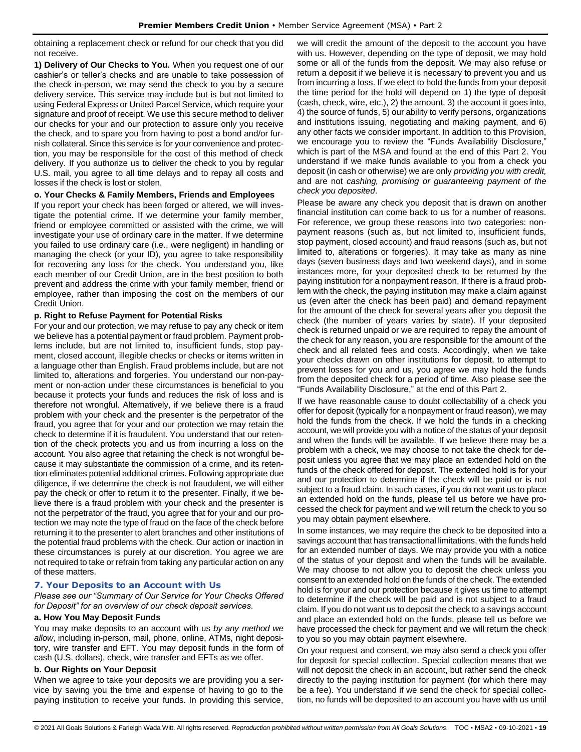obtaining a replacement check or refund for our check that you did not receive.

**1) Delivery of Our Checks to You.** When you request one of our cashier's or teller's checks and are unable to take possession of the check in-person, we may send the check to you by a secure delivery service. This service may include but is but not limited to using Federal Express or United Parcel Service, which require your signature and proof of receipt. We use this secure method to deliver our checks for your and our protection to assure only you receive the check, and to spare you from having to post a bond and/or furnish collateral. Since this service is for your convenience and protection, you may be responsible for the cost of this method of check delivery. If you authorize us to deliver the check to you by regular U.S. mail, you agree to all time delays and to repay all costs and losses if the check is lost or stolen.

#### **o. Your Checks & Family Members, Friends and Employees**

If you report your check has been forged or altered, we will investigate the potential crime. If we determine your family member, friend or employee committed or assisted with the crime, we will investigate your use of ordinary care in the matter. If we determine you failed to use ordinary care (i.e., were negligent) in handling or managing the check (or your ID), you agree to take responsibility for recovering any loss for the check. You understand you, like each member of our Credit Union, are in the best position to both prevent and address the crime with your family member, friend or employee, rather than imposing the cost on the members of our Credit Union.

### **p. Right to Refuse Payment for Potential Risks**

For your and our protection, we may refuse to pay any check or item we believe has a potential payment or fraud problem. Payment problems include, but are not limited to, insufficient funds, stop payment, closed account, illegible checks or checks or items written in a language other than English. Fraud problems include, but are not limited to, alterations and forgeries. You understand our non-payment or non-action under these circumstances is beneficial to you because it protects your funds and reduces the risk of loss and is therefore not wrongful. Alternatively, if we believe there is a fraud problem with your check and the presenter is the perpetrator of the fraud, you agree that for your and our protection we may retain the check to determine if it is fraudulent. You understand that our retention of the check protects you and us from incurring a loss on the account. You also agree that retaining the check is not wrongful because it may substantiate the commission of a crime, and its retention eliminates potential additional crimes. Following appropriate due diligence, if we determine the check is not fraudulent, we will either pay the check or offer to return it to the presenter. Finally, if we believe there is a fraud problem with your check and the presenter is not the perpetrator of the fraud, you agree that for your and our protection we may note the type of fraud on the face of the check before returning it to the presenter to alert branches and other institutions of the potential fraud problems with the check. Our action or inaction in these circumstances is purely at our discretion. You agree we are not required to take or refrain from taking any particular action on any of these matters.

# <span id="page-18-0"></span>**7. Your Deposits to an Account with Us**

*Please see our "Summary of Our Service for Your Checks Offered for Deposit" for an overview of our check deposit services.*

# **a. How You May Deposit Funds**

You may make deposits to an account with us *by any method we allow*, including in-person, mail, phone, online, ATMs, night depository, wire transfer and EFT. You may deposit funds in the form of cash (U.S. dollars), check, wire transfer and EFTs as we offer.

#### **b. Our Rights on Your Deposit**

When we agree to take your deposits we are providing you a service by saving you the time and expense of having to go to the paying institution to receive your funds. In providing this service, we will credit the amount of the deposit to the account you have with us. However, depending on the type of deposit, we may hold some or all of the funds from the deposit. We may also refuse or return a deposit if we believe it is necessary to prevent you and us from incurring a loss. If we elect to hold the funds from your deposit the time period for the hold will depend on 1) the type of deposit (cash, check, wire, etc.), 2) the amount, 3) the account it goes into, 4) the source of funds, 5) our ability to verify persons, organizations and institutions issuing, negotiating and making payment, and 6) any other facts we consider important. In addition to this Provision, we encourage you to review the "Funds Availability Disclosure," which is part of the MSA and found at the end of this Part 2. You understand if we make funds available to you from a check you deposit (in cash or otherwise) we are only *providing you with credit,*  and are not *cashing, promising or guaranteeing payment of the check you deposited*.

Please be aware any check you deposit that is drawn on another financial institution can come back to us for a number of reasons. For reference, we group these reasons into two categories: nonpayment reasons (such as, but not limited to, insufficient funds, stop payment, closed account) and fraud reasons (such as, but not limited to, alterations or forgeries). It may take as many as nine days (seven business days and two weekend days), and in some instances more, for your deposited check to be returned by the paying institution for a nonpayment reason. If there is a fraud problem with the check, the paying institution may make a claim against us (even after the check has been paid) and demand repayment for the amount of the check for several years after you deposit the check (the number of years varies by state). If your deposited check is returned unpaid or we are required to repay the amount of the check for any reason, you are responsible for the amount of the check and all related fees and costs. Accordingly, when we take your checks drawn on other institutions for deposit, to attempt to prevent losses for you and us, you agree we may hold the funds from the deposited check for a period of time. Also please see the "Funds Availability Disclosure," at the end of this Part 2.

If we have reasonable cause to doubt collectability of a check you offer for deposit (typically for a nonpayment or fraud reason), we may hold the funds from the check. If we hold the funds in a checking account, we will provide you with a notice of the status of your deposit and when the funds will be available. If we believe there may be a problem with a check, we may choose to not take the check for deposit unless you agree that we may place an extended hold on the funds of the check offered for deposit. The extended hold is for your and our protection to determine if the check will be paid or is not subject to a fraud claim. In such cases, if you do not want us to place an extended hold on the funds, please tell us before we have processed the check for payment and we will return the check to you so you may obtain payment elsewhere.

In some instances, we may require the check to be deposited into a savings account that has transactional limitations, with the funds held for an extended number of days. We may provide you with a notice of the status of your deposit and when the funds will be available. We may choose to not allow you to deposit the check unless you consent to an extended hold on the funds of the check. The extended hold is for your and our protection because it gives us time to attempt to determine if the check will be paid and is not subject to a fraud claim. If you do not want us to deposit the check to a savings account and place an extended hold on the funds, please tell us before we have processed the check for payment and we will return the check to you so you may obtain payment elsewhere.

On your request and consent, we may also send a check you offer for deposit for special collection. Special collection means that we will not deposit the check in an account, but rather send the check directly to the paying institution for payment (for which there may be a fee). You understand if we send the check for special collection, no funds will be deposited to an account you have with us until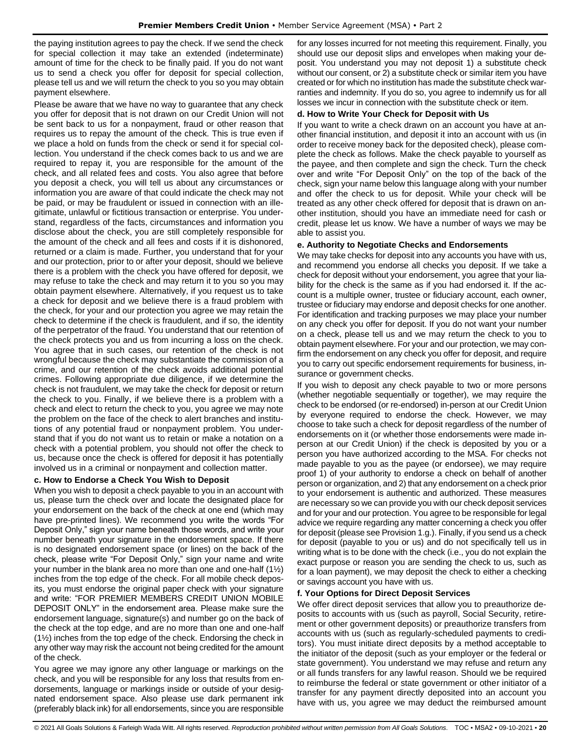the paying institution agrees to pay the check. If we send the check for special collection it may take an extended (indeterminate) amount of time for the check to be finally paid. If you do not want us to send a check you offer for deposit for special collection, please tell us and we will return the check to you so you may obtain payment elsewhere.

Please be aware that we have no way to guarantee that any check you offer for deposit that is not drawn on our Credit Union will not be sent back to us for a nonpayment, fraud or other reason that requires us to repay the amount of the check. This is true even if we place a hold on funds from the check or send it for special collection. You understand if the check comes back to us and we are required to repay it, you are responsible for the amount of the check, and all related fees and costs. You also agree that before you deposit a check, you will tell us about any circumstances or information you are aware of that could indicate the check may not be paid, or may be fraudulent or issued in connection with an illegitimate, unlawful or fictitious transaction or enterprise. You understand, regardless of the facts, circumstances and information you disclose about the check, you are still completely responsible for the amount of the check and all fees and costs if it is dishonored, returned or a claim is made. Further, you understand that for your and our protection, prior to or after your deposit, should we believe there is a problem with the check you have offered for deposit, we may refuse to take the check and may return it to you so you may obtain payment elsewhere. Alternatively, if you request us to take a check for deposit and we believe there is a fraud problem with the check, for your and our protection you agree we may retain the check to determine if the check is fraudulent, and if so, the identity of the perpetrator of the fraud. You understand that our retention of the check protects you and us from incurring a loss on the check. You agree that in such cases, our retention of the check is not wrongful because the check may substantiate the commission of a crime, and our retention of the check avoids additional potential crimes. Following appropriate due diligence, if we determine the check is not fraudulent, we may take the check for deposit or return the check to you. Finally, if we believe there is a problem with a check and elect to return the check to you, you agree we may note the problem on the face of the check to alert branches and institutions of any potential fraud or nonpayment problem. You understand that if you do not want us to retain or make a notation on a check with a potential problem, you should not offer the check to us, because once the check is offered for deposit it has potentially involved us in a criminal or nonpayment and collection matter.

#### **c. How to Endorse a Check You Wish to Deposit**

When you wish to deposit a check payable to you in an account with us, please turn the check over and locate the designated place for your endorsement on the back of the check at one end (which may have pre-printed lines). We recommend you write the words "For Deposit Only," sign your name beneath those words, and write your number beneath your signature in the endorsement space. If there is no designated endorsement space (or lines) on the back of the check, please write "For Deposit Only," sign your name and write your number in the blank area no more than one and one-half (1½) inches from the top edge of the check. For all mobile check deposits, you must endorse the original paper check with your signature and write: "FOR PREMIER MEMBERS CREDIT UNION MOBILE DEPOSIT ONLY" in the endorsement area. Please make sure the endorsement language, signature(s) and number go on the back of the check at the top edge, and are no more than one and one-half (1½) inches from the top edge of the check. Endorsing the check in any other way may risk the account not being credited for the amount of the check.

You agree we may ignore any other language or markings on the check, and you will be responsible for any loss that results from endorsements, language or markings inside or outside of your designated endorsement space. Also please use dark permanent ink (preferably black ink) for all endorsements, since you are responsible for any losses incurred for not meeting this requirement. Finally, you should use our deposit slips and envelopes when making your deposit. You understand you may not deposit 1) a substitute check without our consent, or 2) a substitute check or similar item you have created or for which no institution has made the substitute check warranties and indemnity. If you do so, you agree to indemnify us for all losses we incur in connection with the substitute check or item.

#### **d. How to Write Your Check for Deposit with Us**

If you want to write a check drawn on an account you have at another financial institution, and deposit it into an account with us (in order to receive money back for the deposited check), please complete the check as follows. Make the check payable to yourself as the payee, and then complete and sign the check. Turn the check over and write "For Deposit Only" on the top of the back of the check, sign your name below this language along with your number and offer the check to us for deposit. While your check will be treated as any other check offered for deposit that is drawn on another institution, should you have an immediate need for cash or credit, please let us know. We have a number of ways we may be able to assist you.

#### **e. Authority to Negotiate Checks and Endorsements**

We may take checks for deposit into any accounts you have with us, and recommend you endorse all checks you deposit. If we take a check for deposit without your endorsement, you agree that your liability for the check is the same as if you had endorsed it. If the account is a multiple owner, trustee or fiduciary account, each owner, trustee or fiduciary may endorse and deposit checks for one another. For identification and tracking purposes we may place your number on any check you offer for deposit. If you do not want your number on a check, please tell us and we may return the check to you to obtain payment elsewhere. For your and our protection, we may confirm the endorsement on any check you offer for deposit, and require you to carry out specific endorsement requirements for business, insurance or government checks.

If you wish to deposit any check payable to two or more persons (whether negotiable sequentially or together), we may require the check to be endorsed (or re-endorsed) in-person at our Credit Union by everyone required to endorse the check. However, we may choose to take such a check for deposit regardless of the number of endorsements on it (or whether those endorsements were made inperson at our Credit Union) if the check is deposited by you or a person you have authorized according to the MSA. For checks not made payable to you as the payee (or endorsee), we may require proof 1) of your authority to endorse a check on behalf of another person or organization, and 2) that any endorsement on a check prior to your endorsement is authentic and authorized. These measures are necessary so we can provide you with our check deposit services and for your and our protection. You agree to be responsible for legal advice we require regarding any matter concerning a check you offer for deposit (please see Provision 1.g.). Finally, if you send us a check for deposit (payable to you or us) and do not specifically tell us in writing what is to be done with the check (i.e., you do not explain the exact purpose or reason you are sending the check to us, such as for a loan payment), we may deposit the check to either a checking or savings account you have with us.

### **f. Your Options for Direct Deposit Services**

We offer direct deposit services that allow you to preauthorize deposits to accounts with us (such as payroll, Social Security, retirement or other government deposits) or preauthorize transfers from accounts with us (such as regularly-scheduled payments to creditors). You must initiate direct deposits by a method acceptable to the initiator of the deposit (such as your employer or the federal or state government). You understand we may refuse and return any or all funds transfers for any lawful reason. Should we be required to reimburse the federal or state government or other initiator of a transfer for any payment directly deposited into an account you have with us, you agree we may deduct the reimbursed amount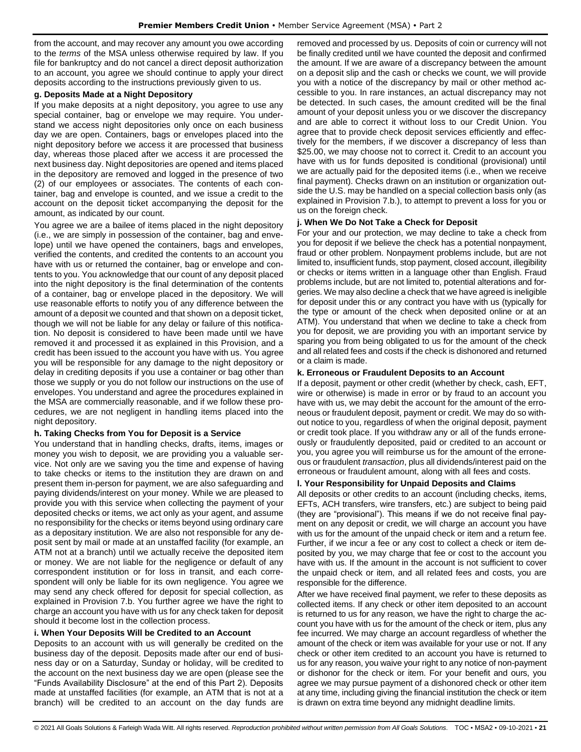from the account, and may recover any amount you owe according to the *terms* of the MSA unless otherwise required by law. If you file for bankruptcy and do not cancel a direct deposit authorization to an account, you agree we should continue to apply your direct deposits according to the instructions previously given to us.

#### **g. Deposits Made at a Night Depository**

If you make deposits at a night depository, you agree to use any special container, bag or envelope we may require. You understand we access night depositories only once on each business day we are open. Containers, bags or envelopes placed into the night depository before we access it are processed that business day, whereas those placed after we access it are processed the next business day. Night depositories are opened and items placed in the depository are removed and logged in the presence of two (2) of our employees or associates. The contents of each container, bag and envelope is counted, and we issue a credit to the account on the deposit ticket accompanying the deposit for the amount, as indicated by our count.

You agree we are a bailee of items placed in the night depository (i.e., we are simply in possession of the container, bag and envelope) until we have opened the containers, bags and envelopes, verified the contents, and credited the contents to an account you have with us or returned the container, bag or envelope and contents to you. You acknowledge that our count of any deposit placed into the night depository is the final determination of the contents of a container, bag or envelope placed in the depository. We will use reasonable efforts to notify you of any difference between the amount of a deposit we counted and that shown on a deposit ticket, though we will not be liable for any delay or failure of this notification. No deposit is considered to have been made until we have removed it and processed it as explained in this Provision, and a credit has been issued to the account you have with us. You agree you will be responsible for any damage to the night depository or delay in crediting deposits if you use a container or bag other than those we supply or you do not follow our instructions on the use of envelopes. You understand and agree the procedures explained in the MSA are commercially reasonable, and if we follow these procedures, we are not negligent in handling items placed into the night depository.

#### **h. Taking Checks from You for Deposit is a Service**

You understand that in handling checks, drafts, items, images or money you wish to deposit, we are providing you a valuable service. Not only are we saving you the time and expense of having to take checks or items to the institution they are drawn on and present them in-person for payment, we are also safeguarding and paying dividends/interest on your money. While we are pleased to provide you with this service when collecting the payment of your deposited checks or items, we act only as your agent, and assume no responsibility for the checks or items beyond using ordinary care as a depositary institution. We are also not responsible for any deposit sent by mail or made at an unstaffed facility (for example, an ATM not at a branch) until we actually receive the deposited item or money. We are not liable for the negligence or default of any correspondent institution or for loss in transit, and each correspondent will only be liable for its own negligence. You agree we may send any check offered for deposit for special collection, as explained in Provision 7.b. You further agree we have the right to charge an account you have with us for any check taken for deposit should it become lost in the collection process.

#### **i. When Your Deposits Will be Credited to an Account**

Deposits to an account with us will generally be credited on the business day of the deposit. Deposits made after our end of business day or on a Saturday, Sunday or holiday, will be credited to the account on the next business day we are open (please see the "Funds Availability Disclosure" at the end of this Part 2). Deposits made at unstaffed facilities (for example, an ATM that is not at a branch) will be credited to an account on the day funds are

removed and processed by us. Deposits of coin or currency will not be finally credited until we have counted the deposit and confirmed the amount. If we are aware of a discrepancy between the amount on a deposit slip and the cash or checks we count, we will provide you with a notice of the discrepancy by mail or other method accessible to you. In rare instances, an actual discrepancy may not be detected. In such cases, the amount credited will be the final amount of your deposit unless you or we discover the discrepancy and are able to correct it without loss to our Credit Union. You agree that to provide check deposit services efficiently and effectively for the members, if we discover a discrepancy of less than \$25.00, we may choose not to correct it. Credit to an account you have with us for funds deposited is conditional (provisional) until we are actually paid for the deposited items (i.e., when we receive final payment). Checks drawn on an institution or organization outside the U.S. may be handled on a special collection basis only (as explained in Provision 7.b.), to attempt to prevent a loss for you or us on the foreign check.

#### **j. When We Do Not Take a Check for Deposit**

For your and our protection, we may decline to take a check from you for deposit if we believe the check has a potential nonpayment, fraud or other problem. Nonpayment problems include, but are not limited to, insufficient funds, stop payment, closed account, illegibility or checks or items written in a language other than English. Fraud problems include, but are not limited to, potential alterations and forgeries. We may also decline a check that we have agreed is ineligible for deposit under this or any contract you have with us (typically for the type or amount of the check when deposited online or at an ATM). You understand that when we decline to take a check from you for deposit, we are providing you with an important service by sparing you from being obligated to us for the amount of the check and all related fees and costs if the check is dishonored and returned or a claim is made.

#### **k. Erroneous or Fraudulent Deposits to an Account**

If a deposit, payment or other credit (whether by check, cash, EFT, wire or otherwise) is made in error or by fraud to an account you have with us, we may debit the account for the amount of the erroneous or fraudulent deposit, payment or credit. We may do so without notice to you, regardless of when the original deposit, payment or credit took place. If you withdraw any or all of the funds erroneously or fraudulently deposited, paid or credited to an account or you, you agree you will reimburse us for the amount of the erroneous or fraudulent *transaction*, plus all dividends/interest paid on the erroneous or fraudulent amount, along with all fees and costs.

#### **l. Your Responsibility for Unpaid Deposits and Claims**

All deposits or other credits to an account (including checks, items, EFTs, ACH transfers, wire transfers, etc.) are subject to being paid (they are "provisional"). This means if we do not receive final payment on any deposit or credit, we will charge an account you have with us for the amount of the unpaid check or item and a return fee. Further, if we incur a fee or any cost to collect a check or item deposited by you, we may charge that fee or cost to the account you have with us. If the amount in the account is not sufficient to cover the unpaid check or item, and all related fees and costs, you are responsible for the difference.

After we have received final payment, we refer to these deposits as collected items. If any check or other item deposited to an account is returned to us for any reason, we have the right to charge the account you have with us for the amount of the check or item, plus any fee incurred. We may charge an account regardless of whether the amount of the check or item was available for your use or not. If any check or other item credited to an account you have is returned to us for any reason, you waive your right to any notice of non-payment or dishonor for the check or item. For your benefit and ours, you agree we may pursue payment of a dishonored check or other item at any time, including giving the financial institution the check or item is drawn on extra time beyond any midnight deadline limits.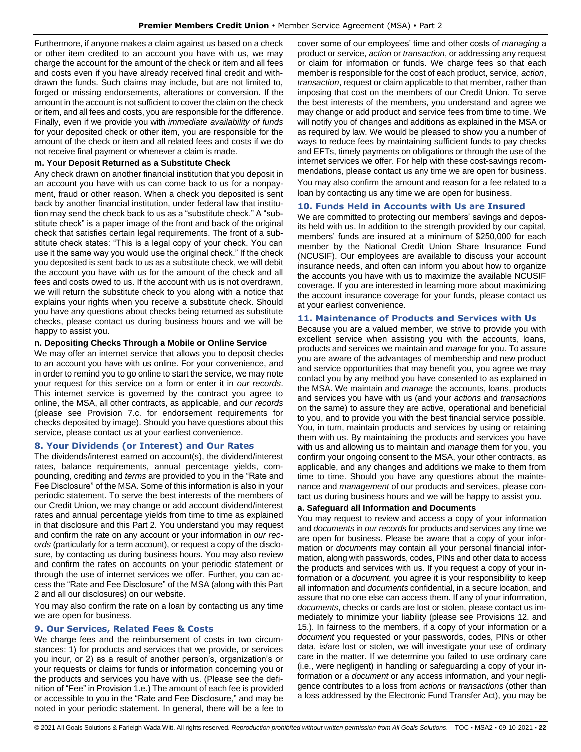Furthermore, if anyone makes a claim against us based on a check or other item credited to an account you have with us, we may charge the account for the amount of the check or item and all fees and costs even if you have already received final credit and withdrawn the funds. Such claims may include, but are not limited to, forged or missing endorsements, alterations or conversion. If the amount in the account is not sufficient to cover the claim on the check or item, and all fees and costs, you are responsible for the difference. Finally, even if we provide you with *immediate availability of funds* for your deposited check or other item, you are responsible for the amount of the check or item and all related fees and costs if we do not receive final payment or whenever a claim is made.

#### **m. Your Deposit Returned as a Substitute Check**

Any check drawn on another financial institution that you deposit in an account you have with us can come back to us for a nonpayment, fraud or other reason. When a check you deposited is sent back by another financial institution, under federal law that institution may send the check back to us as a "substitute check." A "substitute check" is a paper image of the front and back of the original check that satisfies certain legal requirements. The front of a substitute check states: "This is a legal copy of your check. You can use it the same way you would use the original check." If the check you deposited is sent back to us as a substitute check, we will debit the account you have with us for the amount of the check and all fees and costs owed to us. If the account with us is not overdrawn, we will return the substitute check to you along with a notice that explains your rights when you receive a substitute check. Should you have any questions about checks being returned as substitute checks, please contact us during business hours and we will be happy to assist you.

### **n. Depositing Checks Through a Mobile or Online Service**

We may offer an internet service that allows you to deposit checks to an account you have with us online. For your convenience, and in order to remind you to go online to start the service, we may note your request for this service on a form or enter it in *our records*. This internet service is governed by the contract you agree to online, the MSA, all other contracts, as applicable, and *our records* (please see Provision 7.c. for endorsement requirements for checks deposited by image). Should you have questions about this service, please contact us at your earliest convenience.

# <span id="page-21-0"></span>**8. Your Dividends (or Interest) and Our Rates**

The dividends/interest earned on account(s), the dividend/interest rates, balance requirements, annual percentage yields, compounding, crediting and *terms* are provided to you in the "Rate and Fee Disclosure" of the MSA. Some of this information is also in your periodic statement. To serve the best interests of the members of our Credit Union, we may change or add account dividend/interest rates and annual percentage yields from time to time as explained in that disclosure and this Part 2. You understand you may request and confirm the rate on any account or your information in *our records* (particularly for a term account), or request a copy of the disclosure, by contacting us during business hours. You may also review and confirm the rates on accounts on your periodic statement or through the use of internet services we offer. Further, you can access the "Rate and Fee Disclosure" of the MSA (along with this Part 2 and all our disclosures) on our website.

You may also confirm the rate on a loan by contacting us any time we are open for business.

# <span id="page-21-1"></span>**9. Our Services, Related Fees & Costs**

We charge fees and the reimbursement of costs in two circumstances: 1) for products and services that we provide, or services you incur, or 2) as a result of another person's, organization's or your requests or claims for funds or information concerning you or the products and services you have with us. (Please see the definition of "Fee" in Provision 1.e.) The amount of each fee is provided or accessible to you in the "Rate and Fee Disclosure," and may be noted in your periodic statement. In general, there will be a fee to

cover some of our employees' time and other costs of *managing* a product or service, *action* or *transaction*, or addressing any request or claim for information or funds. We charge fees so that each member is responsible for the cost of each product, service, *action*, *transaction*, request or claim applicable to that member, rather than imposing that cost on the members of our Credit Union. To serve the best interests of the members, you understand and agree we may change or add product and service fees from time to time. We will notify you of changes and additions as explained in the MSA or as required by law. We would be pleased to show you a number of ways to reduce fees by maintaining sufficient funds to pay checks and EFTs, timely payments on obligations or through the use of the internet services we offer. For help with these cost-savings recommendations, please contact us any time we are open for business. You may also confirm the amount and reason for a fee related to a loan by contacting us any time we are open for business.

### <span id="page-21-2"></span>**10. Funds Held in Accounts with Us are Insured**

We are committed to protecting our members' savings and deposits held with us. In addition to the strength provided by our capital, members' funds are insured at a minimum of \$250,000 for each member by the National Credit Union Share Insurance Fund (NCUSIF). Our employees are available to discuss your account insurance needs, and often can inform you about how to organize the accounts you have with us to maximize the available NCUSIF coverage. If you are interested in learning more about maximizing the account insurance coverage for your funds, please contact us at your earliest convenience.

### <span id="page-21-3"></span>**11. Maintenance of Products and Services with Us**

Because you are a valued member, we strive to provide you with excellent service when assisting you with the accounts, loans, products and services we maintain and *manage* for you. To assure you are aware of the advantages of membership and new product and service opportunities that may benefit you, you agree we may contact you by any method you have consented to as explained in the MSA. We maintain and *manage* the accounts, loans, products and services you have with us (and your *actions* and *transactions* on the same) to assure they are active, operational and beneficial to you, and to provide you with the best financial service possible. You, in turn, maintain products and services by using or retaining them with us. By maintaining the products and services you have with us and allowing us to maintain and *manage* them for you, you confirm your ongoing consent to the MSA, your other contracts, as applicable, and any changes and additions we make to them from time to time. Should you have any questions about the maintenance and *management* of our products and services, please contact us during business hours and we will be happy to assist you.

#### **a. Safeguard all Information and Documents**

You may request to review and access a copy of your information and *documents* in *our records* for products and services any time we are open for business. Please be aware that a copy of your information or *documents* may contain all your personal financial information, along with passwords, codes, PINs and other data to access the products and services with us. If you request a copy of your information or a *document*, you agree it is your responsibility to keep all information and *documents* confidential, in a secure location, and assure that no one else can access them. If any of your information, *documents*, checks or cards are lost or stolen, please contact us immediately to minimize your liability (please see Provisions 12. and 15.). In fairness to the members, if a copy of your information or a *document* you requested or your passwords, codes, PINs or other data, is/are lost or stolen, we will investigate your use of ordinary care in the matter. If we determine you failed to use ordinary care (i.e., were negligent) in handling or safeguarding a copy of your information or a *document* or any access information, and your negligence contributes to a loss from *actions* or *transactions* (other than a loss addressed by the Electronic Fund Transfer Act), you may be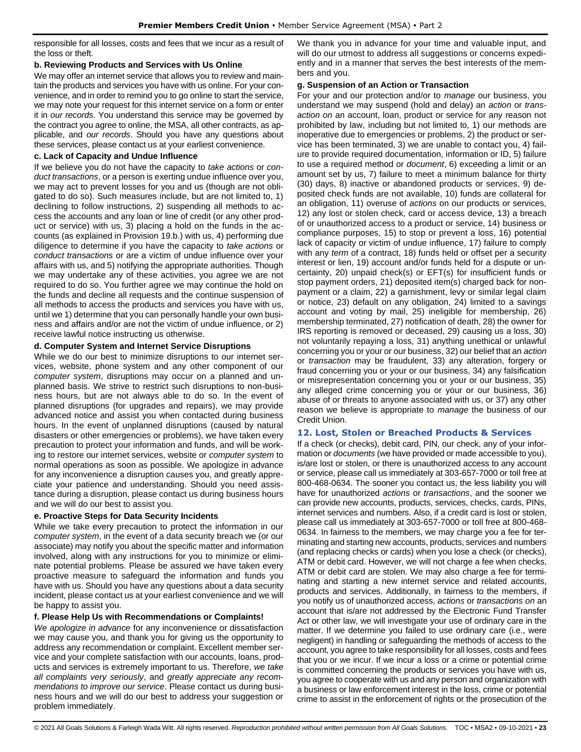responsible for all losses, costs and fees that we incur as a result of the loss or theft.

### **b. Reviewing Products and Services with Us Online**

We may offer an internet service that allows you to review and maintain the products and services you have with us online. For your convenience, and in order to remind you to go online to start the service, we may note your request for this internet service on a form or enter it in *our records*. You understand this service may be governed by the contract you agree to online, the MSA, all other contracts, as applicable, and *our records*. Should you have any questions about these services, please contact us at your earliest convenience.

### **c. Lack of Capacity and Undue Influence**

If we believe you do not have the capacity to *take actions* or *conduct transactions*, or a person is exerting undue influence over you, we may act to prevent losses for you and us (though are not obligated to do so). Such measures include, but are not limited to, 1) declining to follow instructions, 2) suspending all methods to access the accounts and any loan or line of credit (or any other product or service) with us, 3) placing a hold on the funds in the accounts (as explained in Provision 19.b.) with us, 4) performing due diligence to determine if you have the capacity to *take actions* or *conduct transactions* or are a victim of undue influence over your affairs with us, and 5) notifying the appropriate authorities. Though we may undertake any of these activities, you agree we are not required to do so. You further agree we may continue the hold on the funds and decline all requests and the continue suspension of all methods to access the products and services you have with us, until we 1) determine that you can personally handle your own business and affairs and/or are not the victim of undue influence, or 2) receive lawful notice instructing us otherwise.

### **d. Computer System and Internet Service Disruptions**

While we do our best to minimize disruptions to our internet services, website, phone system and any other component of our *computer system*, disruptions may occur on a planned and unplanned basis. We strive to restrict such disruptions to non-business hours, but are not always able to do so. In the event of planned disruptions (for upgrades and repairs), we may provide advanced notice and assist you when contacted during business hours. In the event of unplanned disruptions (caused by natural disasters or other emergencies or problems), we have taken every precaution to protect your information and funds, and will be working to restore our internet services, website or *computer system* to normal operations as soon as possible. We apologize in advance for any inconvenience a disruption causes you, and greatly appreciate your patience and understanding. Should you need assistance during a disruption, please contact us during business hours and we will do our best to assist you.

# **e. Proactive Steps for Data Security Incidents**

While we take every precaution to protect the information in our *computer system*, in the event of a data security breach we (or our associate) may notify you about the specific matter and information involved, along with any instructions for you to minimize or eliminate potential problems. Please be assured we have taken every proactive measure to safeguard the information and funds you have with us. Should you have any questions about a data security incident, please contact us at your earliest convenience and we will be happy to assist you.

# **f. Please Help Us with Recommendations or Complaints!**

*We apologize in advance* for any inconvenience or dissatisfaction we may cause you, and thank you for giving us the opportunity to address any recommendation or complaint. Excellent member service and your complete satisfaction with our accounts, loans, products and services is extremely important to us. Therefore, *we take all complaints very seriously*, and *greatly appreciate any recommendations to improve our service*. Please contact us during business hours and we will do our best to address your suggestion or problem immediately.

We thank you in advance for your time and valuable input, and will do our utmost to address all suggestions or concerns expediently and in a manner that serves the best interests of the members and you.

#### **g. Suspension of an Action or Transaction**

For your and our protection and/or to *manage* our business, you understand we may suspend (hold and delay) an *action* or *transaction on* an account, loan, product or service for any reason not prohibited by law, including but not limited to, 1) our methods are inoperative due to emergencies or problems, 2) the product or service has been terminated, 3) we are unable to contact you, 4) failure to provide required documentation, information or ID, 5) failure to use a required method or *document*, 6) exceeding a limit or an amount set by us, 7) failure to meet a minimum balance for thirty (30) days, 8) inactive or abandoned products or services, 9) deposited check funds are not available, 10) funds are collateral for an obligation, 11) overuse of *actions* on our products or services, 12) any lost or stolen check, card or access device, 13) a breach of or unauthorized access to a product or service, 14) business or compliance purposes, 15) to stop or prevent a loss, 16) potential lack of capacity or victim of undue influence, 17) failure to comply with any *term* of a contract, 18) funds held or offset per a security interest or lien, 19) account and/or funds held for a dispute or uncertainty, 20) unpaid check(s) or EFT(s) for insufficient funds or stop payment orders, 21) deposited item(s) charged back for nonpayment or a claim, 22) a garnishment, levy or similar legal claim or notice, 23) default on any obligation, 24) limited to a savings account and voting by mail, 25) ineligible for membership, 26) membership terminated, 27) notification of death, 28) the owner for IRS reporting is removed or deceased, 29) causing us a loss, 30) not voluntarily repaying a loss, 31) anything unethical or unlawful concerning you or your or our business, 32) our belief that an *action* or *transaction* may be fraudulent, 33) any alteration, forgery or fraud concerning you or your or our business, 34) any falsification or misrepresentation concerning you or your or our business, 35) any alleged crime concerning you or your or our business, 36) abuse of or threats to anyone associated with us, or 37) any other reason we believe is appropriate to *manage* the business of our Credit Union.

# <span id="page-22-0"></span>**12. Lost, Stolen or Breached Products & Services**

If a check (or checks), debit card, PIN, our check, any of your information or *documents* (we have provided or made accessible to you), is/are lost or stolen, or there is unauthorized access to any account or service, please call us immediately at 303-657-7000 or toll free at 800-468-0634. The sooner you contact us, the less liability you will have for unauthorized *actions* or *transactions*, and the sooner we can provide new accounts, products, services, checks, cards, PINs, internet services and numbers. Also, if a credit card is lost or stolen, please call us immediately at 303-657-7000 or toll free at 800-468- 0634. In fairness to the members, we may charge you a fee for terminating and starting new accounts, products, services and numbers (and replacing checks or cards) when you lose a check (or checks), ATM or debit card. However, we will not charge a fee when checks, ATM or debit card are stolen. We may also charge a fee for terminating and starting a new internet service and related accounts, products and services. Additionally, in fairness to the members, if you notify us of unauthorized access, *actions* or *transactions on* an account that is/are not addressed by the Electronic Fund Transfer Act or other law, we will investigate your use of ordinary care in the matter. If we determine you failed to use ordinary care (i.e., were negligent) in handling or safeguarding the methods of access to the account, you agree to take responsibility for all losses, costs and fees that you or we incur. If we incur a loss or a crime or potential crime is committed concerning the products or services you have with us, you agree to cooperate with us and any person and organization with a business or law enforcement interest in the loss, crime or potential crime to assist in the enforcement of rights or the prosecution of the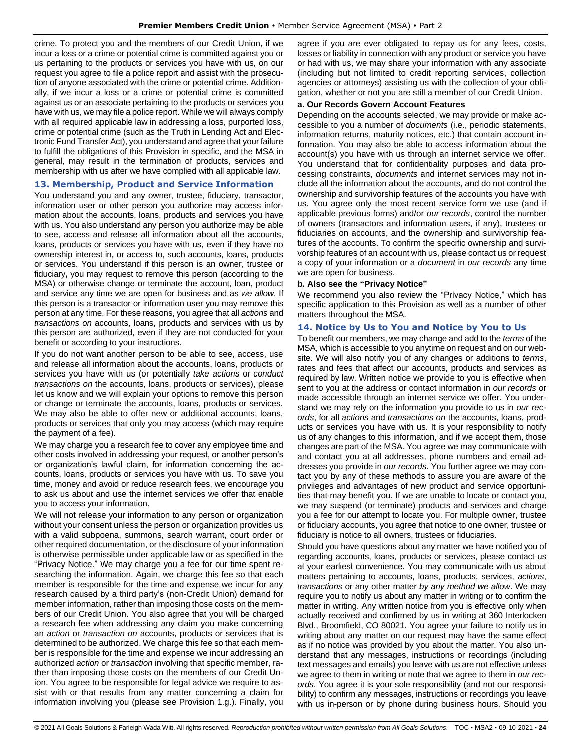crime. To protect you and the members of our Credit Union, if we incur a loss or a crime or potential crime is committed against you or us pertaining to the products or services you have with us, on our request you agree to file a police report and assist with the prosecution of anyone associated with the crime or potential crime. Additionally, if we incur a loss or a crime or potential crime is committed against us or an associate pertaining to the products or services you have with us, we may file a police report. While we will always comply with all required applicable law in addressing a loss, purported loss, crime or potential crime (such as the Truth in Lending Act and Electronic Fund Transfer Act), you understand and agree that your failure to fulfill the obligations of this Provision in specific, and the MSA in general, may result in the termination of products, services and membership with us after we have complied with all applicable law.

# <span id="page-23-0"></span>**13. Membership, Product and Service Information**

You understand you and any owner, trustee, fiduciary, transactor, information user or other person you authorize may access information about the accounts, loans, products and services you have with us. You also understand any person you authorize may be able to see, access and release all information about all the accounts, loans, products or services you have with us, even if they have no ownership interest in, or access to, such accounts, loans, products or services. You understand if this person is an owner, trustee or fiduciary**,** you may request to remove this person (according to the MSA) or otherwise change or terminate the account, loan, product and service any time we are open for business and as *we allow*. If this person is a transactor or information user you may remove this person at any time. For these reasons, you agree that all *actions* and *transactions on* accounts, loans, products and services with us by this person are authorized, even if they are not conducted for your benefit or according to your instructions.

If you do not want another person to be able to see, access, use and release all information about the accounts, loans, products or services you have with us (or potentially *take actions* or *conduct transactions on* the accounts, loans, products or services), please let us know and we will explain your options to remove this person or change or terminate the accounts, loans, products or services. We may also be able to offer new or additional accounts, loans, products or services that only you may access (which may require the payment of a fee).

We may charge you a research fee to cover any employee time and other costs involved in addressing your request, or another person's or organization's lawful claim, for information concerning the accounts, loans, products or services you have with us. To save you time, money and avoid or reduce research fees, we encourage you to ask us about and use the internet services we offer that enable you to access your information.

We will not release your information to any person or organization without your consent unless the person or organization provides us with a valid subpoena, summons, search warrant, court order or other required documentation, or the disclosure of your information is otherwise permissible under applicable law or as specified in the "Privacy Notice." We may charge you a fee for our time spent researching the information. Again, we charge this fee so that each member is responsible for the time and expense we incur for any research caused by a third party's (non-Credit Union) demand for member information, rather than imposing those costs on the members of our Credit Union. You also agree that you will be charged a research fee when addressing any claim you make concerning an *action* or *transaction on* accounts, products or services that is determined to be authorized. We charge this fee so that each member is responsible for the time and expense we incur addressing an authorized *action* or *transaction* involving that specific member, rather than imposing those costs on the members of our Credit Union. You agree to be responsible for legal advice we require to assist with or that results from any matter concerning a claim for information involving you (please see Provision 1.g.). Finally, you agree if you are ever obligated to repay us for any fees, costs, losses or liability in connection with any product or service you have or had with us, we may share your information with any associate (including but not limited to credit reporting services, collection agencies or attorneys) assisting us with the collection of your obligation, whether or not you are still a member of our Credit Union.

#### **a. Our Records Govern Account Features**

Depending on the accounts selected, we may provide or make accessible to you a number of *documents* (i.e., periodic statements, information returns, maturity notices, etc.) that contain account information. You may also be able to access information about the account(s) you have with us through an internet service we offer. You understand that for confidentiality purposes and data processing constraints, *documents* and internet services may not include all the information about the accounts, and do not control the ownership and survivorship features of the accounts you have with us. You agree only the most recent service form we use (and if applicable previous forms) and/or *our records*, control the number of owners (transactors and information users, if any), trustees or fiduciaries on accounts, and the ownership and survivorship features of the accounts. To confirm the specific ownership and survivorship features of an account with us, please contact us or request a copy of your information or a *document* in *our records* any time we are open for business.

### **b. Also see the "Privacy Notice"**

We recommend you also review the "Privacy Notice," which has specific application to this Provision as well as a number of other matters throughout the MSA.

### <span id="page-23-1"></span>**14. Notice by Us to You and Notice by You to Us**

To benefit our members, we may change and add to the *terms* of the MSA, which is accessible to you anytime on request and on our website. We will also notify you of any changes or additions to *terms*, rates and fees that affect our accounts, products and services as required by law. Written notice we provide to you is effective when sent to you at the address or contact information in *our records* or made accessible through an internet service we offer. You understand we may rely on the information you provide to us in *our records*, for all *actions* and *transactions on* the accounts, loans, products or services you have with us. It is your responsibility to notify us of any changes to this information, and if we accept them, those changes are part of the MSA. You agree we may communicate with and contact you at all addresses, phone numbers and email addresses you provide in *our records*. You further agree we may contact you by any of these methods to assure you are aware of the privileges and advantages of new product and service opportunities that may benefit you. If we are unable to locate or contact you, we may suspend (or terminate) products and services and charge you a fee for our attempt to locate you. For multiple owner, trustee or fiduciary accounts, you agree that notice to one owner, trustee or fiduciary is notice to all owners, trustees or fiduciaries.

Should you have questions about any matter we have notified you of regarding accounts, loans, products or services, please contact us at your earliest convenience. You may communicate with us about matters pertaining to accounts, loans, products, services, *actions*, *transactions* or any other matter *by any method we allow*. We may require you to notify us about any matter in writing or to confirm the matter in writing. Any written notice from you is effective only when actually received and confirmed by us in writing at 360 Interlocken Blvd., Broomfield, CO 80021. You agree your failure to notify us in writing about any matter on our request may have the same effect as if no notice was provided by you about the matter. You also understand that any messages, instructions or recordings (including text messages and emails) you leave with us are not effective unless we agree to them in writing or note that we agree to them in *our records*. You agree it is your sole responsibility (and not our responsibility) to confirm any messages, instructions or recordings you leave with us in-person or by phone during business hours. Should you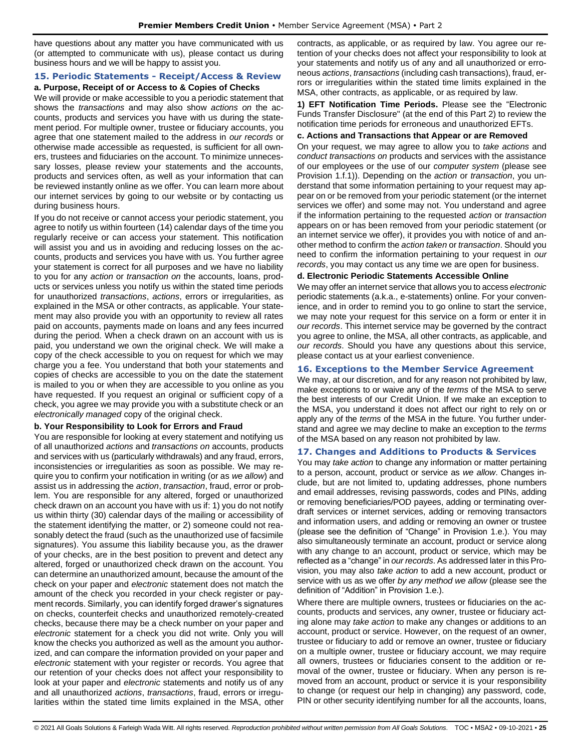have questions about any matter you have communicated with us (or attempted to communicate with us), please contact us during business hours and we will be happy to assist you.

#### <span id="page-24-0"></span>**15. Periodic Statements - Receipt/Access & Review a. Purpose, Receipt of or Access to & Copies of Checks**

We will provide or make accessible to you a periodic statement that shows the *transactions* and may also show *actions on* the accounts, products and services you have with us during the statement period. For multiple owner, trustee or fiduciary accounts, you agree that one statement mailed to the address in *our records* or otherwise made accessible as requested, is sufficient for all owners, trustees and fiduciaries on the account. To minimize unnecessary losses, please review your statements and the accounts, products and services often, as well as your information that can be reviewed instantly online as we offer. You can learn more about our internet services by going to our website or by contacting us during business hours.

If you do not receive or cannot access your periodic statement, you agree to notify us within fourteen (14) calendar days of the time you regularly receive or can access your statement. This notification will assist you and us in avoiding and reducing losses on the accounts, products and services you have with us. You further agree your statement is correct for all purposes and we have no liability to you for any *action* or *transaction on* the accounts, loans, products or services unless you notify us within the stated time periods for unauthorized *transactions*, *actions*, errors or irregularities, as explained in the MSA or other contracts, as applicable. Your statement may also provide you with an opportunity to review all rates paid on accounts, payments made on loans and any fees incurred during the period. When a check drawn on an account with us is paid, you understand we own the original check. We will make a copy of the check accessible to you on request for which we may charge you a fee. You understand that both your statements and copies of checks are accessible to you on the date the statement is mailed to you or when they are accessible to you online as you have requested. If you request an original or sufficient copy of a check, you agree we may provide you with a substitute check or an *electronically managed* copy of the original check.

# **b. Your Responsibility to Look for Errors and Fraud**

You are responsible for looking at every statement and notifying us of all unauthorized *actions* and *transactions on* accounts, products and services with us (particularly withdrawals) and any fraud, errors, inconsistencies or irregularities as soon as possible. We may require you to confirm your notification in writing (or as *we allow*) and assist us in addressing the *action*, *transaction*, fraud, error or problem. You are responsible for any altered, forged or unauthorized check drawn on an account you have with us if: 1) you do not notify us within thirty (30) calendar days of the mailing or accessibility of the statement identifying the matter, or 2) someone could not reasonably detect the fraud (such as the unauthorized use of facsimile signatures). You assume this liability because you, as the drawer of your checks, are in the best position to prevent and detect any altered, forged or unauthorized check drawn on the account. You can determine an unauthorized amount, because the amount of the check on your paper and *electronic* statement does not match the amount of the check you recorded in your check register or payment records. Similarly, you can identify forged drawer's signatures on checks, counterfeit checks and unauthorized remotely-created checks, because there may be a check number on your paper and *electronic* statement for a check you did not write. Only you will know the checks you authorized as well as the amount you authorized, and can compare the information provided on your paper and *electronic* statement with your register or records. You agree that our retention of your checks does not affect your responsibility to look at your paper and *electronic* statements and notify us of any and all unauthorized *actions*, *transactions*, fraud, errors or irregularities within the stated time limits explained in the MSA, other contracts, as applicable, or as required by law. You agree our retention of your checks does not affect your responsibility to look at your statements and notify us of any and all unauthorized or erroneous *actions*, *transactions* (including cash transactions), fraud, errors or irregularities within the stated time limits explained in the MSA, other contracts, as applicable, or as required by law.

**1) EFT Notification Time Periods.** Please see the "Electronic Funds Transfer Disclosure" (at the end of this Part 2) to review the notification time periods for erroneous and unauthorized EFTs.

## **c. Actions and Transactions that Appear or are Removed**

On your request, we may agree to allow you to *take actions* and *conduct transactions on* products and services with the assistance of our employees or the use of our *computer system* (please see Provision 1.f.1)). Depending on the *action* or *transaction*, you understand that some information pertaining to your request may appear on or be removed from your periodic statement (or the internet services we offer) and some may not. You understand and agree if the information pertaining to the requested *action* or *transaction* appears on or has been removed from your periodic statement (or an internet service we offer), it provides you with notice of and another method to confirm the *action taken* or *transaction*. Should you need to confirm the information pertaining to your request in *our records*, you may contact us any time we are open for business.

### **d. Electronic Periodic Statements Accessible Online**

We may offer an internet service that allows you to access *electronic* periodic statements (a.k.a., e-statements) online. For your convenience, and in order to remind you to go online to start the service, we may note your request for this service on a form or enter it in *our records*. This internet service may be governed by the contract you agree to online, the MSA, all other contracts, as applicable, and *our records*. Should you have any questions about this service, please contact us at your earliest convenience.

# <span id="page-24-1"></span>**16. Exceptions to the Member Service Agreement**

We may, at our discretion, and for any reason not prohibited by law, make exceptions to or waive any of the *terms* of the MSA to serve the best interests of our Credit Union. If we make an exception to the MSA, you understand it does not affect our right to rely on or apply any of the *terms* of the MSA in the future. You further understand and agree we may decline to make an exception to the *terms* of the MSA based on any reason not prohibited by law.

# <span id="page-24-2"></span>**17. Changes and Additions to Products & Services**

You may *take action* to change any information or matter pertaining to a person, account, product or service as *we allow*. Changes include, but are not limited to, updating addresses, phone numbers and email addresses, revising passwords, codes and PINs, adding or removing beneficiaries/POD payees, adding or terminating overdraft services or internet services, adding or removing transactors and information users, and adding or removing an owner or trustee (please see the definition of "Change" in Provision 1.e.). You may also simultaneously terminate an account, product or service along with any change to an account, product or service, which may be reflected as a "change" in *our records*. As addressed later in this Provision, you may also *take action* to add a new account, product or service with us as we offer *by any method we allow* (please see the definition of "Addition" in Provision 1.e.).

Where there are multiple owners, trustees or fiduciaries on the accounts, products and services, any owner, trustee or fiduciary acting alone may *take action* to make any changes or additions to an account, product or service. However, on the request of an owner, trustee or fiduciary to add or remove an owner, trustee or fiduciary on a multiple owner, trustee or fiduciary account, we may require all owners, trustees or fiduciaries consent to the addition or removal of the owner, trustee or fiduciary. When any person is removed from an account, product or service it is your responsibility to change (or request our help in changing) any password, code, PIN or other security identifying number for all the accounts, loans,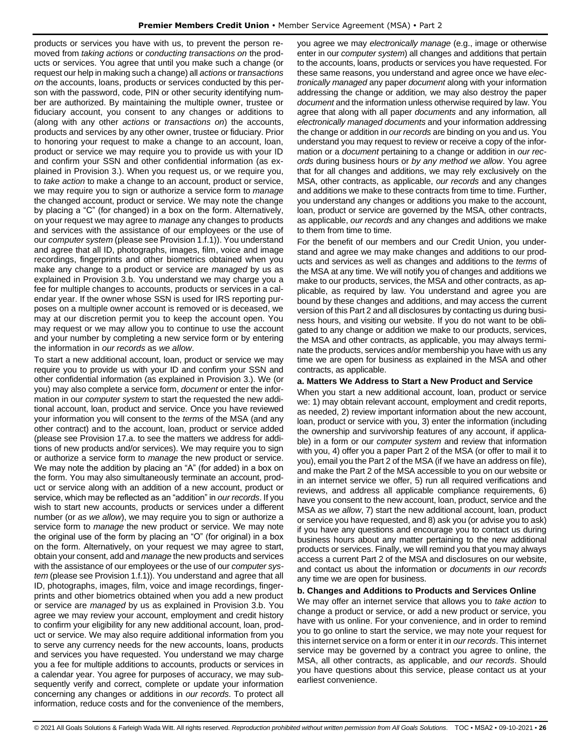products or services you have with us, to prevent the person removed from *taking actions* or *conducting transactions on* the products or services. You agree that until you make such a change (or request our help in making such a change) all *actions* or *transactions on* the accounts, loans, products or services conducted by this person with the password, code, PIN or other security identifying number are authorized. By maintaining the multiple owner, trustee or fiduciary account, you consent to any changes or additions to (along with any other *actions* or *transactions on*) the accounts, products and services by any other owner, trustee or fiduciary. Prior to honoring your request to make a change to an account, loan, product or service we may require you to provide us with your ID and confirm your SSN and other confidential information (as explained in Provision 3.). When you request us, or we require you, to *take action* to make a change to an account, product or service, we may require you to sign or authorize a service form to *manage* the changed account, product or service. We may note the change by placing a "C" (for changed) in a box on the form. Alternatively, on your request we may agree to *manage* any changes to products and services with the assistance of our employees or the use of our *computer system* (please see Provision 1.f.1)). You understand and agree that all ID, photographs, images, film, voice and image recordings, fingerprints and other biometrics obtained when you make any change to a product or service are *managed* by us as explained in Provision 3.b. You understand we may charge you a fee for multiple changes to accounts, products or services in a calendar year. If the owner whose SSN is used for IRS reporting purposes on a multiple owner account is removed or is deceased, we may at our discretion permit you to keep the account open. You may request or we may allow you to continue to use the account and your number by completing a new service form or by entering the information in *our records* as *we allow*.

To start a new additional account, loan, product or service we may require you to provide us with your ID and confirm your SSN and other confidential information (as explained in Provision 3.). We (or you) may also complete a service form, *document* or enter the information in our *computer system* to start the requested the new additional account, loan, product and service. Once you have reviewed your information you will consent to the *terms* of the MSA (and any other contract) and to the account, loan, product or service added (please see Provision 17.a. to see the matters we address for additions of new products and/or services). We may require you to sign or authorize a service form to *manage* the new product or service. We may note the addition by placing an "A" (for added) in a box on the form. You may also simultaneously terminate an account, product or service along with an addition of a new account, product or service, which may be reflected as an "addition" in *our records*. If you wish to start new accounts, products or services under a different number (or *as we allow*), we may require you to sign or authorize a service form to *manage* the new product or service. We may note the original use of the form by placing an "O" (for original) in a box on the form. Alternatively, on your request we may agree to start, obtain your consent, add and *manage* the new products and services with the assistance of our employees or the use of our *computer system* (please see Provision 1.f.1)). You understand and agree that all ID, photographs, images, film, voice and image recordings, fingerprints and other biometrics obtained when you add a new product or service are *managed* by us as explained in Provision 3.b. You agree we may review your account, employment and credit history to confirm your eligibility for any new additional account, loan, product or service. We may also require additional information from you to serve any currency needs for the new accounts, loans, products and services you have requested. You understand we may charge you a fee for multiple additions to accounts, products or services in a calendar year. You agree for purposes of accuracy, we may subsequently verify and correct, complete or update your information concerning any changes or additions in *our records*. To protect all information, reduce costs and for the convenience of the members,

you agree we may *electronically manage* (e.g., image or otherwise enter in our *computer system*) all changes and additions that pertain to the accounts, loans, products or services you have requested. For these same reasons, you understand and agree once we have *electronically managed* any paper *document* along with your information addressing the change or addition*,* we may also destroy the paper *document* and the information unless otherwise required by law. You agree that along with all paper *documents* and any information*,* all *electronically managed documents* and your information addressing the change or addition in *our records* are binding on you and us. You understand you may request to review or receive a copy of the information or a *document* pertaining to a change or addition in *our records* during business hours or *by any method we allow*. You agree that for all changes and additions, we may rely exclusively on the MSA, other contracts, as applicable, *our records* and any changes and additions we make to these contracts from time to time. Further, you understand any changes or additions you make to the account, loan, product or service are governed by the MSA, other contracts, as applicable, *our records* and any changes and additions we make to them from time to time.

For the benefit of our members and our Credit Union, you understand and agree we may make changes and additions to our products and services as well as changes and additions to the *terms* of the MSA at any time. We will notify you of changes and additions we make to our products, services, the MSA and other contracts, as applicable, as required by law. You understand and agree you are bound by these changes and additions, and may access the current version of this Part 2 and all disclosures by contacting us during business hours, and visiting our website. If you do not want to be obligated to any change or addition we make to our products, services, the MSA and other contracts, as applicable, you may always terminate the products, services and/or membership you have with us any time we are open for business as explained in the MSA and other contracts, as applicable.

### **a. Matters We Address to Start a New Product and Service**

When you start a new additional account, loan, product or service we: 1) may obtain relevant account, employment and credit reports, as needed, 2) review important information about the new account, loan, product or service with you, 3) enter the information (including the ownership and survivorship features of any account, if applicable) in a form or our *computer system* and review that information with you, 4) offer you a paper Part 2 of the MSA (or offer to mail it to you), email you the Part 2 of the MSA (if we have an address on file), and make the Part 2 of the MSA accessible to you on our website or in an internet service we offer, 5) run all required verifications and reviews, and address all applicable compliance requirements, 6) have you consent to the new account, loan, product, service and the MSA *as we allow*, 7) start the new additional account, loan, product or service you have requested, and 8) ask you (or advise you to ask) if you have any questions and encourage you to contact us during business hours about any matter pertaining to the new additional products or services. Finally, we will remind you that you may always access a current Part 2 of the MSA and disclosures on our website, and contact us about the information or *documents* in *our records* any time we are open for business.

#### **b. Changes and Additions to Products and Services Online**

We may offer an internet service that allows you to *take action* to change a product or service, or add a new product or service, you have with us online. For your convenience, and in order to remind you to go online to start the service, we may note your request for this internet service on a form or enter it in *our records*. This internet service may be governed by a contract you agree to online, the MSA, all other contracts, as applicable, and *our records*. Should you have questions about this service, please contact us at your earliest convenience.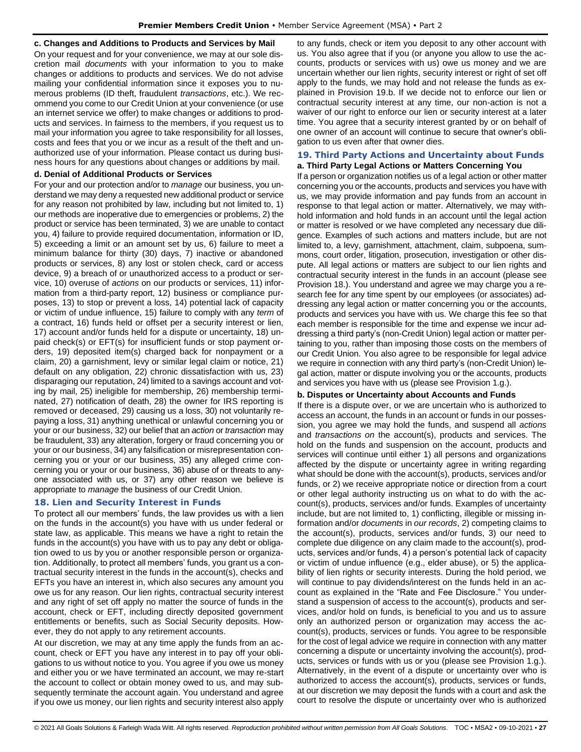# **c. Changes and Additions to Products and Services by Mail**

On your request and for your convenience, we may at our sole discretion mail *documents* with your information to you to make changes or additions to products and services. We do not advise mailing your confidential information since it exposes you to numerous problems (ID theft, fraudulent *transactions*, etc.). We recommend you come to our Credit Union at your convenience (or use an internet service we offer) to make changes or additions to products and services. In fairness to the members, if you request us to mail your information you agree to take responsibility for all losses, costs and fees that you or we incur as a result of the theft and unauthorized use of your information. Please contact us during business hours for any questions about changes or additions by mail.

## **d. Denial of Additional Products or Services**

For your and our protection and/or to *manage* our business, you understand we may deny a requested new additional product or service for any reason not prohibited by law, including but not limited to, 1) our methods are inoperative due to emergencies or problems, 2) the product or service has been terminated, 3) we are unable to contact you, 4) failure to provide required documentation, information or ID, 5) exceeding a limit or an amount set by us, 6) failure to meet a minimum balance for thirty (30) days, 7) inactive or abandoned products or services, 8) any lost or stolen check, card or access device, 9) a breach of or unauthorized access to a product or service, 10) overuse of *actions* on our products or services, 11) information from a third-party report, 12) business or compliance purposes, 13) to stop or prevent a loss, 14) potential lack of capacity or victim of undue influence, 15) failure to comply with any *term* of a contract, 16) funds held or offset per a security interest or lien, 17) account and/or funds held for a dispute or uncertainty, 18) unpaid check(s) or EFT(s) for insufficient funds or stop payment orders, 19) deposited item(s) charged back for nonpayment or a claim, 20) a garnishment, levy or similar legal claim or notice, 21) default on any obligation, 22) chronic dissatisfaction with us, 23) disparaging our reputation, 24) limited to a savings account and voting by mail, 25) ineligible for membership, 26) membership terminated, 27) notification of death, 28) the owner for IRS reporting is removed or deceased, 29) causing us a loss, 30) not voluntarily repaying a loss, 31) anything unethical or unlawful concerning you or your or our business, 32) our belief that an *action* or *transaction* may be fraudulent, 33) any alteration, forgery or fraud concerning you or your or our business, 34) any falsification or misrepresentation concerning you or your or our business, 35) any alleged crime concerning you or your or our business, 36) abuse of or threats to anyone associated with us, or 37) any other reason we believe is appropriate to *manage* the business of our Credit Union.

# <span id="page-26-0"></span>**18. Lien and Security Interest in Funds**

To protect all our members' funds, the law provides us with a lien on the funds in the account(s) you have with us under federal or state law, as applicable. This means we have a right to retain the funds in the account(s) you have with us to pay any debt or obligation owed to us by you or another responsible person or organization. Additionally, to protect all members' funds, you grant us a contractual security interest in the funds in the account(s), checks and EFTs you have an interest in, which also secures any amount you owe us for any reason. Our lien rights, contractual security interest and any right of set off apply no matter the source of funds in the account, check or EFT, including directly deposited government entitlements or benefits, such as Social Security deposits. However, they do not apply to any retirement accounts.

At our discretion, we may at any time apply the funds from an account, check or EFT you have any interest in to pay off your obligations to us without notice to you. You agree if you owe us money and either you or we have terminated an account, we may re-start the account to collect or obtain money owed to us, and may subsequently terminate the account again. You understand and agree if you owe us money, our lien rights and security interest also apply to any funds, check or item you deposit to any other account with us. You also agree that if you (or anyone you allow to use the accounts, products or services with us) owe us money and we are uncertain whether our lien rights, security interest or right of set off apply to the funds, we may hold and not release the funds as explained in Provision 19.b. If we decide not to enforce our lien or contractual security interest at any time, our non-action is not a waiver of our right to enforce our lien or security interest at a later time. You agree that a security interest granted by or on behalf of one owner of an account will continue to secure that owner's obligation to us even after that owner dies.

### <span id="page-26-1"></span>**19. Third Party Actions and Uncertainty about Funds a. Third Party Legal Actions or Matters Concerning You**

If a person or organization notifies us of a legal action or other matter concerning you or the accounts, products and services you have with us, we may provide information and pay funds from an account in response to that legal action or matter. Alternatively, we may withhold information and hold funds in an account until the legal action or matter is resolved or we have completed any necessary due diligence. Examples of such actions and matters include, but are not limited to, a levy, garnishment, attachment, claim, subpoena, summons, court order, litigation, prosecution, investigation or other dispute. All legal actions or matters are subject to our lien rights and contractual security interest in the funds in an account (please see Provision 18.). You understand and agree we may charge you a research fee for any time spent by our employees (or associates) addressing any legal action or matter concerning you or the accounts, products and services you have with us. We charge this fee so that each member is responsible for the time and expense we incur addressing a third party's (non-Credit Union) legal action or matter pertaining to you, rather than imposing those costs on the members of our Credit Union. You also agree to be responsible for legal advice we require in connection with any third party's (non-Credit Union) legal action, matter or dispute involving you or the accounts, products and services you have with us (please see Provision 1.g.).

# **b. Disputes or Uncertainty about Accounts and Funds**

If there is a dispute over, or we are uncertain who is authorized to access an account, the funds in an account or funds in our possession, you agree we may hold the funds, and suspend all *actions* and *transactions on* the account(s), products and services. The hold on the funds and suspension on the account, products and services will continue until either 1) all persons and organizations affected by the dispute or uncertainty agree in writing regarding what should be done with the account(s), products, services and/or funds, or 2) we receive appropriate notice or direction from a court or other legal authority instructing us on what to do with the account(s), products, services and/or funds. Examples of uncertainty include, but are not limited to, 1) conflicting, illegible or missing information and/or *documents* in *our records*, 2) competing claims to the account(s), products, services and/or funds, 3) our need to complete due diligence on any claim made to the account(s), products, services and/or funds, 4) a person's potential lack of capacity or victim of undue influence (e.g., elder abuse), or 5) the applicability of lien rights or security interests. During the hold period, we will continue to pay dividends/interest on the funds held in an account as explained in the "Rate and Fee Disclosure." You understand a suspension of access to the account(s), products and services, and/or hold on funds, is beneficial to you and us to assure only an authorized person or organization may access the account(s), products, services or funds. You agree to be responsible for the cost of legal advice we require in connection with any matter concerning a dispute or uncertainty involving the account(s), products, services or funds with us or you (please see Provision 1.g.). Alternatively, in the event of a dispute or uncertainty over who is authorized to access the account(s), products, services or funds, at our discretion we may deposit the funds with a court and ask the court to resolve the dispute or uncertainty over who is authorized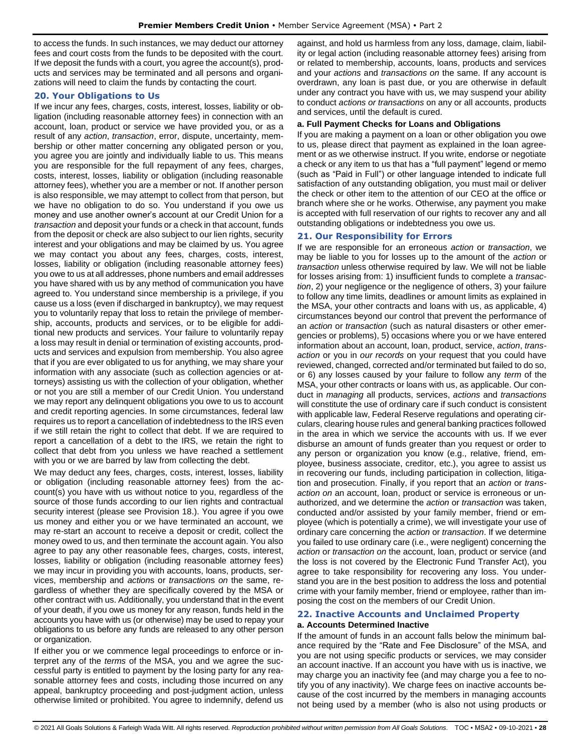to access the funds. In such instances, we may deduct our attorney fees and court costs from the funds to be deposited with the court. If we deposit the funds with a court, you agree the account(s), products and services may be terminated and all persons and organizations will need to claim the funds by contacting the court.

# <span id="page-27-0"></span>**20. Your Obligations to Us**

If we incur any fees, charges, costs, interest, losses, liability or obligation (including reasonable attorney fees) in connection with an account, loan, product or service we have provided you, or as a result of any *action*, *transaction*, error, dispute, uncertainty, membership or other matter concerning any obligated person or you, you agree you are jointly and individually liable to us. This means you are responsible for the full repayment of any fees, charges, costs, interest, losses, liability or obligation (including reasonable attorney fees), whether you are a member or not. If another person is also responsible, we may attempt to collect from that person, but we have no obligation to do so. You understand if you owe us money and use another owner's account at our Credit Union for a *transaction* and deposit your funds or a check in that account, funds from the deposit or check are also subject to our lien rights, security interest and your obligations and may be claimed by us. You agree we may contact you about any fees, charges, costs, interest, losses, liability or obligation (including reasonable attorney fees) you owe to us at all addresses, phone numbers and email addresses you have shared with us by any method of communication you have agreed to. You understand since membership is a privilege, if you cause us a loss (even if discharged in bankruptcy), we may request you to voluntarily repay that loss to retain the privilege of membership, accounts, products and services, or to be eligible for additional new products and services. Your failure to voluntarily repay a loss may result in denial or termination of existing accounts, products and services and expulsion from membership. You also agree that if you are ever obligated to us for anything, we may share your information with any associate (such as collection agencies or attorneys) assisting us with the collection of your obligation, whether or not you are still a member of our Credit Union. You understand we may report any delinquent obligations you owe to us to account and credit reporting agencies. In some circumstances, federal law requires us to report a cancellation of indebtedness to the IRS even if we still retain the right to collect that debt. If we are required to report a cancellation of a debt to the IRS, we retain the right to collect that debt from you unless we have reached a settlement with you or we are barred by law from collecting the debt.

We may deduct any fees, charges, costs, interest, losses, liability or obligation (including reasonable attorney fees) from the account(s) you have with us without notice to you, regardless of the source of those funds according to our lien rights and contractual security interest (please see Provision 18.). You agree if you owe us money and either you or we have terminated an account, we may re-start an account to receive a deposit or credit, collect the money owed to us, and then terminate the account again. You also agree to pay any other reasonable fees, charges, costs, interest, losses, liability or obligation (including reasonable attorney fees) we may incur in providing you with accounts, loans, products, services, membership and *action*s or *transaction*s *on* the same, regardless of whether they are specifically covered by the MSA or other contract with us. Additionally, you understand that in the event of your death, if you owe us money for any reason, funds held in the accounts you have with us (or otherwise) may be used to repay your obligations to us before any funds are released to any other person or organization.

If either you or we commence legal proceedings to enforce or interpret any of the *terms* of the MSA, you and we agree the successful party is entitled to payment by the losing party for any reasonable attorney fees and costs, including those incurred on any appeal, bankruptcy proceeding and post-judgment action, unless otherwise limited or prohibited. You agree to indemnify, defend us against, and hold us harmless from any loss, damage, claim, liability or legal action (including reasonable attorney fees) arising from or related to membership, accounts, loans, products and services and your *actions* and *transactions on* the same. If any account is overdrawn, any loan is past due, or you are otherwise in default under any contract you have with us, we may suspend your ability to conduct *actions or transactions* on any or all accounts, products and services, until the default is cured.

#### **a. Full Payment Checks for Loans and Obligations**

If you are making a payment on a loan or other obligation you owe to us, please direct that payment as explained in the loan agreement or as we otherwise instruct. If you write, endorse or negotiate a check or any item to us that has a "full payment" legend or memo (such as "Paid in Full") or other language intended to indicate full satisfaction of any outstanding obligation, you must mail or deliver the check or other item to the attention of our CEO at the office or branch where she or he works. Otherwise, any payment you make is accepted with full reservation of our rights to recover any and all outstanding obligations or indebtedness you owe us.

# <span id="page-27-1"></span>**21. Our Responsibility for Errors**

If we are responsible for an erroneous *action* or *transaction*, we may be liable to you for losses up to the amount of the *action* or *transaction* unless otherwise required by law. We will not be liable for losses arising from: 1) insufficient funds to complete a *transaction*, 2) your negligence or the negligence of others, 3) your failure to follow any time limits, deadlines or amount limits as explained in the MSA, your other contracts and loans with us, as applicable, 4) circumstances beyond our control that prevent the performance of an *action* or *transaction* (such as natural disasters or other emergencies or problems), 5) occasions where you or we have entered information about an account, loan, product, service, *action*, *transaction* or you in *our records* on your request that you could have reviewed, changed, corrected and/or terminated but failed to do so, or 6) any losses caused by your failure to follow any *term* of the MSA, your other contracts or loans with us, as applicable. Our conduct in *managing* all products, services, *actions* and *transactions* will constitute the use of ordinary care if such conduct is consistent with applicable law, Federal Reserve regulations and operating circulars, clearing house rules and general banking practices followed in the area in which we service the accounts with us. If we ever disburse an amount of funds greater than you request or order to any person or organization you know (e.g., relative, friend, employee, business associate, creditor, etc.), you agree to assist us in recovering our funds, including participation in collection, litigation and prosecution. Finally, if you report that an *action* or *transaction on* an account, loan, product or service is erroneous or unauthorized, and we determine the *action* or *transaction* was taken, conducted and/or assisted by your family member, friend or employee (which is potentially a crime), we will investigate your use of ordinary care concerning the *action* or *transaction*. If we determine you failed to use ordinary care (i.e., were negligent) concerning the *action* or *transaction on* the account, loan, product or service (and the loss is not covered by the Electronic Fund Transfer Act), you agree to take responsibility for recovering any loss. You understand you are in the best position to address the loss and potential crime with your family member, friend or employee, rather than imposing the cost on the members of our Credit Union.

# <span id="page-27-2"></span>**22. Inactive Accounts and Unclaimed Property a. Accounts Determined Inactive**

If the amount of funds in an account falls below the minimum balance required by the "Rate and Fee Disclosure" of the MSA, and you are not using specific products or services, we may consider an account inactive. If an account you have with us is inactive, we may charge you an inactivity fee (and may charge you a fee to notify you of any inactivity). We charge fees on inactive accounts because of the cost incurred by the members in managing accounts not being used by a member (who is also not using products or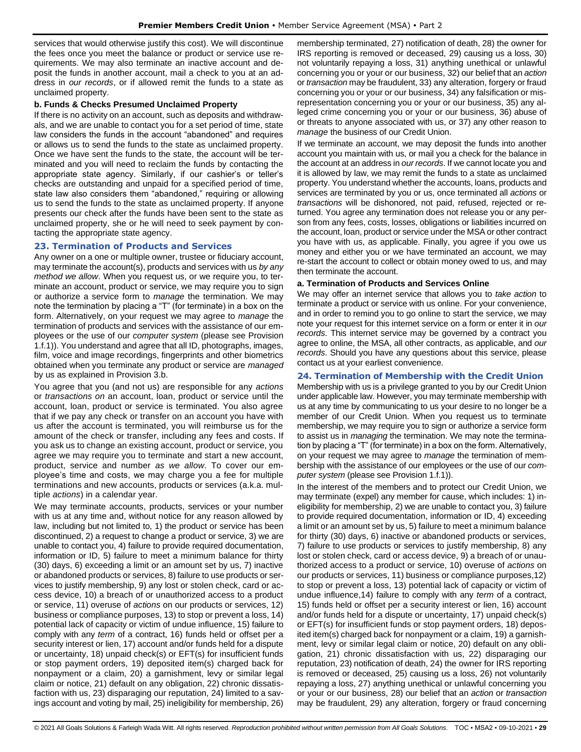services that would otherwise justify this cost). We will discontinue the fees once you meet the balance or product or service use requirements. We may also terminate an inactive account and deposit the funds in another account, mail a check to you at an address in *our records*, or if allowed remit the funds to a state as unclaimed property.

#### **b. Funds & Checks Presumed Unclaimed Property**

If there is no activity on an account, such as deposits and withdrawals, and we are unable to contact you for a set period of time, state law considers the funds in the account "abandoned" and requires or allows us to send the funds to the state as unclaimed property. Once we have sent the funds to the state, the account will be terminated and you will need to reclaim the funds by contacting the appropriate state agency. Similarly, if our cashier's or teller's checks are outstanding and unpaid for a specified period of time, state law also considers them "abandoned," requiring or allowing us to send the funds to the state as unclaimed property. If anyone presents our check after the funds have been sent to the state as unclaimed property, she or he will need to seek payment by contacting the appropriate state agency.

#### <span id="page-28-0"></span>**23. Termination of Products and Services**

Any owner on a one or multiple owner, trustee or fiduciary account, may terminate the account(s), products and services with us *by any method we allow*. When you request us, or we require you, to terminate an account, product or service, we may require you to sign or authorize a service form to *manage* the termination. We may note the termination by placing a "T" (for terminate) in a box on the form. Alternatively, on your request we may agree to *manage* the termination of products and services with the assistance of our employees or the use of our *computer system* (please see Provision 1.f.1)). You understand and agree that all ID, photographs, images, film, voice and image recordings, fingerprints and other biometrics obtained when you terminate any product or service are *managed* by us as explained in Provision 3.b.

You agree that you (and not us) are responsible for any *actions* or *transactions on* an account, loan, product or service until the account, loan, product or service is terminated. You also agree that if we pay any check or transfer on an account you have with us after the account is terminated, you will reimburse us for the amount of the check or transfer, including any fees and costs. If you ask us to change an existing account, product or service, you agree we may require you to terminate and start a new account, product, service and number *as we allow*. To cover our employee's time and costs, we may charge you a fee for multiple terminations and new accounts, products or services (a.k.a. multiple *actions*) in a calendar year.

We may terminate accounts, products, services or your number with us at any time and, without notice for any reason allowed by law, including but not limited to, 1) the product or service has been discontinued, 2) a request to change a product or service, 3) we are unable to contact you, 4) failure to provide required documentation, information or ID, 5) failure to meet a minimum balance for thirty (30) days, 6) exceeding a limit or an amount set by us, 7) inactive or abandoned products or services, 8) failure to use products or services to justify membership, 9) any lost or stolen check, card or access device, 10) a breach of or unauthorized access to a product or service, 11) overuse of *actions* on our products or services, 12) business or compliance purposes, 13) to stop or prevent a loss, 14) potential lack of capacity or victim of undue influence, 15) failure to comply with any *term* of a contract, 16) funds held or offset per a security interest or lien, 17) account and/or funds held for a dispute or uncertainty, 18) unpaid check(s) or EFT(s) for insufficient funds or stop payment orders, 19) deposited item(s) charged back for nonpayment or a claim, 20) a garnishment, levy or similar legal claim or notice, 21) default on any obligation, 22) chronic dissatisfaction with us, 23) disparaging our reputation, 24) limited to a savings account and voting by mail, 25) ineligibility for membership, 26) membership terminated, 27) notification of death, 28) the owner for IRS reporting is removed or deceased, 29) causing us a loss, 30) not voluntarily repaying a loss, 31) anything unethical or unlawful concerning you or your or our business, 32) our belief that an *action* or *transaction* may be fraudulent, 33) any alteration, forgery or fraud concerning you or your or our business, 34) any falsification or misrepresentation concerning you or your or our business, 35) any alleged crime concerning you or your or our business, 36) abuse of or threats to anyone associated with us, or 37) any other reason to *manage* the business of our Credit Union.

If we terminate an account, we may deposit the funds into another account you maintain with us, or mail you a check for the balance in the account at an address in *our records*. If we cannot locate you and it is allowed by law, we may remit the funds to a state as unclaimed property. You understand whether the accounts, loans, products and services are terminated by you or us, once terminated all *actions* or *transactions* will be dishonored, not paid, refused, rejected or returned. You agree any termination does not release you or any person from any fees, costs, losses, obligations or liabilities incurred on the account, loan, product or service under the MSA or other contract you have with us, as applicable. Finally, you agree if you owe us money and either you or we have terminated an account, we may re-start the account to collect or obtain money owed to us, and may then terminate the account.

#### **a. Termination of Products and Services Online**

We may offer an internet service that allows you to *take action* to terminate a product or service with us online. For your convenience, and in order to remind you to go online to start the service, we may note your request for this internet service on a form or enter it in *our records*. This internet service may be governed by a contract you agree to online, the MSA, all other contracts, as applicable, and *our records*. Should you have any questions about this service, please contact us at your earliest convenience.

#### <span id="page-28-1"></span>**24. Termination of Membership with the Credit Union**

Membership with us is a privilege granted to you by our Credit Union under applicable law. However, you may terminate membership with us at any time by communicating to us your desire to no longer be a member of our Credit Union. When you request us to terminate membership, we may require you to sign or authorize a service form to assist us in *managing* the termination. We may note the termination by placing a "T" (for terminate) in a box on the form. Alternatively, on your request we may agree to *manage* the termination of membership with the assistance of our employees or the use of our *computer system* (please see Provision 1.f.1)).

In the interest of the members and to protect our Credit Union, we may terminate (expel) any member for cause, which includes: 1) ineligibility for membership, 2) we are unable to contact you, 3) failure to provide required documentation, information or ID, 4) exceeding a limit or an amount set by us, 5) failure to meet a minimum balance for thirty (30) days, 6) inactive or abandoned products or services, 7) failure to use products or services to justify membership, 8) any lost or stolen check, card or access device, 9) a breach of or unauthorized access to a product or service, 10) overuse of *actions* on our products or services, 11) business or compliance purposes,12) to stop or prevent a loss, 13) potential lack of capacity or victim of undue influence,14) failure to comply with any *term* of a contract, 15) funds held or offset per a security interest or lien, 16) account and/or funds held for a dispute or uncertainty, 17) unpaid check(s) or EFT(s) for insufficient funds or stop payment orders, 18) deposited item(s) charged back for nonpayment or a claim, 19) a garnishment, levy or similar legal claim or notice, 20) default on any obligation, 21) chronic dissatisfaction with us, 22) disparaging our reputation, 23) notification of death, 24) the owner for IRS reporting is removed or deceased, 25) causing us a loss, 26) not voluntarily repaying a loss, 27) anything unethical or unlawful concerning you or your or our business, 28) our belief that an *action* or *transaction* may be fraudulent, 29) any alteration, forgery or fraud concerning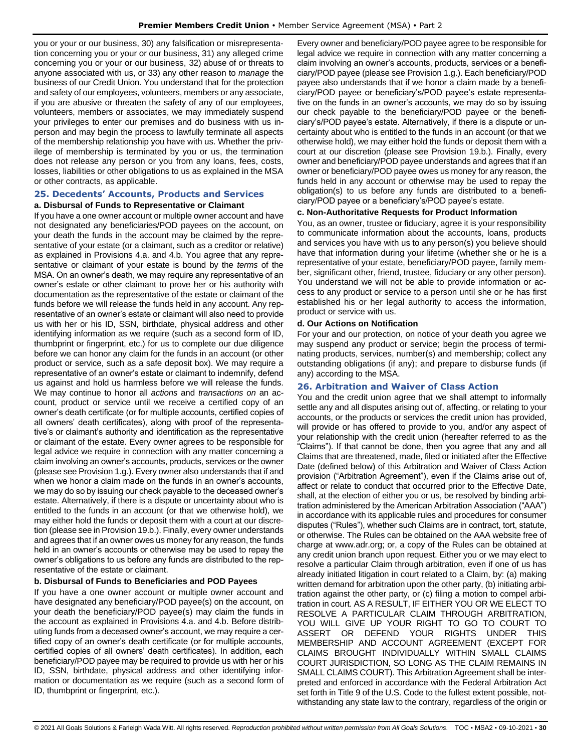you or your or our business, 30) any falsification or misrepresentation concerning you or your or our business, 31) any alleged crime concerning you or your or our business, 32) abuse of or threats to anyone associated with us, or 33) any other reason to *manage* the business of our Credit Union. You understand that for the protection and safety of our employees, volunteers, members or any associate, if you are abusive or threaten the safety of any of our employees, volunteers, members or associates, we may immediately suspend your privileges to enter our premises and do business with us inperson and may begin the process to lawfully terminate all aspects of the membership relationship you have with us. Whether the privilege of membership is terminated by you or us, the termination does not release any person or you from any loans, fees, costs, losses, liabilities or other obligations to us as explained in the MSA or other contracts, as applicable.

## <span id="page-29-0"></span>**25. Decedents' Accounts, Products and Services a. Disbursal of Funds to Representative or Claimant**

If you have a one owner account or multiple owner account and have not designated any beneficiaries/POD payees on the account, on your death the funds in the account may be claimed by the representative of your estate (or a claimant, such as a creditor or relative) as explained in Provisions 4.a. and 4.b. You agree that any representative or claimant of your estate is bound by the *terms* of the MSA. On an owner's death, we may require any representative of an owner's estate or other claimant to prove her or his authority with documentation as the representative of the estate or claimant of the funds before we will release the funds held in any account. Any representative of an owner's estate or claimant will also need to provide us with her or his ID, SSN, birthdate, physical address and other identifying information as we require (such as a second form of ID, thumbprint or fingerprint, etc.) for us to complete our due diligence before we can honor any claim for the funds in an account (or other product or service, such as a safe deposit box). We may require a representative of an owner's estate or claimant to indemnify, defend us against and hold us harmless before we will release the funds. We may continue to honor all *actions* and *transactions on* an account, product or service until we receive a certified copy of an owner's death certificate (or for multiple accounts, certified copies of all owners' death certificates), along with proof of the representative's or claimant's authority and identification as the representative or claimant of the estate. Every owner agrees to be responsible for legal advice we require in connection with any matter concerning a claim involving an owner's accounts, products, services or the owner (please see Provision 1.g.). Every owner also understands that if and when we honor a claim made on the funds in an owner's accounts, we may do so by issuing our check payable to the deceased owner's estate. Alternatively, if there is a dispute or uncertainty about who is entitled to the funds in an account (or that we otherwise hold), we may either hold the funds or deposit them with a court at our discretion (please see in Provision 19.b.). Finally, every owner understands and agrees that if an owner owes us money for any reason, the funds held in an owner's accounts or otherwise may be used to repay the owner's obligations to us before any funds are distributed to the representative of the estate or claimant.

# **b. Disbursal of Funds to Beneficiaries and POD Payees**

If you have a one owner account or multiple owner account and have designated any beneficiary/POD payee(s) on the account, on your death the beneficiary/POD payee(s) may claim the funds in the account as explained in Provisions 4.a. and 4.b. Before distributing funds from a deceased owner's account, we may require a certified copy of an owner's death certificate (or for multiple accounts, certified copies of all owners' death certificates). In addition, each beneficiary/POD payee may be required to provide us with her or his ID, SSN, birthdate, physical address and other identifying information or documentation as we require (such as a second form of ID, thumbprint or fingerprint, etc.).

Every owner and beneficiary/POD payee agree to be responsible for legal advice we require in connection with any matter concerning a claim involving an owner's accounts, products, services or a beneficiary/POD payee (please see Provision 1.g.). Each beneficiary/POD payee also understands that if we honor a claim made by a beneficiary/POD payee or beneficiary's/POD payee's estate representative on the funds in an owner's accounts, we may do so by issuing our check payable to the beneficiary/POD payee or the beneficiary's/POD payee's estate. Alternatively, if there is a dispute or uncertainty about who is entitled to the funds in an account (or that we otherwise hold), we may either hold the funds or deposit them with a court at our discretion (please see Provision 19.b.). Finally, every owner and beneficiary/POD payee understands and agrees that if an owner or beneficiary/POD payee owes us money for any reason, the funds held in any account or otherwise may be used to repay the obligation(s) to us before any funds are distributed to a beneficiary/POD payee or a beneficiary's/POD payee's estate.

#### **c. Non-Authoritative Requests for Product Information**

You, as an owner, trustee or fiduciary, agree it is your responsibility to communicate information about the accounts, loans, products and services you have with us to any person(s) you believe should have that information during your lifetime (whether she or he is a representative of your estate, beneficiary/POD payee, family member, significant other, friend, trustee, fiduciary or any other person). You understand we will not be able to provide information or access to any product or service to a person until she or he has first established his or her legal authority to access the information, product or service with us.

#### **d. Our Actions on Notification**

For your and our protection, on notice of your death you agree we may suspend any product or service; begin the process of terminating products, services, number(s) and membership; collect any outstanding obligations (if any); and prepare to disburse funds (if any) according to the MSA.

# <span id="page-29-1"></span>**26. Arbitration and Waiver of Class Action**

You and the credit union agree that we shall attempt to informally settle any and all disputes arising out of, affecting, or relating to your accounts, or the products or services the credit union has provided, will provide or has offered to provide to you, and/or any aspect of your relationship with the credit union (hereafter referred to as the "Claims"). If that cannot be done, then you agree that any and all Claims that are threatened, made, filed or initiated after the Effective Date (defined below) of this Arbitration and Waiver of Class Action provision ("Arbitration Agreement"), even if the Claims arise out of, affect or relate to conduct that occurred prior to the Effective Date, shall, at the election of either you or us, be resolved by binding arbitration administered by the American Arbitration Association ("AAA") in accordance with its applicable rules and procedures for consumer disputes ("Rules"), whether such Claims are in contract, tort, statute, or otherwise. The Rules can be obtained on the AAA website free of charge at www.adr.org; or, a copy of the Rules can be obtained at any credit union branch upon request. Either you or we may elect to resolve a particular Claim through arbitration, even if one of us has already initiated litigation in court related to a Claim, by: (a) making written demand for arbitration upon the other party, (b) initiating arbitration against the other party, or (c) filing a motion to compel arbitration in court. AS A RESULT, IF EITHER YOU OR WE ELECT TO RESOLVE A PARTICULAR CLAIM THROUGH ARBITRATION, YOU WILL GIVE UP YOUR RIGHT TO GO TO COURT TO ASSERT OR DEFEND YOUR RIGHTS UNDER THIS MEMBERSHIP AND ACCOUNT AGREEMENT (EXCEPT FOR CLAIMS BROUGHT INDIVIDUALLY WITHIN SMALL CLAIMS COURT JURISDICTION, SO LONG AS THE CLAIM REMAINS IN SMALL CLAIMS COURT). This Arbitration Agreement shall be interpreted and enforced in accordance with the Federal Arbitration Act set forth in Title 9 of the U.S. Code to the fullest extent possible, notwithstanding any state law to the contrary, regardless of the origin or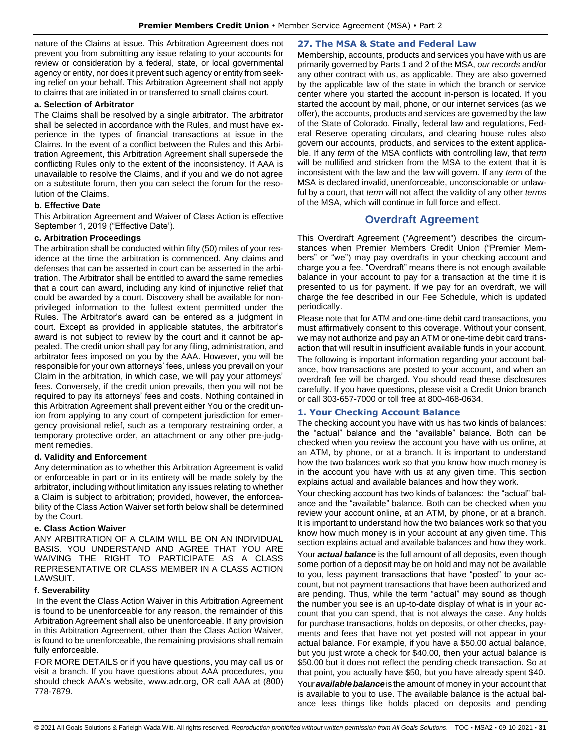nature of the Claims at issue. This Arbitration Agreement does not prevent you from submitting any issue relating to your accounts for review or consideration by a federal, state, or local governmental agency or entity, nor does it prevent such agency or entity from seeking relief on your behalf. This Arbitration Agreement shall not apply to claims that are initiated in or transferred to small claims court.

## **a. Selection of Arbitrator**

The Claims shall be resolved by a single arbitrator. The arbitrator shall be selected in accordance with the Rules, and must have experience in the types of financial transactions at issue in the Claims. In the event of a conflict between the Rules and this Arbitration Agreement, this Arbitration Agreement shall supersede the conflicting Rules only to the extent of the inconsistency. If AAA is unavailable to resolve the Claims, and if you and we do not agree on a substitute forum, then you can select the forum for the resolution of the Claims.

# **b. Effective Date**

This Arbitration Agreement and Waiver of Class Action is effective September 1, 2019 ("Effective Date').

### **c. Arbitration Proceedings**

The arbitration shall be conducted within fifty (50) miles of your residence at the time the arbitration is commenced. Any claims and defenses that can be asserted in court can be asserted in the arbitration. The Arbitrator shall be entitled to award the same remedies that a court can award, including any kind of injunctive relief that could be awarded by a court. Discovery shall be available for nonprivileged information to the fullest extent permitted under the Rules. The Arbitrator's award can be entered as a judgment in court. Except as provided in applicable statutes, the arbitrator's award is not subject to review by the court and it cannot be appealed. The credit union shall pay for any filing, administration, and arbitrator fees imposed on you by the AAA. However, you will be responsible for your own attorneys' fees, unless you prevail on your Claim in the arbitration, in which case, we will pay your attorneys' fees. Conversely, if the credit union prevails, then you will not be required to pay its attorneys' fees and costs. Nothing contained in this Arbitration Agreement shall prevent either You or the credit union from applying to any court of competent jurisdiction for emergency provisional relief, such as a temporary restraining order, a temporary protective order, an attachment or any other pre-judgment remedies.

# **d. Validity and Enforcement**

Any determination as to whether this Arbitration Agreement is valid or enforceable in part or in its entirety will be made solely by the arbitrator, including without limitation any issues relating to whether a Claim is subject to arbitration; provided, however, the enforceability of the Class Action Waiver set forth below shall be determined by the Court.

#### **e. Class Action Waiver**

ANY ARBITRATION OF A CLAIM WILL BE ON AN INDIVIDUAL BASIS. YOU UNDERSTAND AND AGREE THAT YOU ARE WAIVING THE RIGHT TO PARTICIPATE AS A CLASS REPRESENTATIVE OR CLASS MEMBER IN A CLASS ACTION LAWSUIT.

# **f. Severability**

In the event the Class Action Waiver in this Arbitration Agreement is found to be unenforceable for any reason, the remainder of this Arbitration Agreement shall also be unenforceable. If any provision in this Arbitration Agreement, other than the Class Action Waiver, is found to be unenforceable, the remaining provisions shall remain fully enforceable.

FOR MORE DETAILS or if you have questions, you may call us or visit a branch. If you have questions about AAA procedures, you should check AAA's website, www.adr.org, OR call AAA at (800) 778-7879.

### <span id="page-30-0"></span>**27. The MSA & State and Federal Law**

Membership, accounts, products and services you have with us are primarily governed by Parts 1 and 2 of the MSA, *our records* and/or any other contract with us, as applicable. They are also governed by the applicable law of the state in which the branch or service center where you started the account in-person is located. If you started the account by mail, phone, or our internet services (as we offer), the accounts, products and services are governed by the law of the State of Colorado. Finally, federal law and regulations, Federal Reserve operating circulars, and clearing house rules also govern our accounts, products, and services to the extent applicable. If any *term* of the MSA conflicts with controlling law, that *term* will be nullified and stricken from the MSA to the extent that it is inconsistent with the law and the law will govern. If any *term* of the MSA is declared invalid, unenforceable, unconscionable or unlawful by a court, that *term* will not affect the validity of any other *terms* of the MSA, which will continue in full force and effect.

# **Overdraft Agreement**

<span id="page-30-1"></span>This Overdraft Agreement ("Agreement") describes the circumstances when Premier Members Credit Union ("Premier Members" or "we") may pay overdrafts in your checking account and charge you a fee. "Overdraft" means there is not enough available balance in your account to pay for a transaction at the time it is presented to us for payment. If we pay for an overdraft, we will charge the fee described in our Fee Schedule, which is updated periodically.

Please note that for ATM and one-time debit card transactions, you must affirmatively consent to this coverage. Without your consent, we may not authorize and pay an ATM or one-time debit card transaction that will result in insufficient available funds in your account. The following is important information regarding your account balance, how transactions are posted to your account, and when an overdraft fee will be charged. You should read these disclosures carefully. If you have questions, please visit a Credit Union branch or call 303-657-7000 or toll free at 800-468-0634.

# <span id="page-30-2"></span>**1. Your Checking Account Balance**

The checking account you have with us has two kinds of balances: the "actual" balance and the "available" balance. Both can be checked when you review the account you have with us online, at an ATM, by phone, or at a branch. It is important to understand how the two balances work so that you know how much money is in the account you have with us at any given time. This section explains actual and available balances and how they work.

Your checking account has two kinds of balances: the "actual" balance and the "available" balance. Both can be checked when you review your account online, at an ATM, by phone, or at a branch. It is important to understand how the two balances work so that you know how much money is in your account at any given time. This section explains actual and available balances and how they work.

Your *actual balance* is the full amount of all deposits, even though some portion of a deposit may be on hold and may not be available to you, less payment transactions that have "posted" to your account, but not payment transactions that have been authorized and are pending. Thus, while the term "actual" may sound as though the number you see is an up-to-date display of what is in your account that you can spend, that is not always the case. Any holds for purchase transactions, holds on deposits, or other checks, payments and fees that have not yet posted will not appear in your actual balance. For example, if you have a \$50.00 actual balance, but you just wrote a check for \$40.00, then your actual balance is \$50.00 but it does not reflect the pending check transaction. So at that point, you actually have \$50, but you have already spent \$40. Your **available balance** is the amount of money in your account that is available to you to use. The available balance is the actual balance less things like holds placed on deposits and pending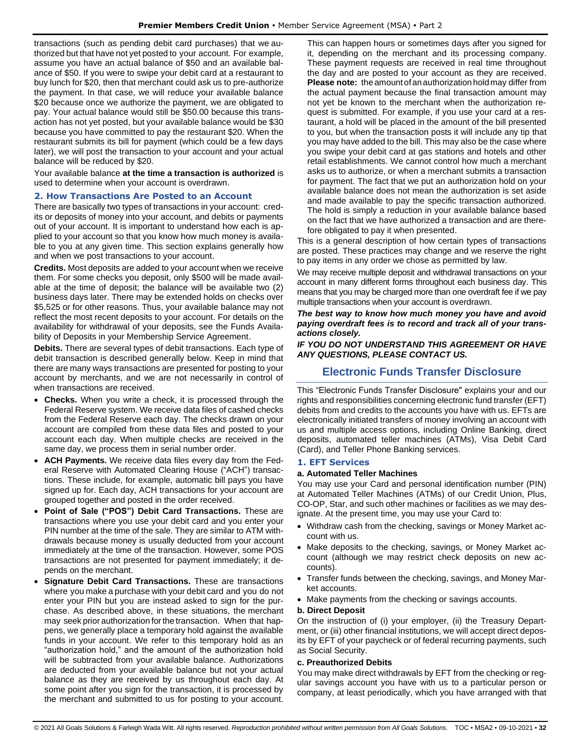transactions (such as pending debit card purchases) that we authorized but that have not yet posted to your account. For example, assume you have an actual balance of \$50 and an available balance of \$50. If you were to swipe your debit card at a restaurant to buy lunch for \$20, then that merchant could ask us to pre-authorize the payment. In that case, we will reduce your available balance \$20 because once we authorize the payment, we are obligated to pay. Your actual balance would still be \$50.00 because this transaction has not yet posted, but your available balance would be \$30 because you have committed to pay the restaurant \$20. When the restaurant submits its bill for payment (which could be a few days later), we will post the transaction to your account and your actual balance will be reduced by \$20.

Your available balance **at the time a transaction is authorized** is used to determine when your account is overdrawn.

### <span id="page-31-0"></span>**2. How Transactions Are Posted to an Account**

There are basically two types of transactions in your account: credits or deposits of money into your account, and debits or payments out of your account. It is important to understand how each is applied to your account so that you know how much money is available to you at any given time. This section explains generally how and when we post transactions to your account.

**Credits.** Most deposits are added to your account when we receive them. For some checks you deposit, only \$500 will be made available at the time of deposit; the balance will be available two (2) business days later. There may be extended holds on checks over \$5,525 or for other reasons. Thus, your available balance may not reflect the most recent deposits to your account. For details on the availability for withdrawal of your deposits, see the Funds Availability of Deposits in your Membership Service Agreement.

**Debits.** There are several types of debit transactions. Each type of debit transaction is described generally below. Keep in mind that there are many ways transactions are presented for posting to your account by merchants, and we are not necessarily in control of when transactions are received.

- **Checks.** When you write a check, it is processed through the Federal Reserve system. We receive data files of cashed checks from the Federal Reserve each day. The checks drawn on your account are compiled from these data files and posted to your account each day. When multiple checks are received in the same day, we process them in serial number order.
- **ACH Payments.** We receive data files every day from the Federal Reserve with Automated Clearing House ("ACH") transactions. These include, for example, automatic bill pays you have signed up for. Each day, ACH transactions for your account are grouped together and posted in the order received.
- **Point of Sale ("POS") Debit Card Transactions.** These are transactions where you use your debit card and you enter your PIN number at the time of the sale. They are similar to ATM withdrawals because money is usually deducted from your account immediately at the time of the transaction. However, some POS transactions are not presented for payment immediately; it depends on the merchant.
- **Signature Debit Card Transactions.** These are transactions where you make a purchase with your debit card and you do not enter your PIN but you are instead asked to sign for the purchase. As described above, in these situations, the merchant may seek prior authorization forthe transaction. When that happens, we generally place a temporary hold against the available funds in your account. We refer to this temporary hold as an "authorization hold," and the amount of the authorization hold will be subtracted from your available balance. Authorizations are deducted from your available balance but not your actual balance as they are received by us throughout each day. At some point after you sign for the transaction, it is processed by the merchant and submitted to us for posting to your account.

This can happen hours or sometimes days after you signed for it, depending on the merchant and its processing company. These payment requests are received in real time throughout the day and are posted to your account as they are received. **Please note:** the amount of an authorization hold may differ from the actual payment because the final transaction amount may not yet be known to the merchant when the authorization request is submitted. For example, if you use your card at a restaurant, a hold will be placed in the amount of the bill presented to you, but when the transaction posts it will include any tip that you may have added to the bill. This may also be the case where you swipe your debit card at gas stations and hotels and other retail establishments. We cannot control how much a merchant asks us to authorize, or when a merchant submits a transaction for payment. The fact that we put an authorization hold on your available balance does not mean the authorization is set aside and made available to pay the specific transaction authorized. The hold is simply a reduction in your available balance based on the fact that we have authorized a transaction and are therefore obligated to pay it when presented.

This is a general description of how certain types of transactions are posted. These practices may change and we reserve the right to pay items in any order we chose as permitted by law.

We may receive multiple deposit and withdrawal transactions on your account in many different forms throughout each business day. This means that you may be charged more than one overdraft fee if we pay multiple transactions when your account is overdrawn.

*The best way to know how much money you have and avoid paying overdraft fees is to record and track all of your transactions closely.*

<span id="page-31-1"></span>*IF YOU DO NOT UNDERSTAND THIS AGREEMENT OR HAVE ANY QUESTIONS, PLEASE CONTACT US.*

# **Electronic Funds Transfer Disclosure**

This "Electronic Funds Transfer Disclosure" explains your and our rights and responsibilities concerning electronic fund transfer (EFT) debits from and credits to the accounts you have with us. EFTs are electronically initiated transfers of money involving an account with us and multiple access options, including Online Banking, direct deposits, automated teller machines (ATMs), Visa Debit Card (Card), and Teller Phone Banking services.

#### <span id="page-31-2"></span>**1. EFT Services**

#### **a. Automated Teller Machines**

You may use your Card and personal identification number (PIN) at Automated Teller Machines (ATMs) of our Credit Union, Plus, CO-OP, Star, and such other machines or facilities as we may designate. At the present time, you may use your Card to:

- Withdraw cash from the checking, savings or Money Market account with us.
- Make deposits to the checking, savings, or Money Market account (although we may restrict check deposits on new accounts).
- Transfer funds between the checking, savings, and Money Market accounts.
- Make payments from the checking or savings accounts.

#### **b. Direct Deposit**

On the instruction of (i) your employer, (ii) the Treasury Department, or (iii) other financial institutions, we will accept direct deposits by EFT of your paycheck or of federal recurring payments, such as Social Security.

#### **c. Preauthorized Debits**

You may make direct withdrawals by EFT from the checking or regular savings account you have with us to a particular person or company, at least periodically, which you have arranged with that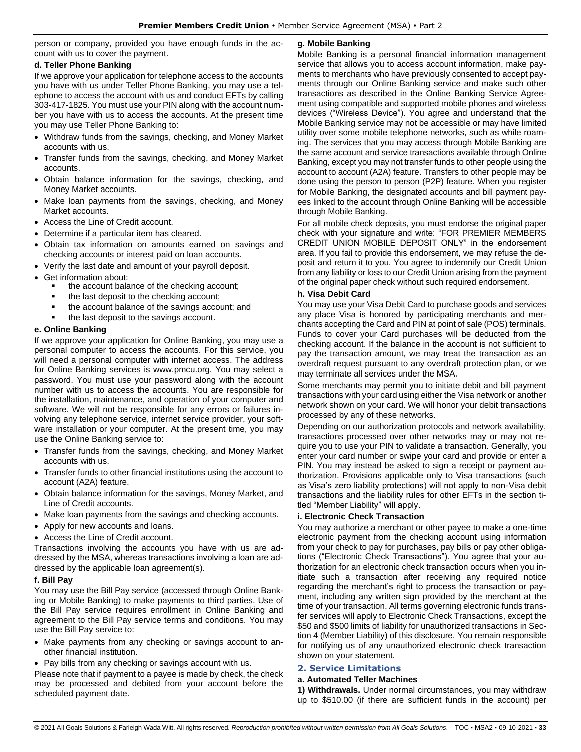person or company, provided you have enough funds in the account with us to cover the payment.

# **d. Teller Phone Banking**

If we approve your application for telephone access to the accounts you have with us under Teller Phone Banking, you may use a telephone to access the account with us and conduct EFTs by calling 303-417-1825. You must use your PIN along with the account number you have with us to access the accounts. At the present time you may use Teller Phone Banking to:

- Withdraw funds from the savings, checking, and Money Market accounts with us.
- Transfer funds from the savings, checking, and Money Market accounts.
- Obtain balance information for the savings, checking, and Money Market accounts.
- Make loan payments from the savings, checking, and Money Market accounts.
- Access the Line of Credit account.
- Determine if a particular item has cleared.
- Obtain tax information on amounts earned on savings and checking accounts or interest paid on loan accounts.
- Verify the last date and amount of your payroll deposit.
- Get information about:
	- the account balance of the checking account;
	- the last deposit to the checking account;
	- the account balance of the savings account; and
	- the last deposit to the savings account.

### **e. Online Banking**

If we approve your application for Online Banking, you may use a personal computer to access the accounts. For this service, you will need a personal computer with internet access. The address for Online Banking services is www.pmcu.org. You may select a password. You must use your password along with the account number with us to access the accounts. You are responsible for the installation, maintenance, and operation of your computer and software. We will not be responsible for any errors or failures involving any telephone service, internet service provider, your software installation or your computer. At the present time, you may use the Online Banking service to:

- Transfer funds from the savings, checking, and Money Market accounts with us.
- Transfer funds to other financial institutions using the account to account (A2A) feature.
- Obtain balance information for the savings, Money Market, and Line of Credit accounts.
- Make loan payments from the savings and checking accounts.
- Apply for new accounts and loans.
- Access the Line of Credit account.

Transactions involving the accounts you have with us are addressed by the MSA, whereas transactions involving a loan are addressed by the applicable loan agreement(s).

# **f. Bill Pay**

You may use the Bill Pay service (accessed through Online Banking or Mobile Banking) to make payments to third parties. Use of the Bill Pay service requires enrollment in Online Banking and agreement to the Bill Pay service terms and conditions. You may use the Bill Pay service to:

- Make payments from any checking or savings account to another financial institution.
- Pay bills from any checking or savings account with us.

Please note that if payment to a payee is made by check, the check may be processed and debited from your account before the scheduled payment date.

# **g. Mobile Banking**

Mobile Banking is a personal financial information management service that allows you to access account information, make payments to merchants who have previously consented to accept payments through our Online Banking service and make such other transactions as described in the Online Banking Service Agreement using compatible and supported mobile phones and wireless devices ("Wireless Device"). You agree and understand that the Mobile Banking service may not be accessible or may have limited utility over some mobile telephone networks, such as while roaming. The services that you may access through Mobile Banking are the same account and service transactions available through Online Banking, except you may not transfer funds to other people using the account to account (A2A) feature. Transfers to other people may be done using the person to person (P2P) feature. When you register for Mobile Banking, the designated accounts and bill payment payees linked to the account through Online Banking will be accessible through Mobile Banking.

For all mobile check deposits, you must endorse the original paper check with your signature and write: "FOR PREMIER MEMBERS CREDIT UNION MOBILE DEPOSIT ONLY" in the endorsement area. If you fail to provide this endorsement, we may refuse the deposit and return it to you. You agree to indemnify our Credit Union from any liability or loss to our Credit Union arising from the payment of the original paper check without such required endorsement.

# **h. Visa Debit Card**

You may use your Visa Debit Card to purchase goods and services any place Visa is honored by participating merchants and merchants accepting the Card and PIN at point of sale (POS) terminals. Funds to cover your Card purchases will be deducted from the checking account. If the balance in the account is not sufficient to pay the transaction amount, we may treat the transaction as an overdraft request pursuant to any overdraft protection plan, or we may terminate all services under the MSA.

Some merchants may permit you to initiate debit and bill payment transactions with your card using either the Visa network or another network shown on your card. We will honor your debit transactions processed by any of these networks.

Depending on our authorization protocols and network availability, transactions processed over other networks may or may not require you to use your PIN to validate a transaction. Generally, you enter your card number or swipe your card and provide or enter a PIN. You may instead be asked to sign a receipt or payment authorization. Provisions applicable only to Visa transactions (such as Visa's zero liability protections) will not apply to non-Visa debit transactions and the liability rules for other EFTs in the section titled "Member Liability" will apply.

# **i. Electronic Check Transaction**

You may authorize a merchant or other payee to make a one-time electronic payment from the checking account using information from your check to pay for purchases, pay bills or pay other obligations ("Electronic Check Transactions"). You agree that your authorization for an electronic check transaction occurs when you initiate such a transaction after receiving any required notice regarding the merchant's right to process the transaction or payment, including any written sign provided by the merchant at the time of your transaction. All terms governing electronic funds transfer services will apply to Electronic Check Transactions, except the \$50 and \$500 limits of liability for unauthorized transactions in Section 4 (Member Liability) of this disclosure. You remain responsible for notifying us of any unauthorized electronic check transaction shown on your statement.

# <span id="page-32-0"></span>**2. Service Limitations**

#### **a. Automated Teller Machines**

**1) Withdrawals.** Under normal circumstances, you may withdraw up to \$510.00 (if there are sufficient funds in the account) per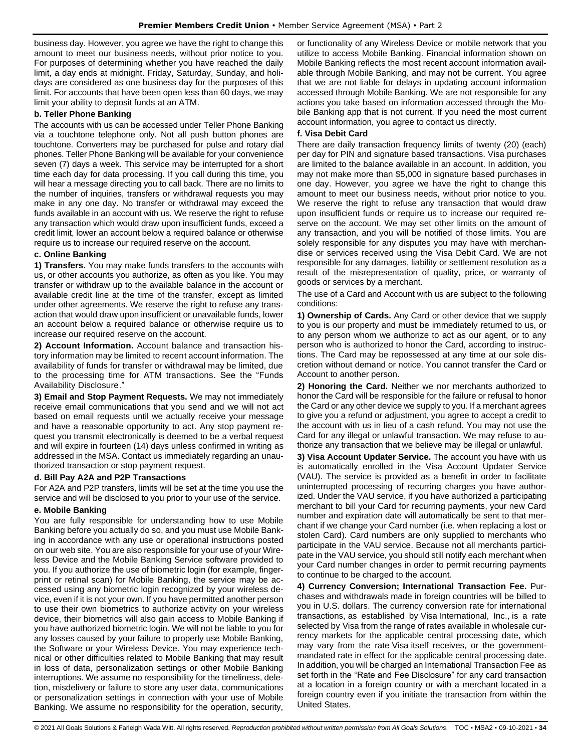business day. However, you agree we have the right to change this amount to meet our business needs, without prior notice to you. For purposes of determining whether you have reached the daily limit, a day ends at midnight. Friday, Saturday, Sunday, and holidays are considered as one business day for the purposes of this limit. For accounts that have been open less than 60 days, we may limit your ability to deposit funds at an ATM.

#### **b. Teller Phone Banking**

The accounts with us can be accessed under Teller Phone Banking via a touchtone telephone only. Not all push button phones are touchtone. Converters may be purchased for pulse and rotary dial phones. Teller Phone Banking will be available for your convenience seven (7) days a week. This service may be interrupted for a short time each day for data processing. If you call during this time, you will hear a message directing you to call back. There are no limits to the number of inquiries, transfers or withdrawal requests you may make in any one day. No transfer or withdrawal may exceed the funds available in an account with us. We reserve the right to refuse any transaction which would draw upon insufficient funds, exceed a credit limit, lower an account below a required balance or otherwise require us to increase our required reserve on the account.

### **c. Online Banking**

**1) Transfers.** You may make funds transfers to the accounts with us, or other accounts you authorize, as often as you like. You may transfer or withdraw up to the available balance in the account or available credit line at the time of the transfer, except as limited under other agreements. We reserve the right to refuse any transaction that would draw upon insufficient or unavailable funds, lower an account below a required balance or otherwise require us to increase our required reserve on the account.

**2) Account Information.** Account balance and transaction history information may be limited to recent account information. The availability of funds for transfer or withdrawal may be limited, due to the processing time for ATM transactions. See the "Funds Availability Disclosure."

**3) Email and Stop Payment Requests.** We may not immediately receive email communications that you send and we will not act based on email requests until we actually receive your message and have a reasonable opportunity to act. Any stop payment request you transmit electronically is deemed to be a verbal request and will expire in fourteen (14) days unless confirmed in writing as addressed in the MSA. Contact us immediately regarding an unauthorized transaction or stop payment request.

#### **d. Bill Pay A2A and P2P Transactions**

For A2A and P2P transfers, limits will be set at the time you use the service and will be disclosed to you prior to your use of the service.

#### **e. Mobile Banking**

You are fully responsible for understanding how to use Mobile Banking before you actually do so, and you must use Mobile Banking in accordance with any use or operational instructions posted on our web site. You are also responsible for your use of your Wireless Device and the Mobile Banking Service software provided to you. If you authorize the use of biometric login (for example, fingerprint or retinal scan) for Mobile Banking, the service may be accessed using any biometric login recognized by your wireless device, even if it is not your own. If you have permitted another person to use their own biometrics to authorize activity on your wireless device, their biometrics will also gain access to Mobile Banking if you have authorized biometric login. We will not be liable to you for any losses caused by your failure to properly use Mobile Banking, the Software or your Wireless Device. You may experience technical or other difficulties related to Mobile Banking that may result in loss of data, personalization settings or other Mobile Banking interruptions. We assume no responsibility for the timeliness, deletion, misdelivery or failure to store any user data, communications or personalization settings in connection with your use of Mobile Banking. We assume no responsibility for the operation, security,

or functionality of any Wireless Device or mobile network that you utilize to access Mobile Banking. Financial information shown on Mobile Banking reflects the most recent account information available through Mobile Banking, and may not be current. You agree that we are not liable for delays in updating account information accessed through Mobile Banking. We are not responsible for any actions you take based on information accessed through the Mobile Banking app that is not current. If you need the most current account information, you agree to contact us directly.

### **f. Visa Debit Card**

There are daily transaction frequency limits of twenty (20) (each) per day for PIN and signature based transactions. Visa purchases are limited to the balance available in an account. In addition, you may not make more than \$5,000 in signature based purchases in one day. However, you agree we have the right to change this amount to meet our business needs, without prior notice to you. We reserve the right to refuse any transaction that would draw upon insufficient funds or require us to increase our required reserve on the account. We may set other limits on the amount of any transaction, and you will be notified of those limits. You are solely responsible for any disputes you may have with merchandise or services received using the Visa Debit Card. We are not responsible for any damages, liability or settlement resolution as a result of the misrepresentation of quality, price, or warranty of goods or services by a merchant.

The use of a Card and Account with us are subject to the following conditions:

**1) Ownership of Cards.** Any Card or other device that we supply to you is our property and must be immediately returned to us, or to any person whom we authorize to act as our agent, or to any person who is authorized to honor the Card, according to instructions. The Card may be repossessed at any time at our sole discretion without demand or notice. You cannot transfer the Card or Account to another person.

**2) Honoring the Card.** Neither we nor merchants authorized to honor the Card will be responsible for the failure or refusal to honor the Card or any other device we supply to you. If a merchant agrees to give you a refund or adjustment, you agree to accept a credit to the account with us in lieu of a cash refund. You may not use the Card for any illegal or unlawful transaction. We may refuse to authorize any transaction that we believe may be illegal or unlawful.

**3) Visa Account Updater Service.** The account you have with us is automatically enrolled in the Visa Account Updater Service (VAU). The service is provided as a benefit in order to facilitate uninterrupted processing of recurring charges you have authorized. Under the VAU service, if you have authorized a participating merchant to bill your Card for recurring payments, your new Card number and expiration date will automatically be sent to that merchant if we change your Card number (i.e. when replacing a lost or stolen Card). Card numbers are only supplied to merchants who participate in the VAU service. Because not all merchants participate in the VAU service, you should still notify each merchant when your Card number changes in order to permit recurring payments to continue to be charged to the account.

**4) Currency Conversion; International Transaction Fee.** Purchases and withdrawals made in foreign countries will be billed to you in U.S. dollars. The currency conversion rate for international transactions, as established by Visa International, Inc., is a rate selected by Visa from the range of rates available in wholesale currency markets for the applicable central processing date, which may vary from the rate Visa itself receives, or the governmentmandated rate in effect for the applicable central processing date. In addition, you will be charged an International Transaction Fee as set forth in the "Rate and Fee Disclosure" for any card transaction at a location in a foreign country or with a merchant located in a foreign country even if you initiate the transaction from within the United States.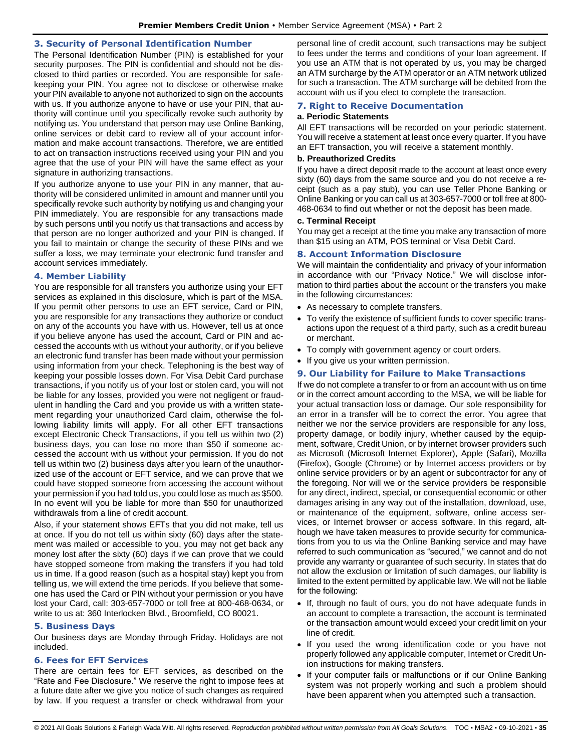### <span id="page-34-0"></span>**3. Security of Personal Identification Number**

The Personal Identification Number (PIN) is established for your security purposes. The PIN is confidential and should not be disclosed to third parties or recorded. You are responsible for safekeeping your PIN. You agree not to disclose or otherwise make your PIN available to anyone not authorized to sign on the accounts with us. If you authorize anyone to have or use your PIN, that authority will continue until you specifically revoke such authority by notifying us. You understand that person may use Online Banking, online services or debit card to review all of your account information and make account transactions. Therefore, we are entitled to act on transaction instructions received using your PIN and you agree that the use of your PIN will have the same effect as your signature in authorizing transactions.

If you authorize anyone to use your PIN in any manner, that authority will be considered unlimited in amount and manner until you specifically revoke such authority by notifying us and changing your PIN immediately. You are responsible for any transactions made by such persons until you notify us that transactions and access by that person are no longer authorized and your PIN is changed. If you fail to maintain or change the security of these PINs and we suffer a loss, we may terminate your electronic fund transfer and account services immediately.

#### <span id="page-34-1"></span>**4. Member Liability**

You are responsible for all transfers you authorize using your EFT services as explained in this disclosure, which is part of the MSA. If you permit other persons to use an EFT service, Card or PIN, you are responsible for any transactions they authorize or conduct on any of the accounts you have with us. However, tell us at once if you believe anyone has used the account, Card or PIN and accessed the accounts with us without your authority, or if you believe an electronic fund transfer has been made without your permission using information from your check. Telephoning is the best way of keeping your possible losses down. For Visa Debit Card purchase transactions, if you notify us of your lost or stolen card, you will not be liable for any losses, provided you were not negligent or fraudulent in handling the Card and you provide us with a written statement regarding your unauthorized Card claim, otherwise the following liability limits will apply. For all other EFT transactions except Electronic Check Transactions, if you tell us within two (2) business days, you can lose no more than \$50 if someone accessed the account with us without your permission. If you do not tell us within two (2) business days after you learn of the unauthorized use of the account or EFT service, and we can prove that we could have stopped someone from accessing the account without your permission if you had told us, you could lose as much as \$500. In no event will you be liable for more than \$50 for unauthorized withdrawals from a line of credit account.

Also, if your statement shows EFTs that you did not make, tell us at once. If you do not tell us within sixty (60) days after the statement was mailed or accessible to you, you may not get back any money lost after the sixty (60) days if we can prove that we could have stopped someone from making the transfers if you had told us in time. If a good reason (such as a hospital stay) kept you from telling us, we will extend the time periods. If you believe that someone has used the Card or PIN without your permission or you have lost your Card, call: 303-657-7000 or toll free at 800-468-0634, or write to us at: 360 Interlocken Blvd., Broomfield, CO 80021.

#### <span id="page-34-2"></span>**5. Business Days**

Our business days are Monday through Friday. Holidays are not included.

# <span id="page-34-3"></span>**6. Fees for EFT Services**

There are certain fees for EFT services, as described on the "Rate and Fee Disclosure." We reserve the right to impose fees at a future date after we give you notice of such changes as required by law. If you request a transfer or check withdrawal from your personal line of credit account, such transactions may be subject to fees under the terms and conditions of your loan agreement. If you use an ATM that is not operated by us, you may be charged an ATM surcharge by the ATM operator or an ATM network utilized for such a transaction. The ATM surcharge will be debited from the account with us if you elect to complete the transaction.

# <span id="page-34-4"></span>**7. Right to Receive Documentation**

#### **a. Periodic Statements**

All EFT transactions will be recorded on your periodic statement. You will receive a statement at least once every quarter. If you have an EFT transaction, you will receive a statement monthly.

#### **b. Preauthorized Credits**

If you have a direct deposit made to the account at least once every sixty (60) days from the same source and you do not receive a receipt (such as a pay stub), you can use Teller Phone Banking or Online Banking or you can call us at 303-657-7000 or toll free at 800- 468-0634 to find out whether or not the deposit has been made.

#### **c. Terminal Receipt**

You may get a receipt at the time you make any transaction of more than \$15 using an ATM, POS terminal or Visa Debit Card.

#### <span id="page-34-5"></span>**8. Account Information Disclosure**

We will maintain the confidentiality and privacy of your information in accordance with our "Privacy Notice." We will disclose information to third parties about the account or the transfers you make in the following circumstances:

- As necessary to complete transfers.
- To verify the existence of sufficient funds to cover specific transactions upon the request of a third party, such as a credit bureau or merchant.
- To comply with government agency or court orders.
- If you give us your written permission.

#### <span id="page-34-6"></span>**9. Our Liability for Failure to Make Transactions**

If we do not complete a transfer to or from an account with us on time or in the correct amount according to the MSA, we will be liable for your actual transaction loss or damage. Our sole responsibility for an error in a transfer will be to correct the error. You agree that neither we nor the service providers are responsible for any loss, property damage, or bodily injury, whether caused by the equipment, software, Credit Union, or by internet browser providers such as Microsoft (Microsoft Internet Explorer), Apple (Safari), Mozilla (Firefox), Google (Chrome) or by Internet access providers or by online service providers or by an agent or subcontractor for any of the foregoing. Nor will we or the service providers be responsible for any direct, indirect, special, or consequential economic or other damages arising in any way out of the installation, download, use, or maintenance of the equipment, software, online access services, or Internet browser or access software. In this regard, although we have taken measures to provide security for communications from you to us via the Online Banking service and may have referred to such communication as "secured," we cannot and do not provide any warranty or guarantee of such security. In states that do not allow the exclusion or limitation of such damages, our liability is limited to the extent permitted by applicable law. We will not be liable for the following:

- If, through no fault of ours, you do not have adequate funds in an account to complete a transaction, the account is terminated or the transaction amount would exceed your credit limit on your line of credit.
- If you used the wrong identification code or you have not properly followed any applicable computer, Internet or Credit Union instructions for making transfers.
- If your computer fails or malfunctions or if our Online Banking system was not properly working and such a problem should have been apparent when you attempted such a transaction.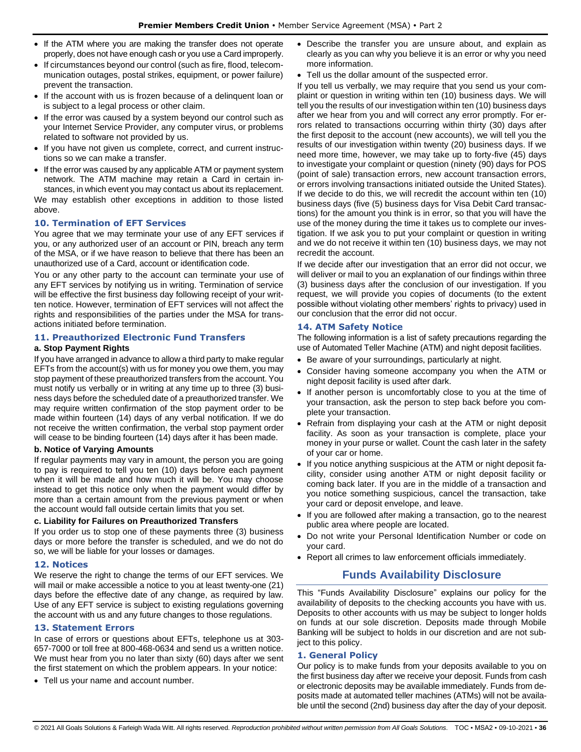- If the ATM where you are making the transfer does not operate properly, does not have enough cash or you use a Card improperly.
- If circumstances beyond our control (such as fire, flood, telecommunication outages, postal strikes, equipment, or power failure) prevent the transaction.
- If the account with us is frozen because of a delinquent loan or is subject to a legal process or other claim.
- If the error was caused by a system beyond our control such as your Internet Service Provider, any computer virus, or problems related to software not provided by us.
- If you have not given us complete, correct, and current instructions so we can make a transfer.
- If the error was caused by any applicable ATM or payment system network. The ATM machine may retain a Card in certain in-

stances, in which event you may contact us about its replacement. We may establish other exceptions in addition to those listed above.

### <span id="page-35-0"></span>**10. Termination of EFT Services**

You agree that we may terminate your use of any EFT services if you, or any authorized user of an account or PIN, breach any term of the MSA, or if we have reason to believe that there has been an unauthorized use of a Card, account or identification code.

You or any other party to the account can terminate your use of any EFT services by notifying us in writing. Termination of service will be effective the first business day following receipt of your written notice. However, termination of EFT services will not affect the rights and responsibilities of the parties under the MSA for transactions initiated before termination.

### <span id="page-35-1"></span>**11. Preauthorized Electronic Fund Transfers**

#### **a. Stop Payment Rights**

If you have arranged in advance to allow a third party to make regular EFTs from the account(s) with us for money you owe them, you may stop payment of these preauthorized transfers from the account. You must notify us verbally or in writing at any time up to three (3) business days before the scheduled date of a preauthorized transfer. We may require written confirmation of the stop payment order to be made within fourteen (14) days of any verbal notification. If we do not receive the written confirmation, the verbal stop payment order will cease to be binding fourteen (14) days after it has been made.

# **b. Notice of Varying Amounts**

If regular payments may vary in amount, the person you are going to pay is required to tell you ten (10) days before each payment when it will be made and how much it will be. You may choose instead to get this notice only when the payment would differ by more than a certain amount from the previous payment or when the account would fall outside certain limits that you set.

## **c. Liability for Failures on Preauthorized Transfers**

If you order us to stop one of these payments three (3) business days or more before the transfer is scheduled, and we do not do so, we will be liable for your losses or damages.

#### <span id="page-35-2"></span>**12. Notices**

We reserve the right to change the terms of our EFT services. We will mail or make accessible a notice to you at least twenty-one (21) days before the effective date of any change, as required by law. Use of any EFT service is subject to existing regulations governing the account with us and any future changes to those regulations.

#### <span id="page-35-3"></span>**13. Statement Errors**

In case of errors or questions about EFTs, telephone us at 303- 657-7000 or toll free at 800-468-0634 and send us a written notice. We must hear from you no later than sixty (60) days after we sent the first statement on which the problem appears. In your notice:

• Tell us your name and account number.

- Describe the transfer you are unsure about, and explain as clearly as you can why you believe it is an error or why you need more information.
- Tell us the dollar amount of the suspected error.

If you tell us verbally, we may require that you send us your complaint or question in writing within ten (10) business days. We will tell you the results of our investigation within ten (10) business days after we hear from you and will correct any error promptly. For errors related to transactions occurring within thirty (30) days after the first deposit to the account (new accounts), we will tell you the results of our investigation within twenty (20) business days. If we need more time, however, we may take up to forty-five (45) days to investigate your complaint or question (ninety (90) days for POS (point of sale) transaction errors, new account transaction errors, or errors involving transactions initiated outside the United States). If we decide to do this, we will recredit the account within ten (10) business days (five (5) business days for Visa Debit Card transactions) for the amount you think is in error, so that you will have the use of the money during the time it takes us to complete our investigation. If we ask you to put your complaint or question in writing and we do not receive it within ten (10) business days, we may not recredit the account.

If we decide after our investigation that an error did not occur, we will deliver or mail to you an explanation of our findings within three (3) business days after the conclusion of our investigation. If you request, we will provide you copies of documents (to the extent possible without violating other members' rights to privacy) used in our conclusion that the error did not occur.

#### <span id="page-35-4"></span>**14. ATM Safety Notice**

The following information is a list of safety precautions regarding the use of Automated Teller Machine (ATM) and night deposit facilities.

- Be aware of your surroundings, particularly at night.
- Consider having someone accompany you when the ATM or night deposit facility is used after dark.
- If another person is uncomfortably close to you at the time of your transaction, ask the person to step back before you complete your transaction.
- Refrain from displaying your cash at the ATM or night deposit facility. As soon as your transaction is complete, place your money in your purse or wallet. Count the cash later in the safety of your car or home.
- If you notice anything suspicious at the ATM or night deposit facility, consider using another ATM or night deposit facility or coming back later. If you are in the middle of a transaction and you notice something suspicious, cancel the transaction, take your card or deposit envelope, and leave.
- If you are followed after making a transaction, go to the nearest public area where people are located.
- Do not write your Personal Identification Number or code on your card.
- <span id="page-35-5"></span>• Report all crimes to law enforcement officials immediately.

# **Funds Availability Disclosure**

This "Funds Availability Disclosure" explains our policy for the availability of deposits to the checking accounts you have with us. Deposits to other accounts with us may be subject to longer holds on funds at our sole discretion. Deposits made through Mobile Banking will be subject to holds in our discretion and are not subject to this policy.

#### <span id="page-35-6"></span>**1. General Policy**

Our policy is to make funds from your deposits available to you on the first business day after we receive your deposit. Funds from cash or electronic deposits may be available immediately. Funds from deposits made at automated teller machines (ATMs) will not be available until the second (2nd) business day after the day of your deposit.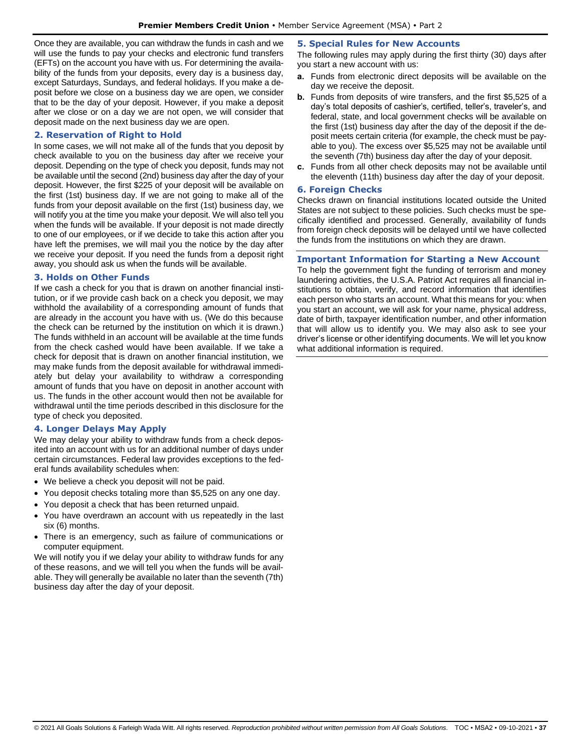Once they are available, you can withdraw the funds in cash and we will use the funds to pay your checks and electronic fund transfers (EFTs) on the account you have with us. For determining the availability of the funds from your deposits, every day is a business day, except Saturdays, Sundays, and federal holidays. If you make a deposit before we close on a business day we are open, we consider that to be the day of your deposit. However, if you make a deposit after we close or on a day we are not open, we will consider that deposit made on the next business day we are open.

#### <span id="page-36-0"></span>**2. Reservation of Right to Hold**

In some cases, we will not make all of the funds that you deposit by check available to you on the business day after we receive your deposit. Depending on the type of check you deposit, funds may not be available until the second (2nd) business day after the day of your deposit. However, the first \$225 of your deposit will be available on the first (1st) business day. If we are not going to make all of the funds from your deposit available on the first (1st) business day, we will notify you at the time you make your deposit. We will also tell you when the funds will be available. If your deposit is not made directly to one of our employees, or if we decide to take this action after you have left the premises, we will mail you the notice by the day after we receive your deposit. If you need the funds from a deposit right away, you should ask us when the funds will be available.

#### <span id="page-36-1"></span>**3. Holds on Other Funds**

If we cash a check for you that is drawn on another financial institution, or if we provide cash back on a check you deposit, we may withhold the availability of a corresponding amount of funds that are already in the account you have with us. (We do this because the check can be returned by the institution on which it is drawn.) The funds withheld in an account will be available at the time funds from the check cashed would have been available. If we take a check for deposit that is drawn on another financial institution, we may make funds from the deposit available for withdrawal immediately but delay your availability to withdraw a corresponding amount of funds that you have on deposit in another account with us. The funds in the other account would then not be available for withdrawal until the time periods described in this disclosure for the type of check you deposited.

#### <span id="page-36-2"></span>**4. Longer Delays May Apply**

We may delay your ability to withdraw funds from a check deposited into an account with us for an additional number of days under certain circumstances. Federal law provides exceptions to the federal funds availability schedules when:

- We believe a check you deposit will not be paid.
- You deposit checks totaling more than \$5,525 on any one day.
- You deposit a check that has been returned unpaid.
- You have overdrawn an account with us repeatedly in the last six (6) months.
- There is an emergency, such as failure of communications or computer equipment.

We will notify you if we delay your ability to withdraw funds for any of these reasons, and we will tell you when the funds will be available. They will generally be available no later than the seventh (7th) business day after the day of your deposit.

#### <span id="page-36-3"></span>**5. Special Rules for New Accounts**

The following rules may apply during the first thirty (30) days after you start a new account with us:

- **a.** Funds from electronic direct deposits will be available on the day we receive the deposit.
- **b.** Funds from deposits of wire transfers, and the first \$5,525 of a day's total deposits of cashier's, certified, teller's, traveler's, and federal, state, and local government checks will be available on the first (1st) business day after the day of the deposit if the deposit meets certain criteria (for example, the check must be payable to you). The excess over \$5,525 may not be available until the seventh (7th) business day after the day of your deposit.
- **c.** Funds from all other check deposits may not be available until the eleventh (11th) business day after the day of your deposit.

#### <span id="page-36-4"></span>**6. Foreign Checks**

Checks drawn on financial institutions located outside the United States are not subject to these policies. Such checks must be specifically identified and processed. Generally, availability of funds from foreign check deposits will be delayed until we have collected the funds from the institutions on which they are drawn.

#### <span id="page-36-5"></span>**Important Information for Starting a New Account**

To help the government fight the funding of terrorism and money laundering activities, the U.S.A. Patriot Act requires all financial institutions to obtain, verify, and record information that identifies each person who starts an account. What this means for you: when you start an account, we will ask for your name, physical address, date of birth, taxpayer identification number, and other information that will allow us to identify you. We may also ask to see your driver's license or other identifying documents. We will let you know what additional information is required.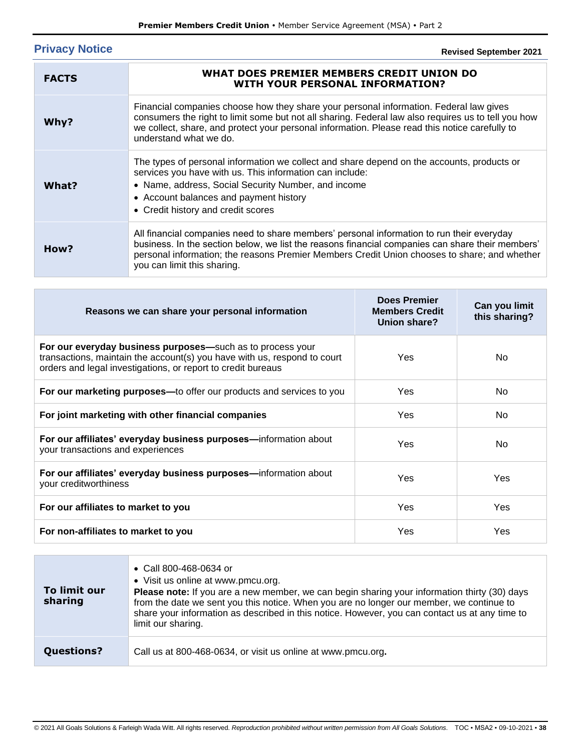# <span id="page-37-0"></span>**Privacy Notice**

# **Revised September 2021**

| <b>FACTS</b> | WHAT DOES PREMIER MEMBERS CREDIT UNION DO<br><b>WITH YOUR PERSONAL INFORMATION?</b>                                                                                                                                                                                                                                          |
|--------------|------------------------------------------------------------------------------------------------------------------------------------------------------------------------------------------------------------------------------------------------------------------------------------------------------------------------------|
| Why?         | Financial companies choose how they share your personal information. Federal law gives<br>consumers the right to limit some but not all sharing. Federal law also requires us to tell you how<br>we collect, share, and protect your personal information. Please read this notice carefully to<br>understand what we do.    |
| What?        | The types of personal information we collect and share depend on the accounts, products or<br>services you have with us. This information can include:<br>• Name, address, Social Security Number, and income<br>• Account balances and payment history<br>• Credit history and credit scores                                |
| How?         | All financial companies need to share members' personal information to run their everyday<br>business. In the section below, we list the reasons financial companies can share their members'<br>personal information; the reasons Premier Members Credit Union chooses to share; and whether<br>you can limit this sharing. |

| Reasons we can share your personal information                                                                                                                                                         | <b>Does Premier</b><br><b>Members Credit</b><br>Union share? | Can you limit<br>this sharing? |
|--------------------------------------------------------------------------------------------------------------------------------------------------------------------------------------------------------|--------------------------------------------------------------|--------------------------------|
| For our everyday business purposes—such as to process your<br>transactions, maintain the account(s) you have with us, respond to court<br>orders and legal investigations, or report to credit bureaus | Yes                                                          | No.                            |
| For our marketing purposes—to offer our products and services to you                                                                                                                                   | Yes                                                          | No.                            |
| For joint marketing with other financial companies                                                                                                                                                     | <b>Yes</b>                                                   | No.                            |
| For our affiliates' everyday business purposes-information about<br>your transactions and experiences                                                                                                  | Yes                                                          | No.                            |
| For our affiliates' everyday business purposes—information about<br>your creditworthiness                                                                                                              | Yes                                                          | Yes                            |
| For our affiliates to market to you                                                                                                                                                                    | Yes                                                          | <b>Yes</b>                     |
| For non-affiliates to market to you                                                                                                                                                                    | Yes                                                          | Yes                            |

| To limit our<br>sharing | • Call 800-468-0634 or<br>• Visit us online at www.pmcu.org.<br><b>Please note:</b> If you are a new member, we can begin sharing your information thirty (30) days<br>from the date we sent you this notice. When you are no longer our member, we continue to<br>share your information as described in this notice. However, you can contact us at any time to<br>limit our sharing. |
|-------------------------|-----------------------------------------------------------------------------------------------------------------------------------------------------------------------------------------------------------------------------------------------------------------------------------------------------------------------------------------------------------------------------------------|
| <b>Questions?</b>       | Call us at 800-468-0634, or visit us online at www.pmcu.org.                                                                                                                                                                                                                                                                                                                            |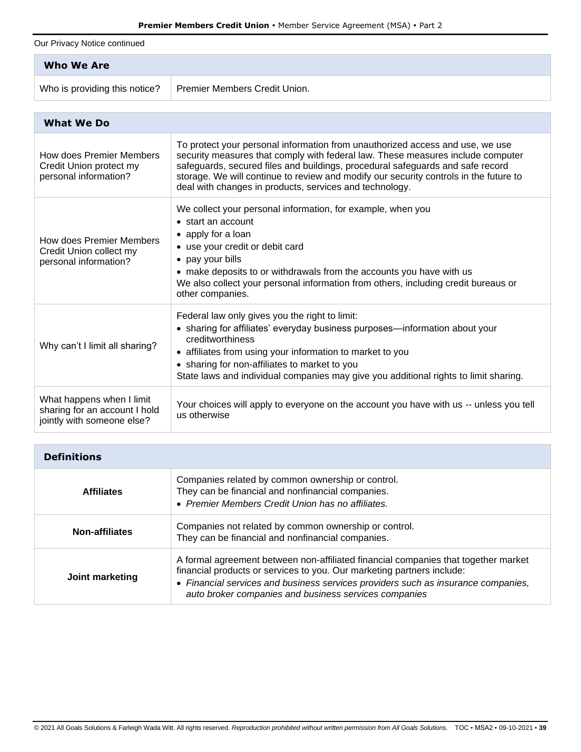Our Privacy Notice continued

| Who We Are                    |                               |
|-------------------------------|-------------------------------|
| Who is providing this notice? | Premier Members Credit Union. |

| <b>What We Do</b>                                                                        |                                                                                                                                                                                                                                                                                                                                                                                                        |
|------------------------------------------------------------------------------------------|--------------------------------------------------------------------------------------------------------------------------------------------------------------------------------------------------------------------------------------------------------------------------------------------------------------------------------------------------------------------------------------------------------|
| How does Premier Members<br>Credit Union protect my<br>personal information?             | To protect your personal information from unauthorized access and use, we use<br>security measures that comply with federal law. These measures include computer<br>safeguards, secured files and buildings, procedural safeguards and safe record<br>storage. We will continue to review and modify our security controls in the future to<br>deal with changes in products, services and technology. |
| How does Premier Members<br>Credit Union collect my<br>personal information?             | We collect your personal information, for example, when you<br>• start an account<br>• apply for a loan<br>• use your credit or debit card<br>• pay your bills<br>• make deposits to or withdrawals from the accounts you have with us<br>We also collect your personal information from others, including credit bureaus or<br>other companies.                                                       |
| Why can't I limit all sharing?                                                           | Federal law only gives you the right to limit:<br>• sharing for affiliates' everyday business purposes—information about your<br>creditworthiness<br>• affiliates from using your information to market to you<br>• sharing for non-affiliates to market to you<br>State laws and individual companies may give you additional rights to limit sharing.                                                |
| What happens when I limit<br>sharing for an account I hold<br>jointly with someone else? | Your choices will apply to everyone on the account you have with us -- unless you tell<br>us otherwise                                                                                                                                                                                                                                                                                                 |

| <b>Definitions</b>    |                                                                                                                                                                                                                                                                                                            |
|-----------------------|------------------------------------------------------------------------------------------------------------------------------------------------------------------------------------------------------------------------------------------------------------------------------------------------------------|
| <b>Affiliates</b>     | Companies related by common ownership or control.<br>They can be financial and nonfinancial companies.<br>• Premier Members Credit Union has no affiliates.                                                                                                                                                |
| <b>Non-affiliates</b> | Companies not related by common ownership or control.<br>They can be financial and nonfinancial companies.                                                                                                                                                                                                 |
| Joint marketing       | A formal agreement between non-affiliated financial companies that together market<br>financial products or services to you. Our marketing partners include:<br>• Financial services and business services providers such as insurance companies,<br>auto broker companies and business services companies |